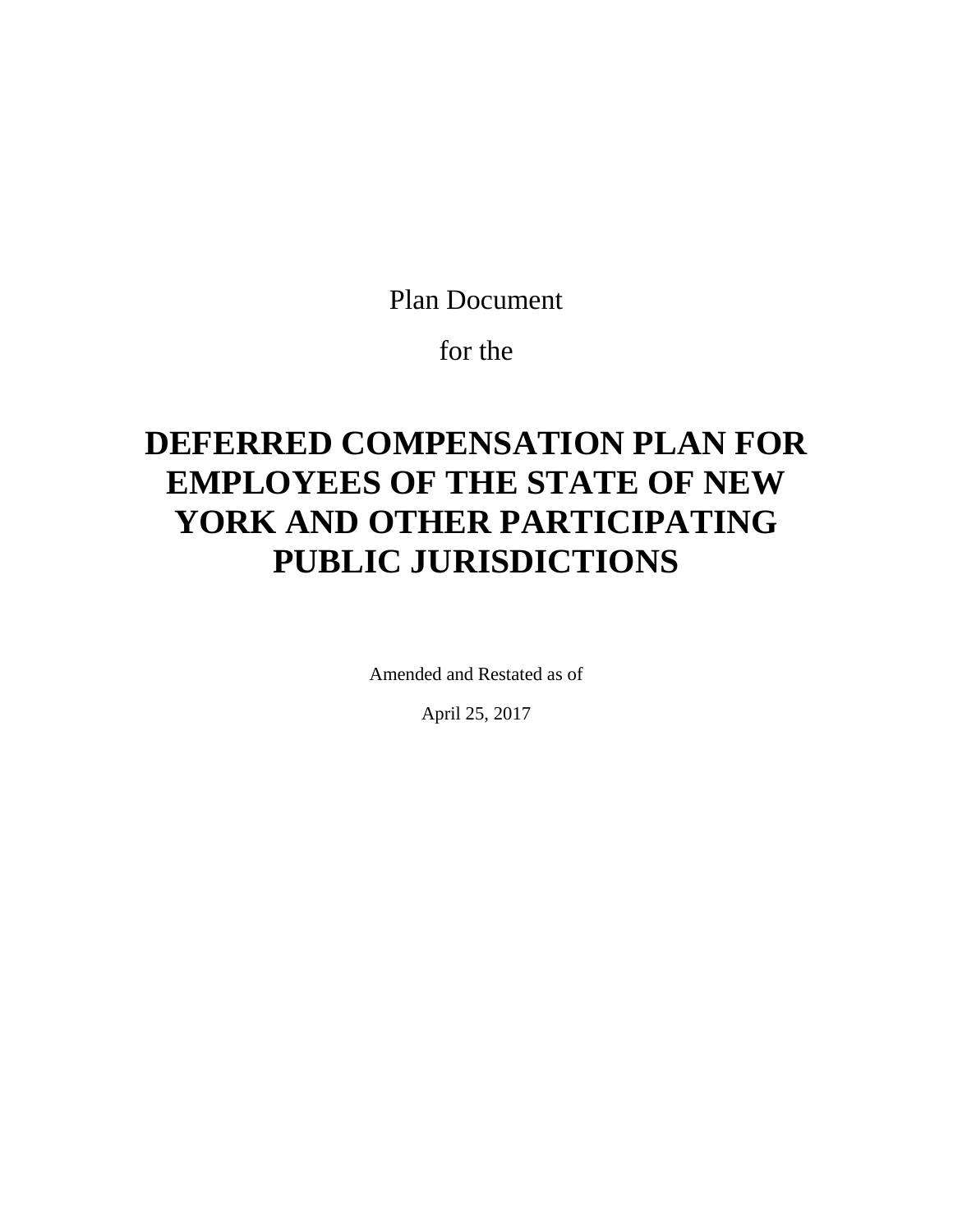Plan Document

for the

# **DEFERRED COMPENSATION PLAN FOR EMPLOYEES OF THE STATE OF NEW YORK AND OTHER PARTICIPATING PUBLIC JURISDICTIONS**

Amended and Restated as of

April 25, 2017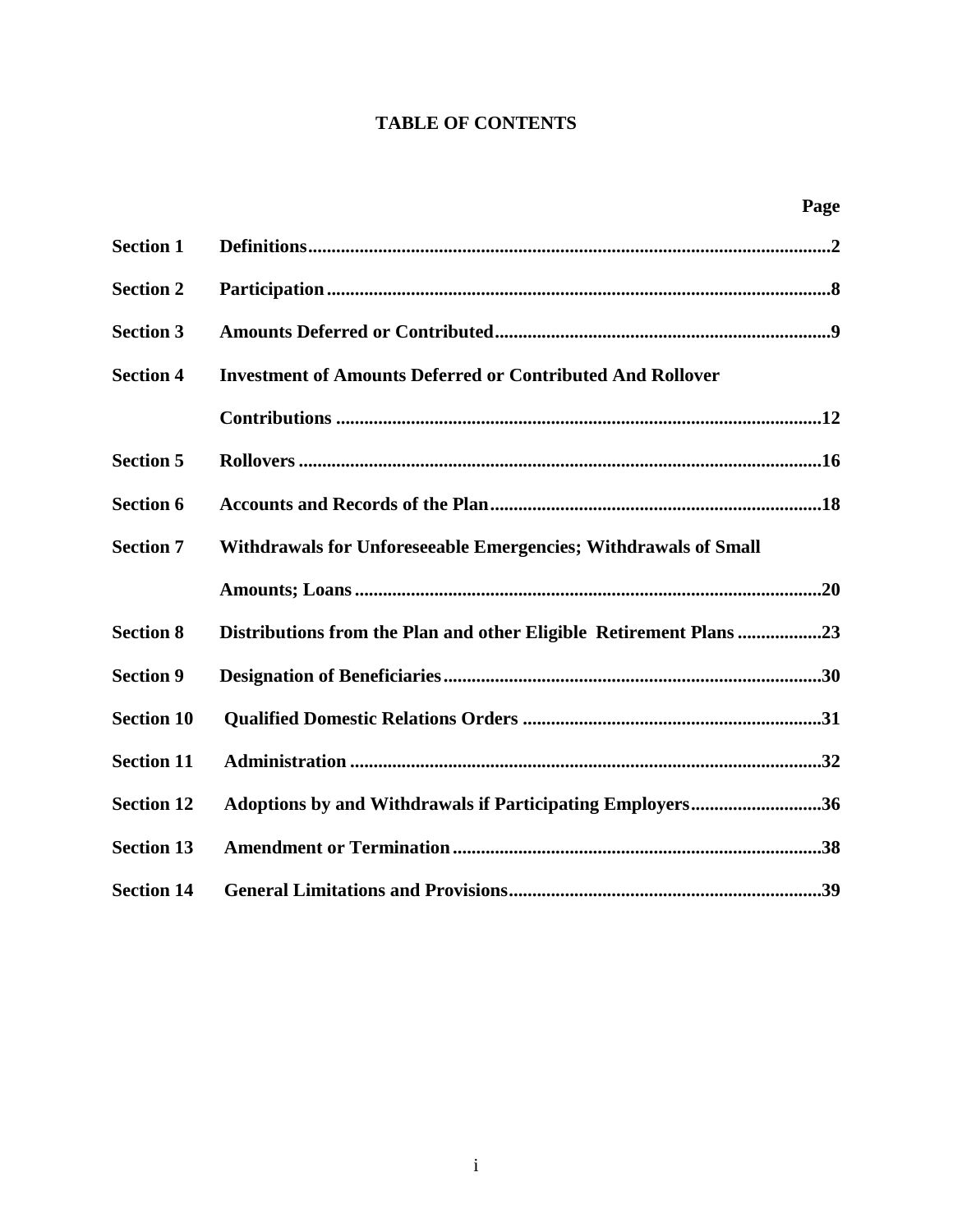# **TABLE OF CONTENTS**

|                   |                                                                    | Page |
|-------------------|--------------------------------------------------------------------|------|
| <b>Section 1</b>  |                                                                    |      |
| <b>Section 2</b>  |                                                                    |      |
| <b>Section 3</b>  |                                                                    |      |
| <b>Section 4</b>  | <b>Investment of Amounts Deferred or Contributed And Rollover</b>  |      |
|                   |                                                                    |      |
| <b>Section 5</b>  |                                                                    |      |
| <b>Section 6</b>  |                                                                    |      |
| <b>Section 7</b>  | Withdrawals for Unforeseeable Emergencies; Withdrawals of Small    |      |
|                   |                                                                    |      |
| <b>Section 8</b>  | Distributions from the Plan and other Eligible Retirement Plans 23 |      |
| <b>Section 9</b>  |                                                                    |      |
| <b>Section 10</b> |                                                                    |      |
| <b>Section 11</b> |                                                                    |      |
| <b>Section 12</b> | Adoptions by and Withdrawals if Participating Employers36          |      |
| <b>Section 13</b> |                                                                    |      |
| <b>Section 14</b> |                                                                    |      |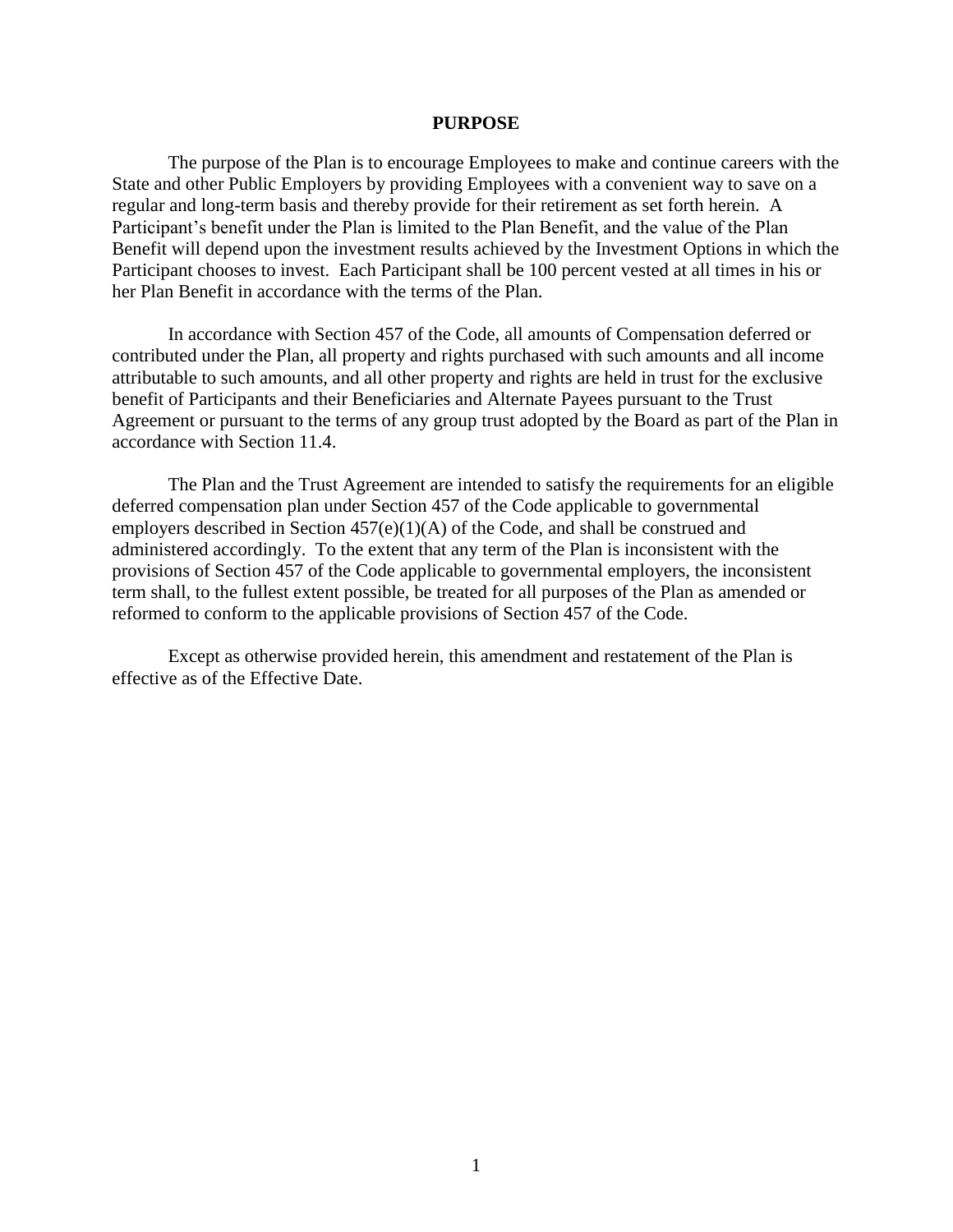#### **PURPOSE**

The purpose of the Plan is to encourage Employees to make and continue careers with the State and other Public Employers by providing Employees with a convenient way to save on a regular and long-term basis and thereby provide for their retirement as set forth herein. A Participant's benefit under the Plan is limited to the Plan Benefit, and the value of the Plan Benefit will depend upon the investment results achieved by the Investment Options in which the Participant chooses to invest. Each Participant shall be 100 percent vested at all times in his or her Plan Benefit in accordance with the terms of the Plan.

In accordance with Section 457 of the Code, all amounts of Compensation deferred or contributed under the Plan, all property and rights purchased with such amounts and all income attributable to such amounts, and all other property and rights are held in trust for the exclusive benefit of Participants and their Beneficiaries and Alternate Payees pursuant to the Trust Agreement or pursuant to the terms of any group trust adopted by the Board as part of the Plan in accordance with Section 11.4.

The Plan and the Trust Agreement are intended to satisfy the requirements for an eligible deferred compensation plan under Section 457 of the Code applicable to governmental employers described in Section 457(e)(1)(A) of the Code, and shall be construed and administered accordingly. To the extent that any term of the Plan is inconsistent with the provisions of Section 457 of the Code applicable to governmental employers, the inconsistent term shall, to the fullest extent possible, be treated for all purposes of the Plan as amended or reformed to conform to the applicable provisions of Section 457 of the Code.

Except as otherwise provided herein, this amendment and restatement of the Plan is effective as of the Effective Date.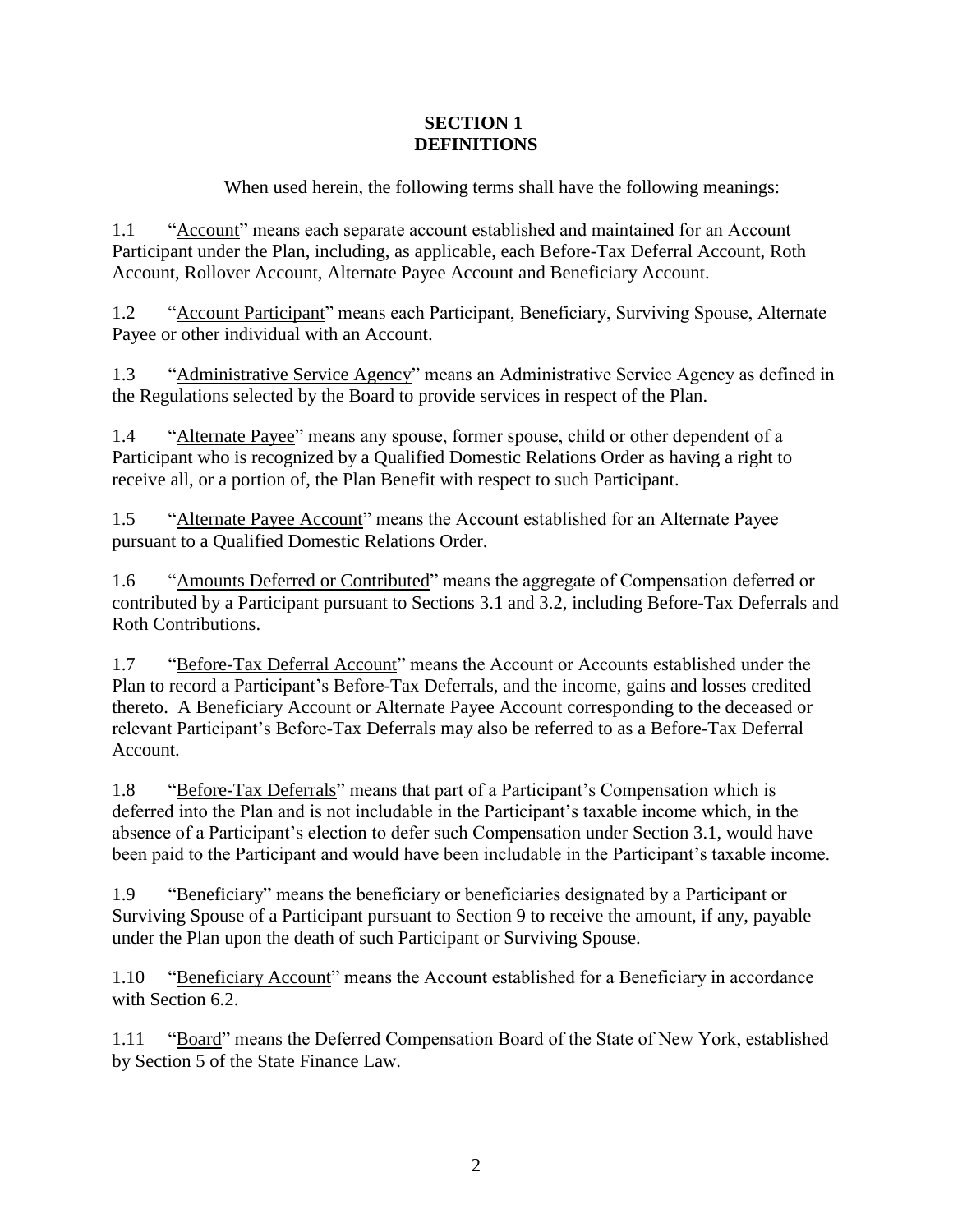## **SECTION 1 DEFINITIONS**

When used herein, the following terms shall have the following meanings:

1.1 "Account" means each separate account established and maintained for an Account Participant under the Plan, including, as applicable, each Before-Tax Deferral Account, Roth Account, Rollover Account, Alternate Payee Account and Beneficiary Account.

1.2 "Account Participant" means each Participant, Beneficiary, Surviving Spouse, Alternate Payee or other individual with an Account.

1.3 "Administrative Service Agency" means an Administrative Service Agency as defined in the Regulations selected by the Board to provide services in respect of the Plan.

1.4 "Alternate Payee" means any spouse, former spouse, child or other dependent of a Participant who is recognized by a Qualified Domestic Relations Order as having a right to receive all, or a portion of, the Plan Benefit with respect to such Participant.

1.5 "Alternate Payee Account" means the Account established for an Alternate Payee pursuant to a Qualified Domestic Relations Order.

1.6 "Amounts Deferred or Contributed" means the aggregate of Compensation deferred or contributed by a Participant pursuant to Sections [3.1](#page-10-0) and [3.2,](#page-10-1) including Before-Tax Deferrals and Roth Contributions.

1.7 "Before-Tax Deferral Account" means the Account or Accounts established under the Plan to record a Participant's Before-Tax Deferrals, and the income, gains and losses credited thereto. A Beneficiary Account or Alternate Payee Account corresponding to the deceased or relevant Participant's Before-Tax Deferrals may also be referred to as a Before-Tax Deferral Account.

1.8 "Before-Tax Deferrals" means that part of a Participant's Compensation which is deferred into the Plan and is not includable in the Participant's taxable income which, in the absence of a Participant's election to defer such Compensation under Section [3.1,](#page-10-0) would have been paid to the Participant and would have been includable in the Participant's taxable income.

1.9 "Beneficiary" means the beneficiary or beneficiaries designated by a Participant or Surviving Spouse of a Participant pursuant to Section 9 to receive the amount, if any, payable under the Plan upon the death of such Participant or Surviving Spouse.

1.10 "Beneficiary Account" means the Account established for a Beneficiary in accordance with Section 6.2.

1.11 "Board" means the Deferred Compensation Board of the State of New York, established by Section 5 of the State Finance Law.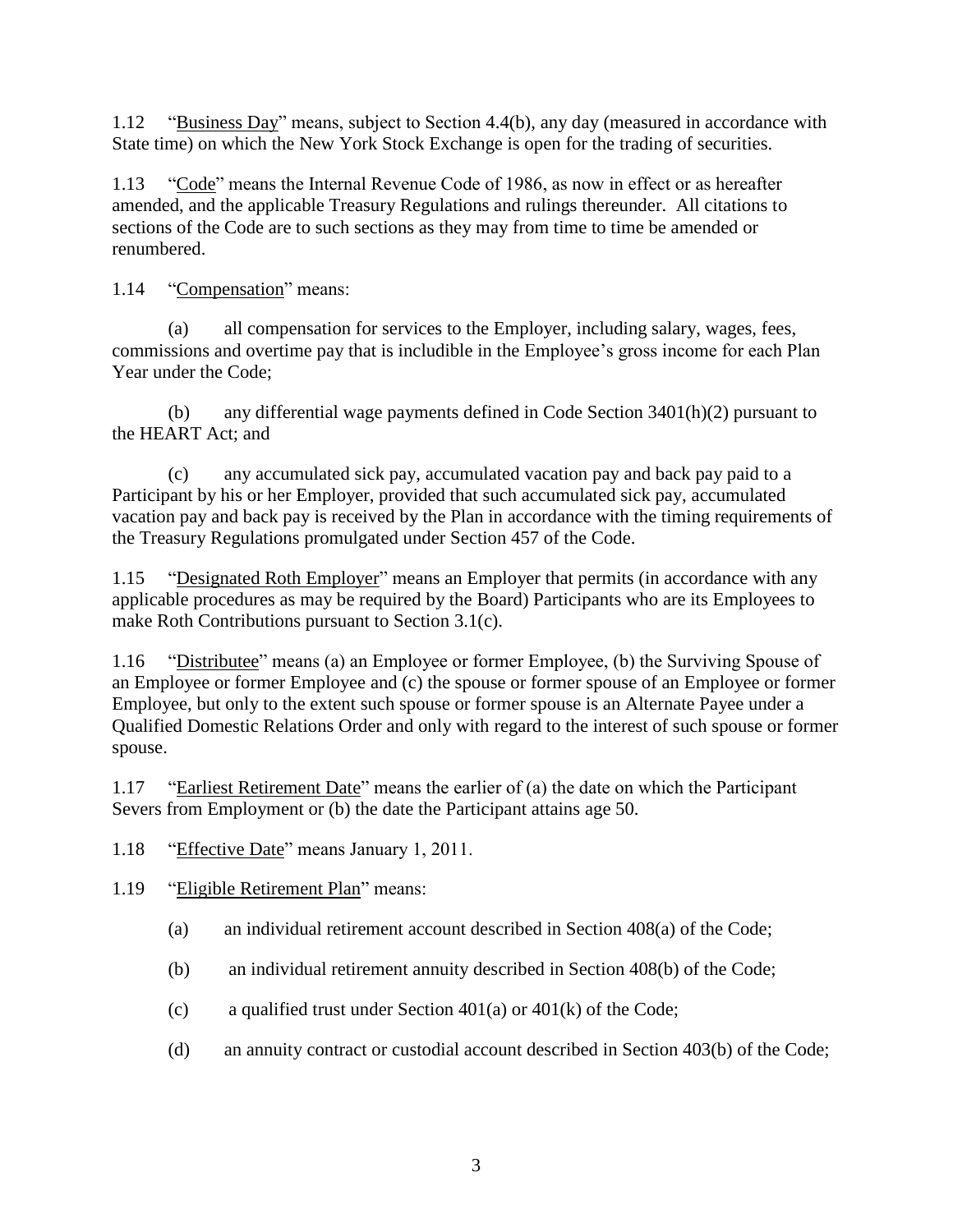1.12 "Business Day" means, subject to Section [4.4\(b\),](#page-14-0) any day (measured in accordance with State time) on which the New York Stock Exchange is open for the trading of securities.

1.13 "Code" means the Internal Revenue Code of 1986, as now in effect or as hereafter amended, and the applicable Treasury Regulations and rulings thereunder. All citations to sections of the Code are to such sections as they may from time to time be amended or renumbered.

1.14 "Compensation" means:

(a) all compensation for services to the Employer, including salary, wages, fees, commissions and overtime pay that is includible in the Employee's gross income for each Plan Year under the Code;

(b) any differential wage payments defined in Code Section 3401(h)(2) pursuant to the HEART Act; and

(c) any accumulated sick pay, accumulated vacation pay and back pay paid to a Participant by his or her Employer, provided that such accumulated sick pay, accumulated vacation pay and back pay is received by the Plan in accordance with the timing requirements of the Treasury Regulations promulgated under Section 457 of the Code.

1.15 "Designated Roth Employer" means an Employer that permits (in accordance with any applicable procedures as may be required by the Board) Participants who are its Employees to make Roth Contributions pursuant to Section [3.1\(c\).](#page-10-2)

1.16 "Distributee" means (a) an Employee or former Employee, (b) the Surviving Spouse of an Employee or former Employee and (c) the spouse or former spouse of an Employee or former Employee, but only to the extent such spouse or former spouse is an Alternate Payee under a Qualified Domestic Relations Order and only with regard to the interest of such spouse or former spouse.

1.17 "Earliest Retirement Date" means the earlier of (a) the date on which the Participant Severs from Employment or (b) the date the Participant attains age 50.

1.18 "Effective Date" means January 1, 2011.

1.19 "Eligible Retirement Plan" means:

- (a) an individual retirement account described in Section 408(a) of the Code;
- (b) an individual retirement annuity described in Section 408(b) of the Code;
- (c) a qualified trust under Section  $401(a)$  or  $401(k)$  of the Code;
- (d) an annuity contract or custodial account described in Section 403(b) of the Code;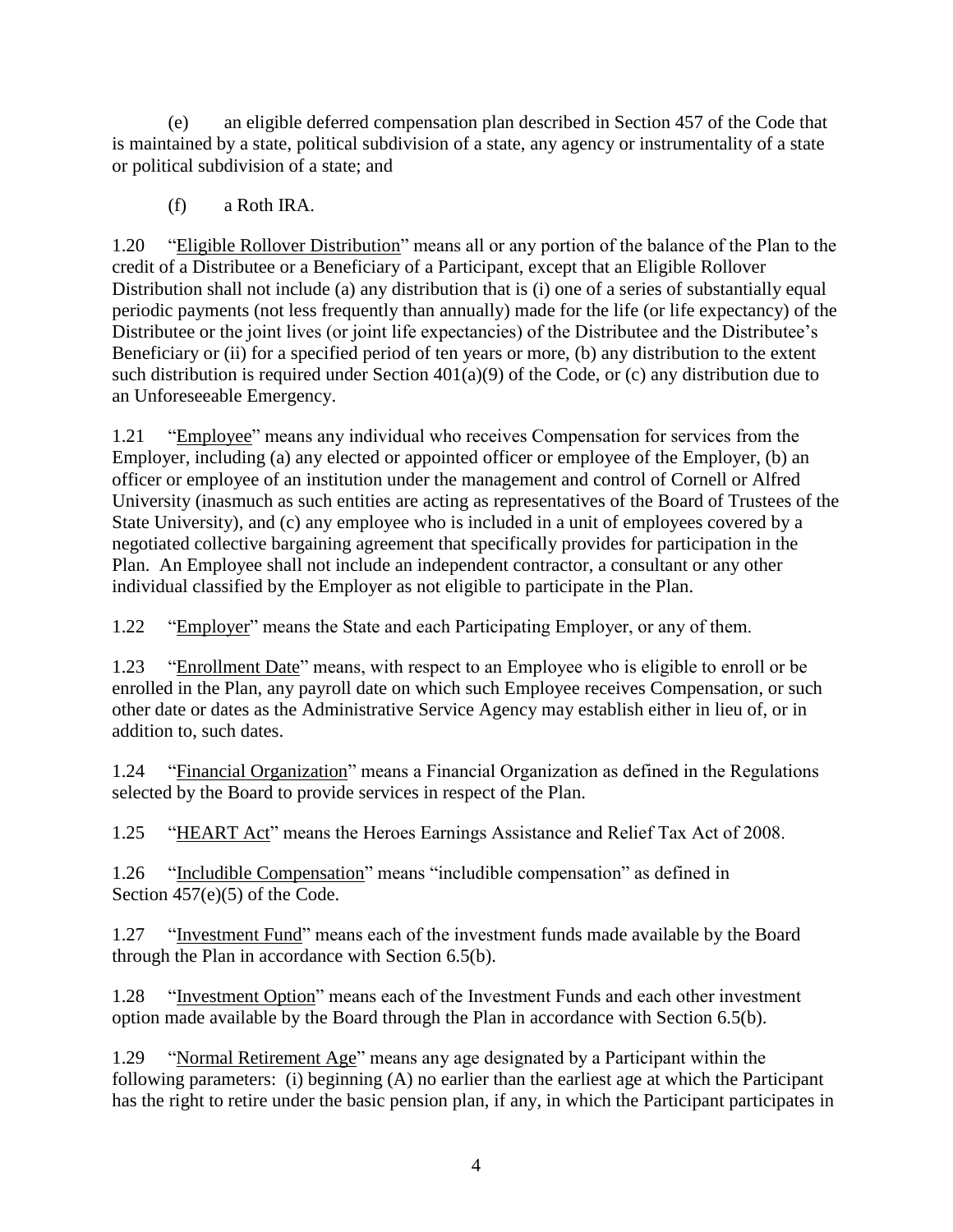(e) an eligible deferred compensation plan described in Section 457 of the Code that is maintained by a state, political subdivision of a state, any agency or instrumentality of a state or political subdivision of a state; and

(f) a Roth IRA.

1.20 "Eligible Rollover Distribution" means all or any portion of the balance of the Plan to the credit of a Distributee or a Beneficiary of a Participant, except that an Eligible Rollover Distribution shall not include (a) any distribution that is (i) one of a series of substantially equal periodic payments (not less frequently than annually) made for the life (or life expectancy) of the Distributee or the joint lives (or joint life expectancies) of the Distributee and the Distributee's Beneficiary or (ii) for a specified period of ten years or more, (b) any distribution to the extent such distribution is required under Section 401(a)(9) of the Code, or (c) any distribution due to an Unforeseeable Emergency.

1.21 "Employee" means any individual who receives Compensation for services from the Employer, including (a) any elected or appointed officer or employee of the Employer, (b) an officer or employee of an institution under the management and control of Cornell or Alfred University (inasmuch as such entities are acting as representatives of the Board of Trustees of the State University), and (c) any employee who is included in a unit of employees covered by a negotiated collective bargaining agreement that specifically provides for participation in the Plan. An Employee shall not include an independent contractor, a consultant or any other individual classified by the Employer as not eligible to participate in the Plan.

1.22 "Employer" means the State and each Participating Employer, or any of them.

1.23 "Enrollment Date" means, with respect to an Employee who is eligible to enroll or be enrolled in the Plan, any payroll date on which such Employee receives Compensation, or such other date or dates as the Administrative Service Agency may establish either in lieu of, or in addition to, such dates.

1.24 "Financial Organization" means a Financial Organization as defined in the Regulations selected by the Board to provide services in respect of the Plan.

1.25 "HEART Act" means the Heroes Earnings Assistance and Relief Tax Act of 2008.

1.26 "Includible Compensation" means "includible compensation" as defined in Section 457(e)(5) of the Code.

1.27 "Investment Fund" means each of the investment funds made available by the Board through the Plan in accordance with Section [6.5\(b\).](#page-20-0)

1.28 "Investment Option" means each of the Investment Funds and each other investment option made available by the Board through the Plan in accordance with Section [6.5\(b\).](#page-20-0)

1.29 "Normal Retirement Age" means any age designated by a Participant within the following parameters: (i) beginning (A) no earlier than the earliest age at which the Participant has the right to retire under the basic pension plan, if any, in which the Participant participates in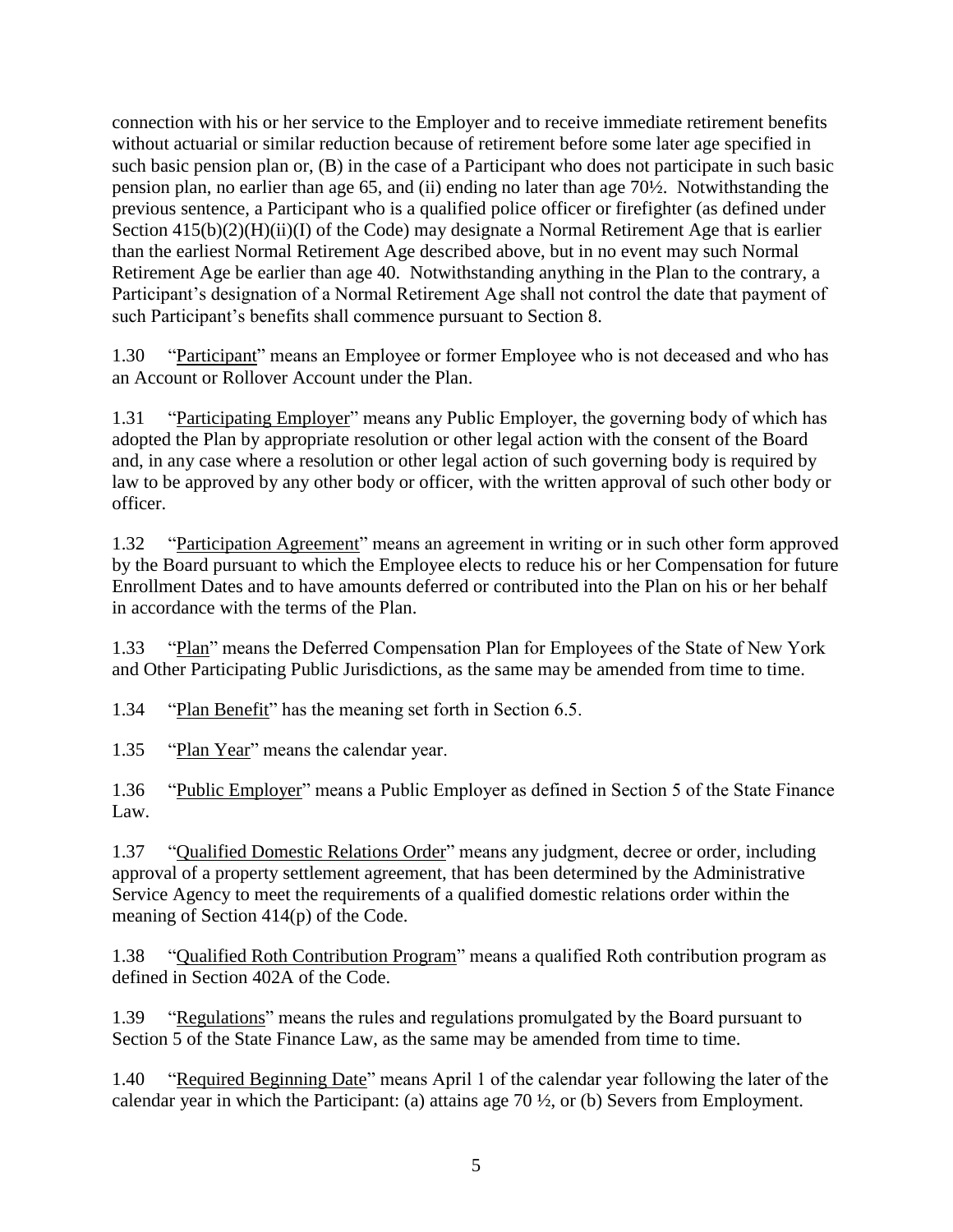connection with his or her service to the Employer and to receive immediate retirement benefits without actuarial or similar reduction because of retirement before some later age specified in such basic pension plan or, (B) in the case of a Participant who does not participate in such basic pension plan, no earlier than age 65, and (ii) ending no later than age 70½. Notwithstanding the previous sentence, a Participant who is a qualified police officer or firefighter (as defined under Section  $415(b)(2)(H)(ii)(I)$  of the Code) may designate a Normal Retirement Age that is earlier than the earliest Normal Retirement Age described above, but in no event may such Normal Retirement Age be earlier than age 40. Notwithstanding anything in the Plan to the contrary, a Participant's designation of a Normal Retirement Age shall not control the date that payment of such Participant's benefits shall commence pursuant to Section 8.

1.30 "Participant" means an Employee or former Employee who is not deceased and who has an Account or Rollover Account under the Plan.

1.31 "Participating Employer" means any Public Employer, the governing body of which has adopted the Plan by appropriate resolution or other legal action with the consent of the Board and, in any case where a resolution or other legal action of such governing body is required by law to be approved by any other body or officer, with the written approval of such other body or officer.

1.32 "Participation Agreement" means an agreement in writing or in such other form approved by the Board pursuant to which the Employee elects to reduce his or her Compensation for future Enrollment Dates and to have amounts deferred or contributed into the Plan on his or her behalf in accordance with the terms of the Plan.

1.33 "Plan" means the Deferred Compensation Plan for Employees of the State of New York and Other Participating Public Jurisdictions, as the same may be amended from time to time.

1.34 "Plan Benefit" has the meaning set forth in Section 6.5.

1.35 "Plan Year" means the calendar year.

1.36 "Public Employer" means a Public Employer as defined in Section 5 of the State Finance Law.

1.37 "Qualified Domestic Relations Order" means any judgment, decree or order, including approval of a property settlement agreement, that has been determined by the Administrative Service Agency to meet the requirements of a qualified domestic relations order within the meaning of Section 414(p) of the Code.

1.38 "Qualified Roth Contribution Program" means a qualified Roth contribution program as defined in Section 402A of the Code.

1.39 "Regulations" means the rules and regulations promulgated by the Board pursuant to Section 5 of the State Finance Law, as the same may be amended from time to time.

1.40 "Required Beginning Date" means April 1 of the calendar year following the later of the calendar year in which the Participant: (a) attains age 70 ½, or (b) Severs from Employment.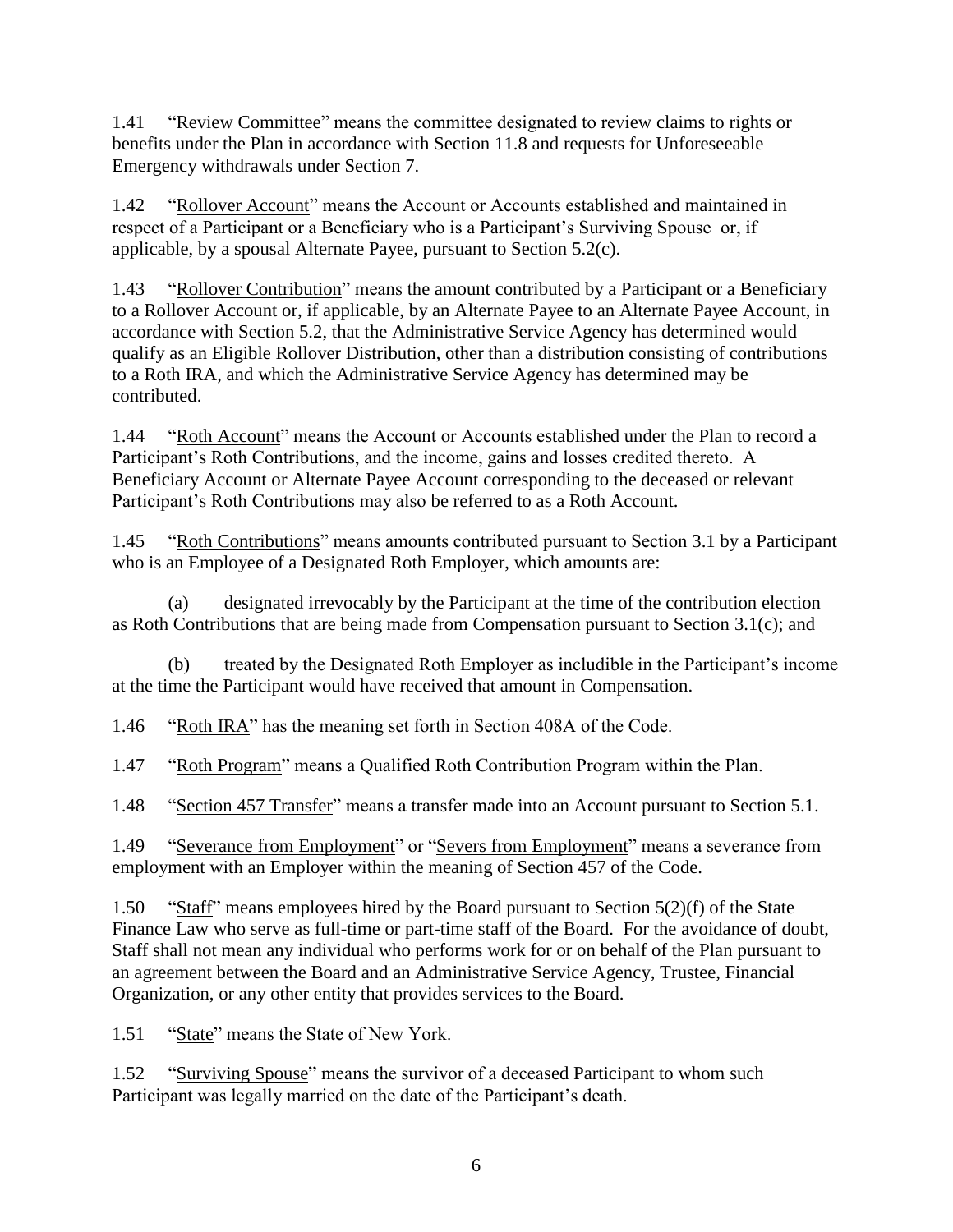1.41 "Review Committee" means the committee designated to review claims to rights or benefits under the Plan in accordance with Section [11.8](#page-35-0) and requests for Unforeseeable Emergency withdrawals under Section 7.

1.42 "Rollover Account" means the Account or Accounts established and maintained in respect of a Participant or a Beneficiary who is a Participant's Surviving Spouse or, if applicable, by a spousal Alternate Payee, pursuant to Section [5.2\(c\).](#page-17-0)

1.43 "Rollover Contribution" means the amount contributed by a Participant or a Beneficiary to a Rollover Account or, if applicable, by an Alternate Payee to an Alternate Payee Account, in accordance with Section [5.2,](#page-17-1) that the Administrative Service Agency has determined would qualify as an Eligible Rollover Distribution, other than a distribution consisting of contributions to a Roth IRA, and which the Administrative Service Agency has determined may be contributed.

1.44 "Roth Account" means the Account or Accounts established under the Plan to record a Participant's Roth Contributions, and the income, gains and losses credited thereto. A Beneficiary Account or Alternate Payee Account corresponding to the deceased or relevant Participant's Roth Contributions may also be referred to as a Roth Account.

1.45 "Roth Contributions" means amounts contributed pursuant to Section [3.1](#page-10-0) by a Participant who is an Employee of a Designated Roth Employer, which amounts are:

(a) designated irrevocably by the Participant at the time of the contribution election as Roth Contributions that are being made from Compensation pursuant to Section [3.1\(c\);](#page-10-2) and

(b) treated by the Designated Roth Employer as includible in the Participant's income at the time the Participant would have received that amount in Compensation.

1.46 "Roth IRA" has the meaning set forth in Section 408A of the Code.

1.47 "Roth Program" means a Qualified Roth Contribution Program within the Plan.

1.48 "Section 457 Transfer" means a transfer made into an Account pursuant to Section [5.1.](#page-17-2)

1.49 "Severance from Employment" or "Severs from Employment" means a severance from employment with an Employer within the meaning of Section 457 of the Code.

1.50 "Staff" means employees hired by the Board pursuant to Section 5(2)(f) of the State Finance Law who serve as full-time or part-time staff of the Board. For the avoidance of doubt, Staff shall not mean any individual who performs work for or on behalf of the Plan pursuant to an agreement between the Board and an Administrative Service Agency, Trustee, Financial Organization, or any other entity that provides services to the Board.

1.51 "State" means the State of New York.

1.52 "Surviving Spouse" means the survivor of a deceased Participant to whom such Participant was legally married on the date of the Participant's death.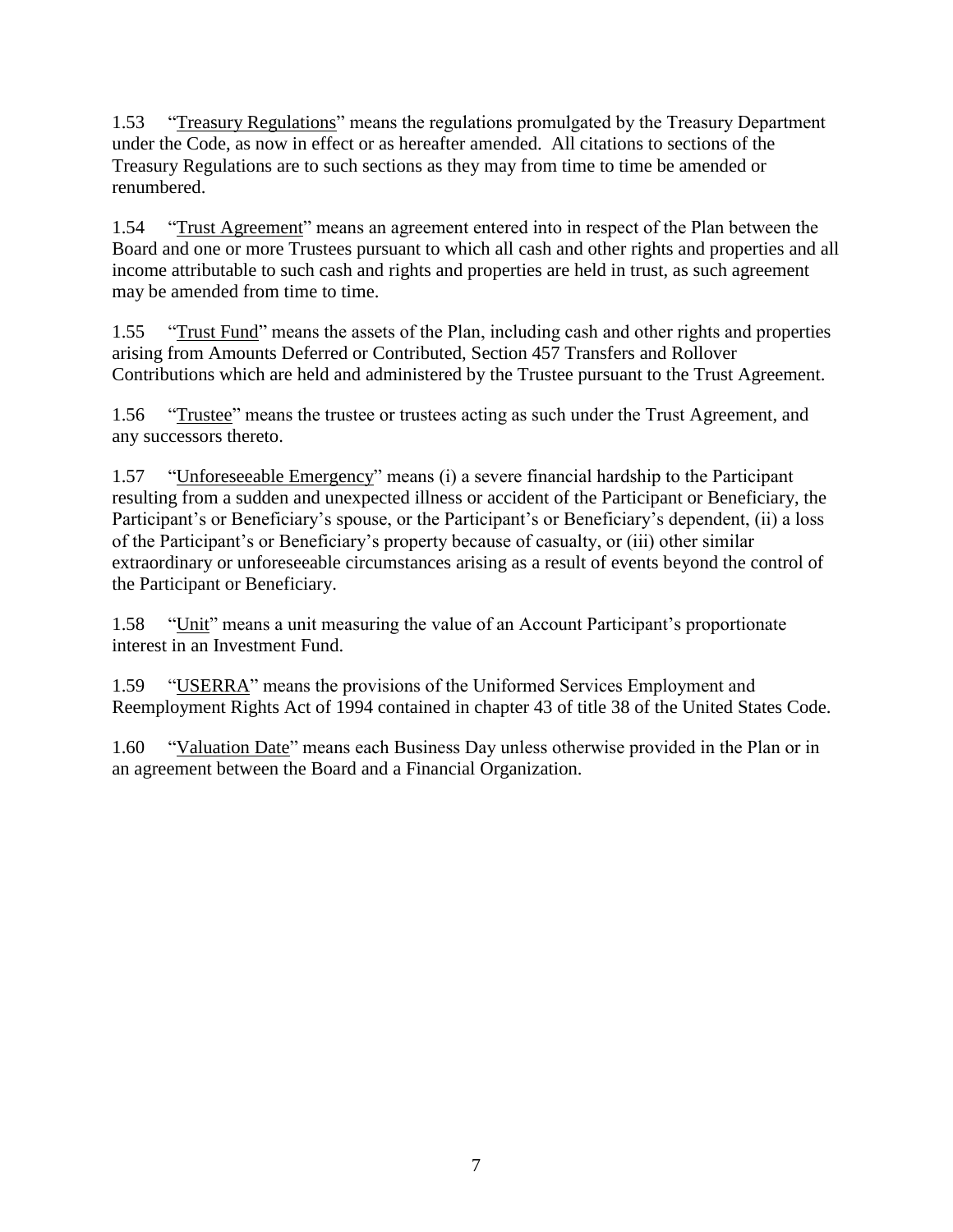1.53 "Treasury Regulations" means the regulations promulgated by the Treasury Department under the Code, as now in effect or as hereafter amended. All citations to sections of the Treasury Regulations are to such sections as they may from time to time be amended or renumbered.

1.54 "Trust Agreement" means an agreement entered into in respect of the Plan between the Board and one or more Trustees pursuant to which all cash and other rights and properties and all income attributable to such cash and rights and properties are held in trust, as such agreement may be amended from time to time.

1.55 "Trust Fund" means the assets of the Plan, including cash and other rights and properties arising from Amounts Deferred or Contributed, Section 457 Transfers and Rollover Contributions which are held and administered by the Trustee pursuant to the Trust Agreement.

1.56 "Trustee" means the trustee or trustees acting as such under the Trust Agreement, and any successors thereto.

1.57 "Unforeseeable Emergency" means (i) a severe financial hardship to the Participant resulting from a sudden and unexpected illness or accident of the Participant or Beneficiary, the Participant's or Beneficiary's spouse, or the Participant's or Beneficiary's dependent, (ii) a loss of the Participant's or Beneficiary's property because of casualty, or (iii) other similar extraordinary or unforeseeable circumstances arising as a result of events beyond the control of the Participant or Beneficiary.

1.58 "Unit" means a unit measuring the value of an Account Participant's proportionate interest in an Investment Fund.

1.59 "USERRA" means the provisions of the Uniformed Services Employment and Reemployment Rights Act of 1994 contained in chapter 43 of title 38 of the United States Code.

1.60 "Valuation Date" means each Business Day unless otherwise provided in the Plan or in an agreement between the Board and a Financial Organization.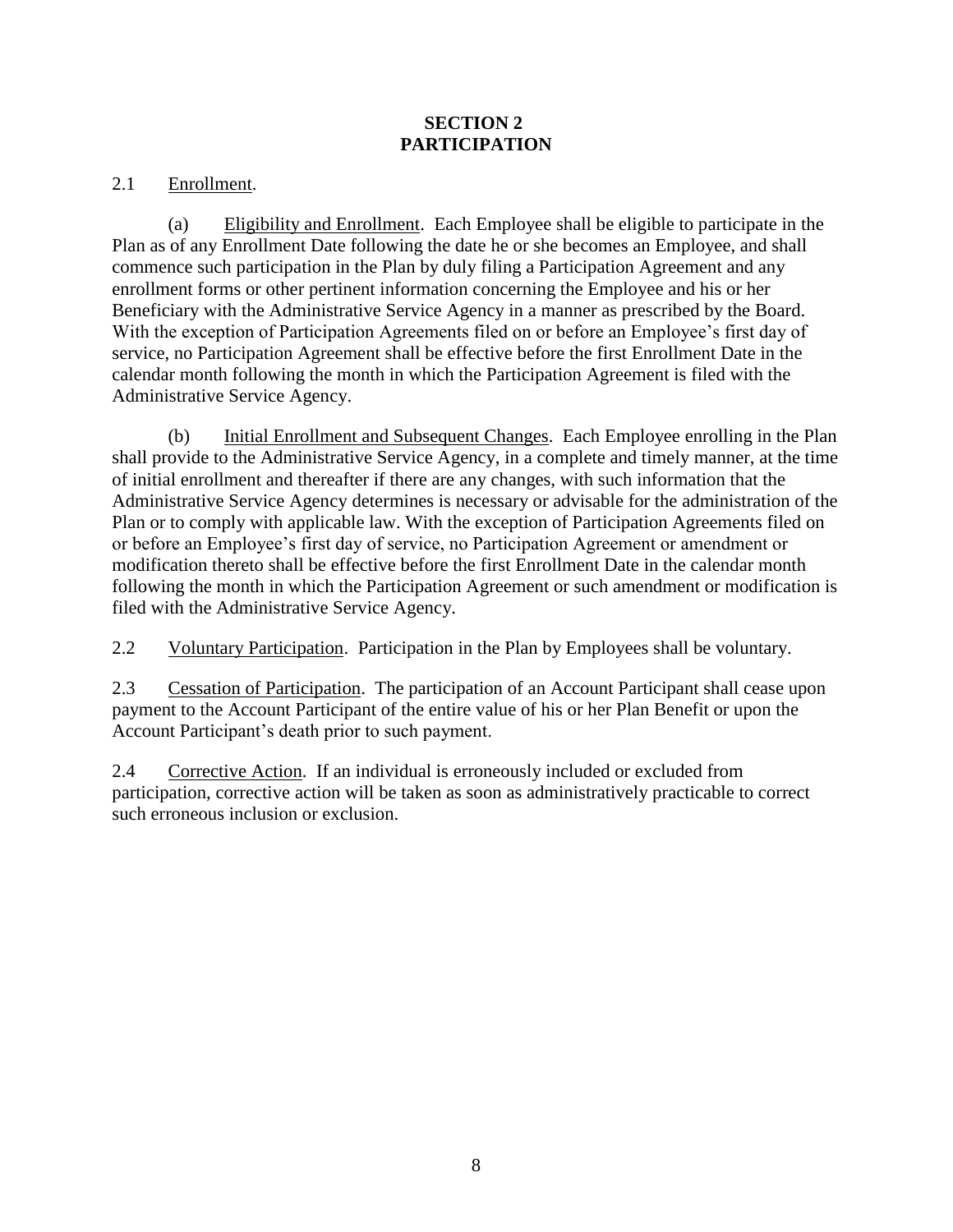## **SECTION 2 PARTICIPATION**

## 2.1 Enrollment.

<span id="page-9-0"></span>(a) Eligibility and Enrollment. Each Employee shall be eligible to participate in the Plan as of any Enrollment Date following the date he or she becomes an Employee, and shall commence such participation in the Plan by duly filing a Participation Agreement and any enrollment forms or other pertinent information concerning the Employee and his or her Beneficiary with the Administrative Service Agency in a manner as prescribed by the Board. With the exception of Participation Agreements filed on or before an Employee's first day of service, no Participation Agreement shall be effective before the first Enrollment Date in the calendar month following the month in which the Participation Agreement is filed with the Administrative Service Agency.

<span id="page-9-1"></span>(b) Initial Enrollment and Subsequent Changes. Each Employee enrolling in the Plan shall provide to the Administrative Service Agency, in a complete and timely manner, at the time of initial enrollment and thereafter if there are any changes, with such information that the Administrative Service Agency determines is necessary or advisable for the administration of the Plan or to comply with applicable law. With the exception of Participation Agreements filed on or before an Employee's first day of service, no Participation Agreement or amendment or modification thereto shall be effective before the first Enrollment Date in the calendar month following the month in which the Participation Agreement or such amendment or modification is filed with the Administrative Service Agency.

2.2 Voluntary Participation. Participation in the Plan by Employees shall be voluntary.

2.3 Cessation of Participation. The participation of an Account Participant shall cease upon payment to the Account Participant of the entire value of his or her Plan Benefit or upon the Account Participant's death prior to such payment.

2.4 Corrective Action. If an individual is erroneously included or excluded from participation, corrective action will be taken as soon as administratively practicable to correct such erroneous inclusion or exclusion.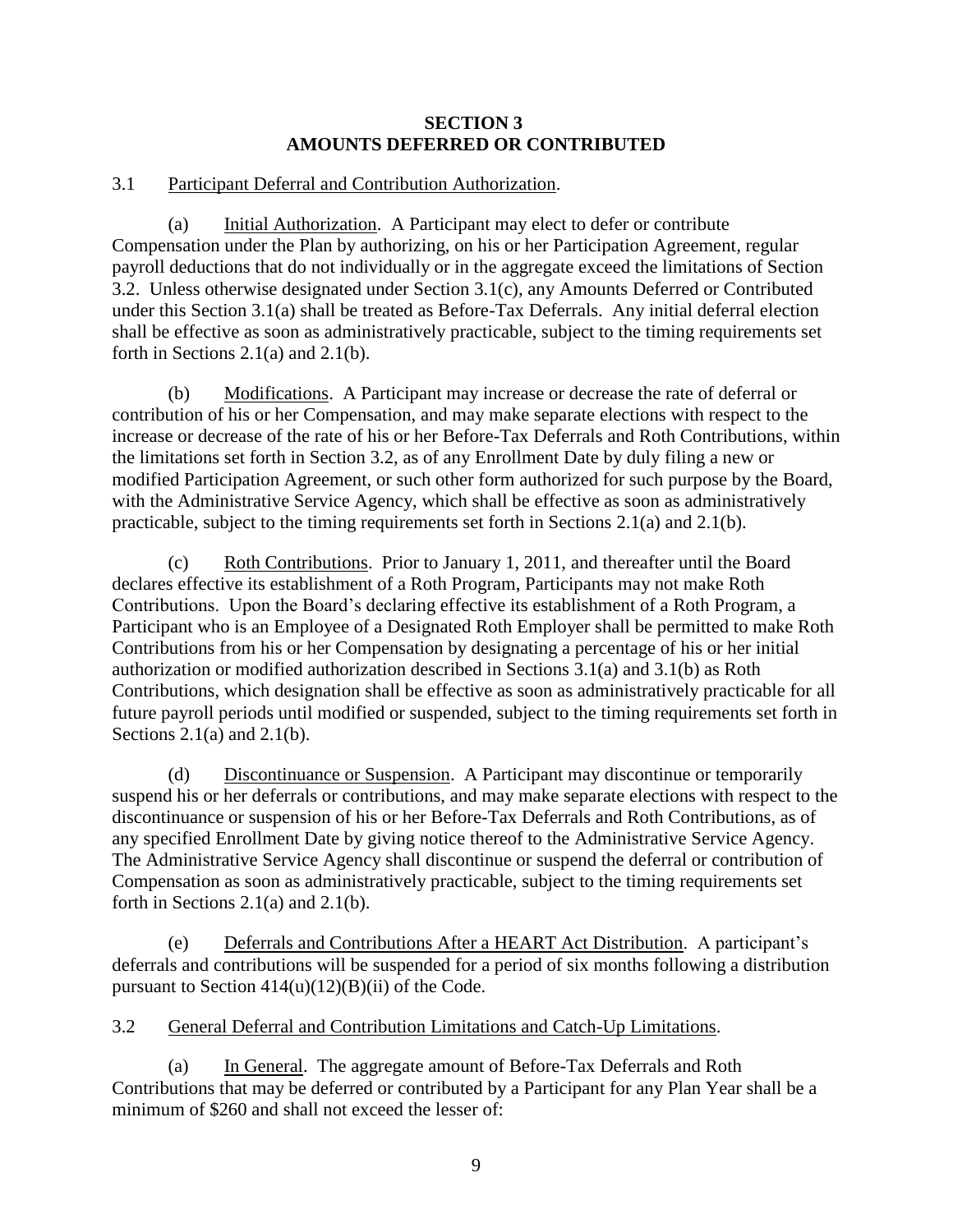## **SECTION 3 AMOUNTS DEFERRED OR CONTRIBUTED**

## <span id="page-10-0"></span>3.1 Participant Deferral and Contribution Authorization.

<span id="page-10-3"></span>(a) Initial Authorization. A Participant may elect to defer or contribute Compensation under the Plan by authorizing, on his or her Participation Agreement*,* regular payroll deductions that do not individually or in the aggregate exceed the limitations of Section [3.2.](#page-10-1) Unless otherwise designated under Section [3.1\(c\),](#page-10-2) any Amounts Deferred or Contributed under this Section [3.1\(a\)](#page-10-3) shall be treated as Before-Tax Deferrals. Any initial deferral election shall be effective as soon as administratively practicable, subject to the timing requirements set forth in Sections [2.1\(a\)](#page-9-0) and [2.1\(b\).](#page-9-1)

<span id="page-10-4"></span>(b) Modifications. A Participant may increase or decrease the rate of deferral or contribution of his or her Compensation, and may make separate elections with respect to the increase or decrease of the rate of his or her Before-Tax Deferrals and Roth Contributions, within the limitations set forth in Section [3.2,](#page-10-1) as of any Enrollment Date by duly filing a new or modified Participation Agreement, or such other form authorized for such purpose by the Board, with the Administrative Service Agency, which shall be effective as soon as administratively practicable, subject to the timing requirements set forth in Sections [2.1\(a\)](#page-9-0) and [2.1\(b\).](#page-9-1)

<span id="page-10-2"></span>(c) Roth Contributions. Prior to January 1, 2011, and thereafter until the Board declares effective its establishment of a Roth Program, Participants may not make Roth Contributions. Upon the Board's declaring effective its establishment of a Roth Program, a Participant who is an Employee of a Designated Roth Employer shall be permitted to make Roth Contributions from his or her Compensation by designating a percentage of his or her initial authorization or modified authorization described in Sections [3.1\(a\)](#page-10-3) and [3.1\(b\)](#page-10-4) as Roth Contributions, which designation shall be effective as soon as administratively practicable for all future payroll periods until modified or suspended, subject to the timing requirements set forth in Sections  $2.1(a)$  and  $2.1(b)$ .

(d) Discontinuance or Suspension. A Participant may discontinue or temporarily suspend his or her deferrals or contributions, and may make separate elections with respect to the discontinuance or suspension of his or her Before-Tax Deferrals and Roth Contributions, as of any specified Enrollment Date by giving notice thereof to the Administrative Service Agency. The Administrative Service Agency shall discontinue or suspend the deferral or contribution of Compensation as soon as administratively practicable, subject to the timing requirements set forth in Sections [2.1\(a\)](#page-9-0) and [2.1\(b\).](#page-9-1)

(e) Deferrals and Contributions After a HEART Act Distribution. A participant's deferrals and contributions will be suspended for a period of six months following a distribution pursuant to Section  $414(u)(12)(B)(ii)$  of the Code.

<span id="page-10-1"></span>3.2 General Deferral and Contribution Limitations and Catch-Up Limitations.

<span id="page-10-5"></span>(a) In General. The aggregate amount of Before-Tax Deferrals and Roth Contributions that may be deferred or contributed by a Participant for any Plan Year shall be a minimum of \$260 and shall not exceed the lesser of: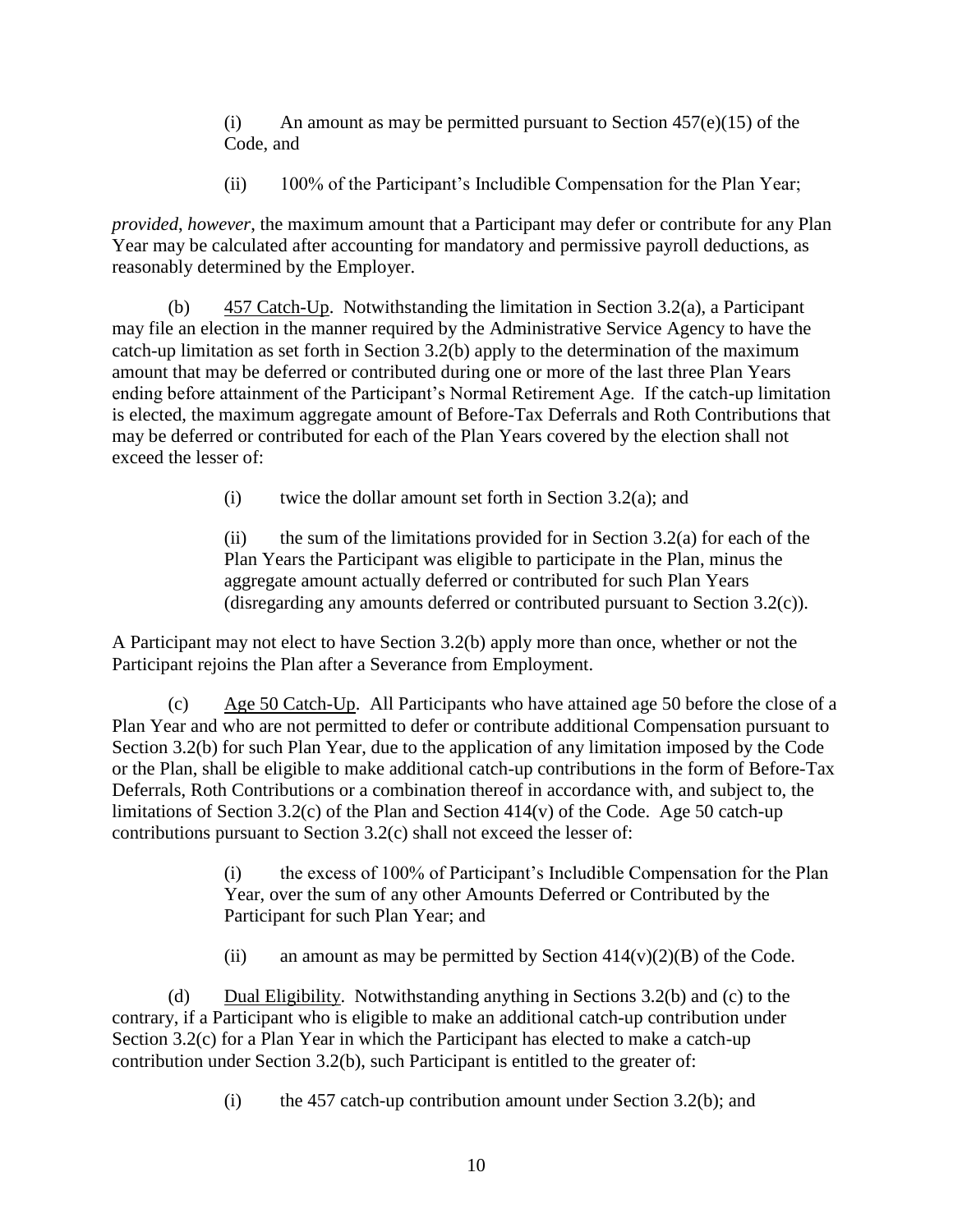(i) An amount as may be permitted pursuant to Section  $457(e)(15)$  of the Code, and

(ii) 100% of the Participant's Includible Compensation for the Plan Year;

*provided*, *however*, the maximum amount that a Participant may defer or contribute for any Plan Year may be calculated after accounting for mandatory and permissive payroll deductions, as reasonably determined by the Employer.

<span id="page-11-0"></span>(b)  $457$  Catch-Up. Notwithstanding the limitation in Section 3.2(a), a Participant may file an election in the manner required by the Administrative Service Agency to have the catch-up limitation as set forth in Section [3.2\(b\)](#page-11-0) apply to the determination of the maximum amount that may be deferred or contributed during one or more of the last three Plan Years ending before attainment of the Participant's Normal Retirement Age. If the catch-up limitation is elected, the maximum aggregate amount of Before-Tax Deferrals and Roth Contributions that may be deferred or contributed for each of the Plan Years covered by the election shall not exceed the lesser of:

(i) twice the dollar amount set forth in Section  $3.2(a)$ ; and

(ii) the sum of the limitations provided for in Section  $3.2(a)$  for each of the Plan Years the Participant was eligible to participate in the Plan, minus the aggregate amount actually deferred or contributed for such Plan Years (disregarding any amounts deferred or contributed pursuant to Section [3.2\(c\)\)](#page-11-1).

A Participant may not elect to have Section [3.2\(b\)](#page-11-0) apply more than once, whether or not the Participant rejoins the Plan after a Severance from Employment.

<span id="page-11-1"></span>(c) Age 50 Catch-Up. All Participants who have attained age 50 before the close of a Plan Year and who are not permitted to defer or contribute additional Compensation pursuant to Section [3.2\(b\)](#page-11-0) for such Plan Year, due to the application of any limitation imposed by the Code or the Plan, shall be eligible to make additional catch-up contributions in the form of Before-Tax Deferrals, Roth Contributions or a combination thereof in accordance with, and subject to, the limitations of Section [3.2\(c\)](#page-11-1) of the Plan and Section  $414(v)$  of the Code. Age 50 catch-up contributions pursuant to Section [3.2\(c\)](#page-11-1) shall not exceed the lesser of:

> (i) the excess of 100% of Participant's Includible Compensation for the Plan Year, over the sum of any other Amounts Deferred or Contributed by the Participant for such Plan Year; and

(ii) an amount as may be permitted by Section  $414(v)(2)(B)$  of the Code.

(d) Dual Eligibility. Notwithstanding anything in Sections [3.2\(b\)](#page-11-0) and [\(c\)](#page-11-1) to the contrary, if a Participant who is eligible to make an additional catch-up contribution under Section [3.2\(c\)](#page-11-1) for a Plan Year in which the Participant has elected to make a catch-up contribution under Section [3.2\(b\),](#page-11-0) such Participant is entitled to the greater of:

(i) the 457 catch-up contribution amount under Section [3.2\(b\);](#page-11-0) and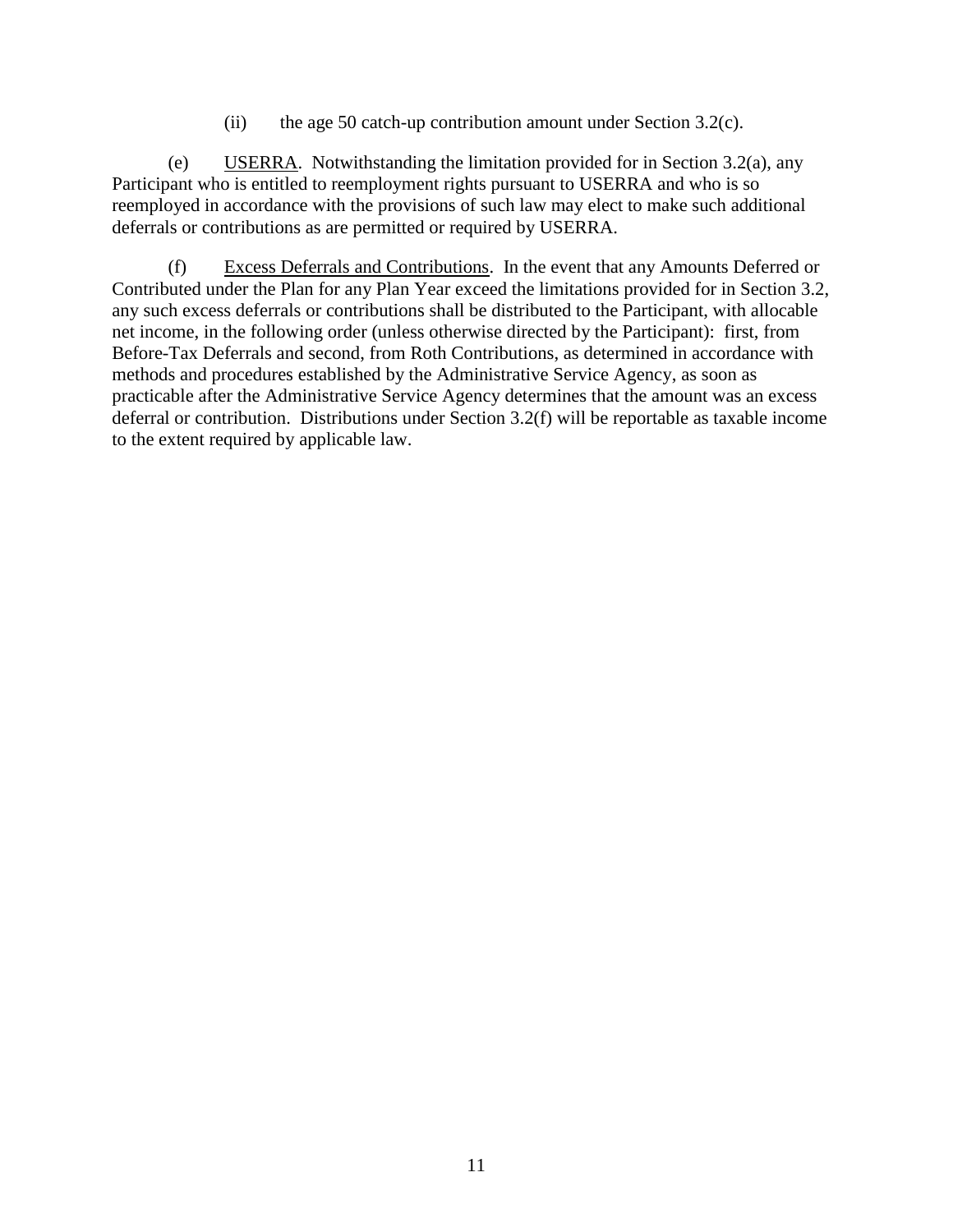(ii) the age 50 catch-up contribution amount under Section  $3.2(c)$ .

(e) USERRA. Notwithstanding the limitation provided for in Section [3.2\(a\),](#page-10-5) any Participant who is entitled to reemployment rights pursuant to USERRA and who is so reemployed in accordance with the provisions of such law may elect to make such additional deferrals or contributions as are permitted or required by USERRA.

<span id="page-12-0"></span>(f) Excess Deferrals and Contributions. In the event that any Amounts Deferred or Contributed under the Plan for any Plan Year exceed the limitations provided for in Section [3.2,](#page-10-1) any such excess deferrals or contributions shall be distributed to the Participant, with allocable net income, in the following order (unless otherwise directed by the Participant): first, from Before-Tax Deferrals and second, from Roth Contributions, as determined in accordance with methods and procedures established by the Administrative Service Agency, as soon as practicable after the Administrative Service Agency determines that the amount was an excess deferral or contribution. Distributions under Section [3.2\(f\)](#page-12-0) will be reportable as taxable income to the extent required by applicable law.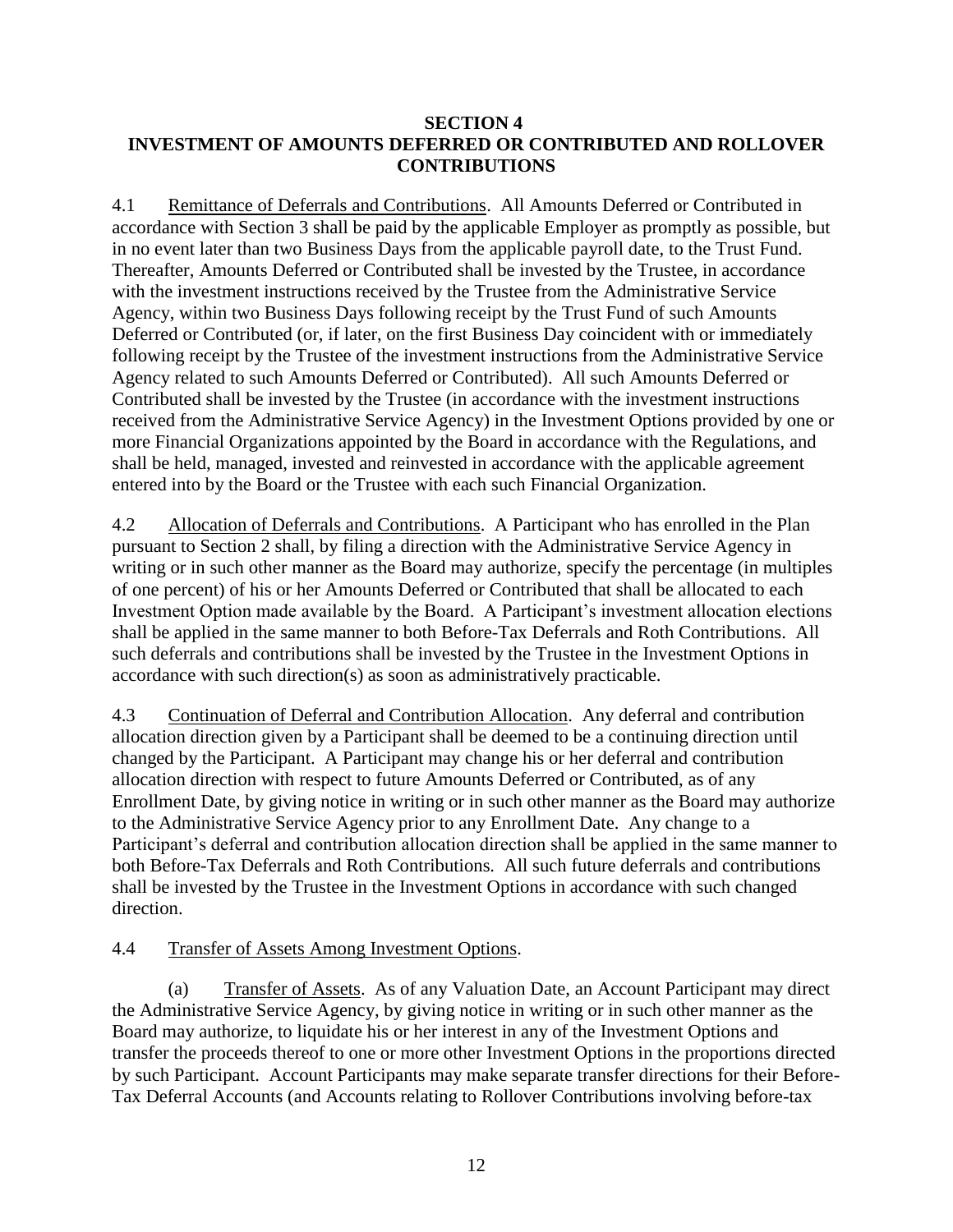## <span id="page-13-3"></span>**SECTION 4 INVESTMENT OF AMOUNTS DEFERRED OR CONTRIBUTED AND ROLLOVER CONTRIBUTIONS**

4.1 Remittance of Deferrals and Contributions. All Amounts Deferred or Contributed in accordance with Section 3 shall be paid by the applicable Employer as promptly as possible, but in no event later than two Business Days from the applicable payroll date, to the Trust Fund. Thereafter, Amounts Deferred or Contributed shall be invested by the Trustee, in accordance with the investment instructions received by the Trustee from the Administrative Service Agency, within two Business Days following receipt by the Trust Fund of such Amounts Deferred or Contributed (or, if later, on the first Business Day coincident with or immediately following receipt by the Trustee of the investment instructions from the Administrative Service Agency related to such Amounts Deferred or Contributed). All such Amounts Deferred or Contributed shall be invested by the Trustee (in accordance with the investment instructions received from the Administrative Service Agency) in the Investment Options provided by one or more Financial Organizations appointed by the Board in accordance with the Regulations, and shall be held, managed, invested and reinvested in accordance with the applicable agreement entered into by the Board or the Trustee with each such Financial Organization.

<span id="page-13-0"></span>4.2 Allocation of Deferrals and Contributions. A Participant who has enrolled in the Plan pursuant to Section 2 shall, by filing a direction with the Administrative Service Agency in writing or in such other manner as the Board may authorize, specify the percentage (in multiples of one percent) of his or her Amounts Deferred or Contributed that shall be allocated to each Investment Option made available by the Board. A Participant's investment allocation elections shall be applied in the same manner to both Before-Tax Deferrals and Roth Contributions. All such deferrals and contributions shall be invested by the Trustee in the Investment Options in accordance with such direction(s) as soon as administratively practicable.

<span id="page-13-2"></span>4.3 Continuation of Deferral and Contribution Allocation. Any deferral and contribution allocation direction given by a Participant shall be deemed to be a continuing direction until changed by the Participant. A Participant may change his or her deferral and contribution allocation direction with respect to future Amounts Deferred or Contributed, as of any Enrollment Date, by giving notice in writing or in such other manner as the Board may authorize to the Administrative Service Agency prior to any Enrollment Date. Any change to a Participant's deferral and contribution allocation direction shall be applied in the same manner to both Before-Tax Deferrals and Roth Contributions. All such future deferrals and contributions shall be invested by the Trustee in the Investment Options in accordance with such changed direction.

## <span id="page-13-1"></span>4.4 Transfer of Assets Among Investment Options.

(a) Transfer of Assets. As of any Valuation Date, an Account Participant may direct the Administrative Service Agency, by giving notice in writing or in such other manner as the Board may authorize, to liquidate his or her interest in any of the Investment Options and transfer the proceeds thereof to one or more other Investment Options in the proportions directed by such Participant. Account Participants may make separate transfer directions for their Before-Tax Deferral Accounts (and Accounts relating to Rollover Contributions involving before-tax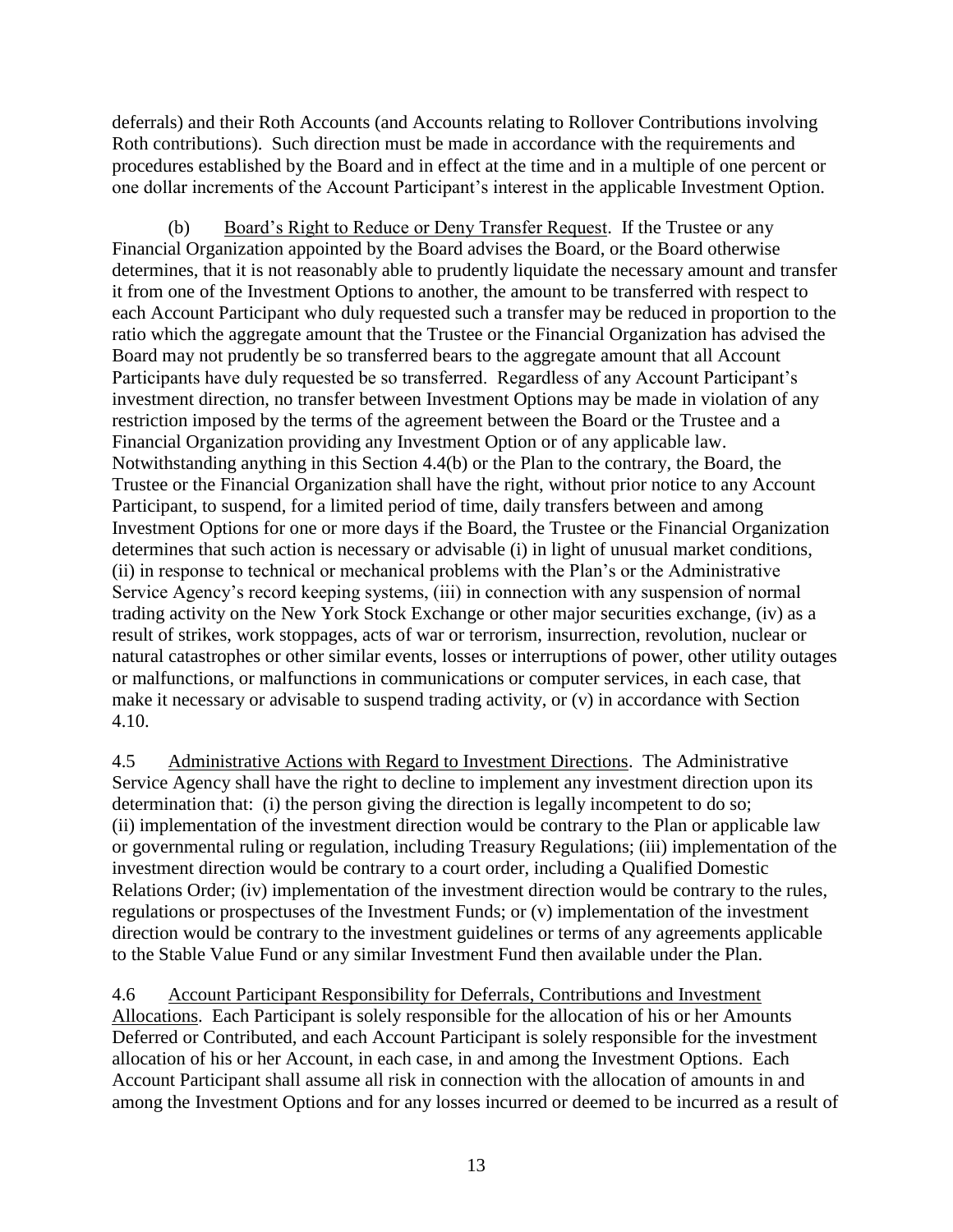deferrals) and their Roth Accounts (and Accounts relating to Rollover Contributions involving Roth contributions). Such direction must be made in accordance with the requirements and procedures established by the Board and in effect at the time and in a multiple of one percent or one dollar increments of the Account Participant's interest in the applicable Investment Option.

<span id="page-14-0"></span>(b) Board's Right to Reduce or Deny Transfer Request. If the Trustee or any Financial Organization appointed by the Board advises the Board, or the Board otherwise determines, that it is not reasonably able to prudently liquidate the necessary amount and transfer it from one of the Investment Options to another, the amount to be transferred with respect to each Account Participant who duly requested such a transfer may be reduced in proportion to the ratio which the aggregate amount that the Trustee or the Financial Organization has advised the Board may not prudently be so transferred bears to the aggregate amount that all Account Participants have duly requested be so transferred. Regardless of any Account Participant's investment direction, no transfer between Investment Options may be made in violation of any restriction imposed by the terms of the agreement between the Board or the Trustee and a Financial Organization providing any Investment Option or of any applicable law. Notwithstanding anything in this Section [4.4\(b\)](#page-14-0) or the Plan to the contrary, the Board, the Trustee or the Financial Organization shall have the right, without prior notice to any Account Participant, to suspend, for a limited period of time, daily transfers between and among Investment Options for one or more days if the Board, the Trustee or the Financial Organization determines that such action is necessary or advisable (i) in light of unusual market conditions, (ii) in response to technical or mechanical problems with the Plan's or the Administrative Service Agency's record keeping systems, (iii) in connection with any suspension of normal trading activity on the New York Stock Exchange or other major securities exchange, (iv) as a result of strikes, work stoppages, acts of war or terrorism, insurrection, revolution, nuclear or natural catastrophes or other similar events, losses or interruptions of power, other utility outages or malfunctions, or malfunctions in communications or computer services, in each case, that make it necessary or advisable to suspend trading activity, or (v) in accordance with Section [4.10.](#page-16-0)

<span id="page-14-2"></span>4.5 Administrative Actions with Regard to Investment Directions. The Administrative Service Agency shall have the right to decline to implement any investment direction upon its determination that: (i) the person giving the direction is legally incompetent to do so; (ii) implementation of the investment direction would be contrary to the Plan or applicable law or governmental ruling or regulation, including Treasury Regulations; (iii) implementation of the investment direction would be contrary to a court order, including a Qualified Domestic Relations Order; (iv) implementation of the investment direction would be contrary to the rules, regulations or prospectuses of the Investment Funds; or (v) implementation of the investment direction would be contrary to the investment guidelines or terms of any agreements applicable to the Stable Value Fund or any similar Investment Fund then available under the Plan.

<span id="page-14-1"></span>4.6 Account Participant Responsibility for Deferrals, Contributions and Investment Allocations. Each Participant is solely responsible for the allocation of his or her Amounts Deferred or Contributed, and each Account Participant is solely responsible for the investment allocation of his or her Account, in each case, in and among the Investment Options. Each Account Participant shall assume all risk in connection with the allocation of amounts in and among the Investment Options and for any losses incurred or deemed to be incurred as a result of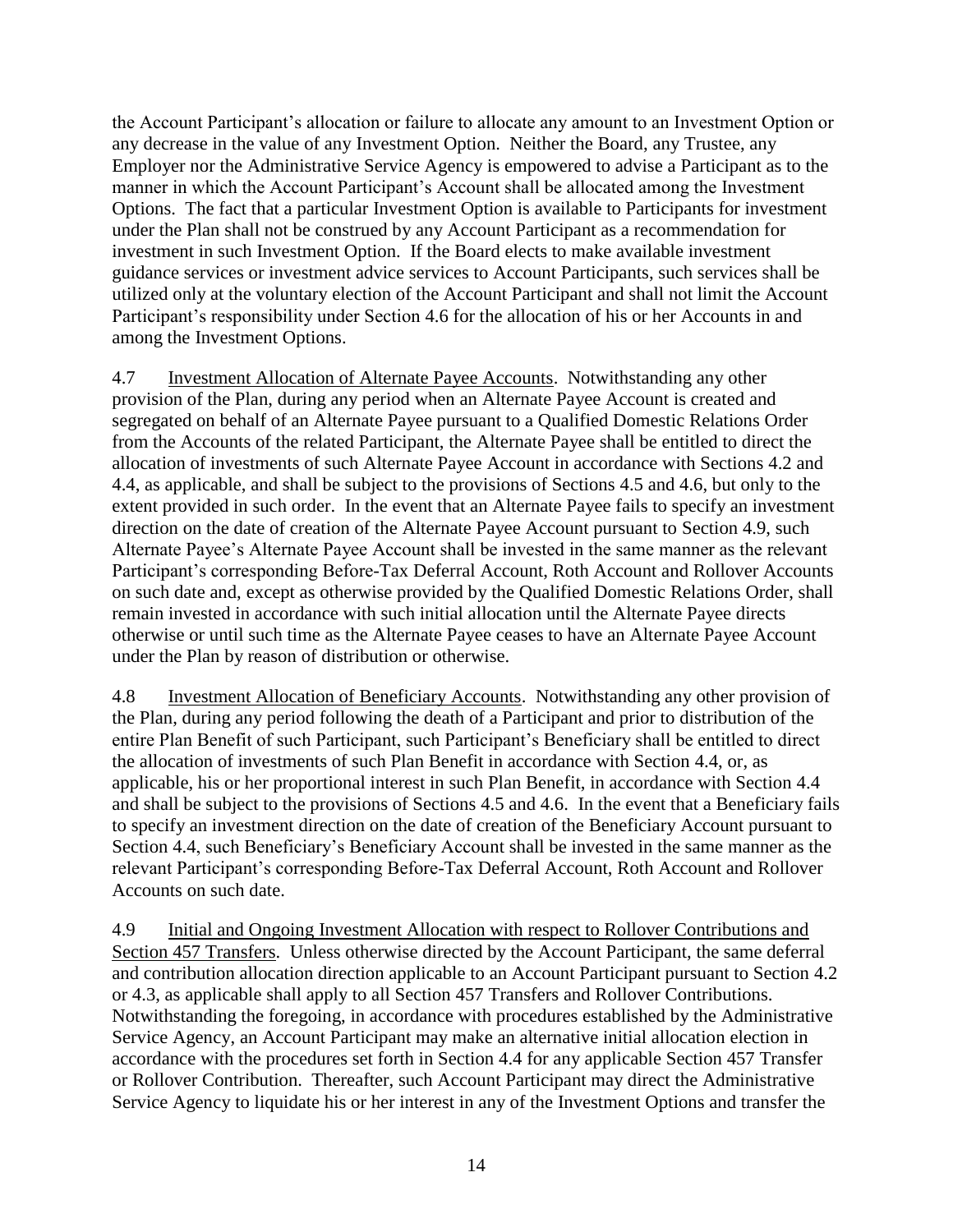the Account Participant's allocation or failure to allocate any amount to an Investment Option or any decrease in the value of any Investment Option. Neither the Board, any Trustee, any Employer nor the Administrative Service Agency is empowered to advise a Participant as to the manner in which the Account Participant's Account shall be allocated among the Investment Options. The fact that a particular Investment Option is available to Participants for investment under the Plan shall not be construed by any Account Participant as a recommendation for investment in such Investment Option. If the Board elects to make available investment guidance services or investment advice services to Account Participants, such services shall be utilized only at the voluntary election of the Account Participant and shall not limit the Account Participant's responsibility under Section [4.6](#page-14-1) for the allocation of his or her Accounts in and among the Investment Options.

4.7 Investment Allocation of Alternate Payee Accounts. Notwithstanding any other provision of the Plan, during any period when an Alternate Payee Account is created and segregated on behalf of an Alternate Payee pursuant to a Qualified Domestic Relations Order from the Accounts of the related Participant, the Alternate Payee shall be entitled to direct the allocation of investments of such Alternate Payee Account in accordance with Sections [4.2](#page-13-0) and [4.4,](#page-13-1) as applicable, and shall be subject to the provisions of Sections [4.5](#page-14-2) and [4.6,](#page-14-1) but only to the extent provided in such order. In the event that an Alternate Payee fails to specify an investment direction on the date of creation of the Alternate Payee Account pursuant to Section [4.9,](#page-15-0) such Alternate Payee's Alternate Payee Account shall be invested in the same manner as the relevant Participant's corresponding Before-Tax Deferral Account, Roth Account and Rollover Accounts on such date and, except as otherwise provided by the Qualified Domestic Relations Order, shall remain invested in accordance with such initial allocation until the Alternate Payee directs otherwise or until such time as the Alternate Payee ceases to have an Alternate Payee Account under the Plan by reason of distribution or otherwise.

4.8 Investment Allocation of Beneficiary Accounts. Notwithstanding any other provision of the Plan, during any period following the death of a Participant and prior to distribution of the entire Plan Benefit of such Participant, such Participant's Beneficiary shall be entitled to direct the allocation of investments of such Plan Benefit in accordance with Section [4.4,](#page-13-1) or, as applicable, his or her proportional interest in such Plan Benefit, in accordance with Section [4.4](#page-13-1) and shall be subject to the provisions of Sections [4.5](#page-14-2) and [4.6.](#page-14-1) In the event that a Beneficiary fails to specify an investment direction on the date of creation of the Beneficiary Account pursuant to Section [4.4,](#page-13-1) such Beneficiary's Beneficiary Account shall be invested in the same manner as the relevant Participant's corresponding Before-Tax Deferral Account, Roth Account and Rollover Accounts on such date.

<span id="page-15-0"></span>4.9 Initial and Ongoing Investment Allocation with respect to Rollover Contributions and Section 457 Transfers. Unless otherwise directed by the Account Participant, the same deferral and contribution allocation direction applicable to an Account Participant pursuant to Section [4.2](#page-13-0) or [4.3,](#page-13-2) as applicable shall apply to all Section 457 Transfers and Rollover Contributions. Notwithstanding the foregoing, in accordance with procedures established by the Administrative Service Agency, an Account Participant may make an alternative initial allocation election in accordance with the procedures set forth in Section [4.4](#page-13-1) for any applicable Section 457 Transfer or Rollover Contribution. Thereafter, such Account Participant may direct the Administrative Service Agency to liquidate his or her interest in any of the Investment Options and transfer the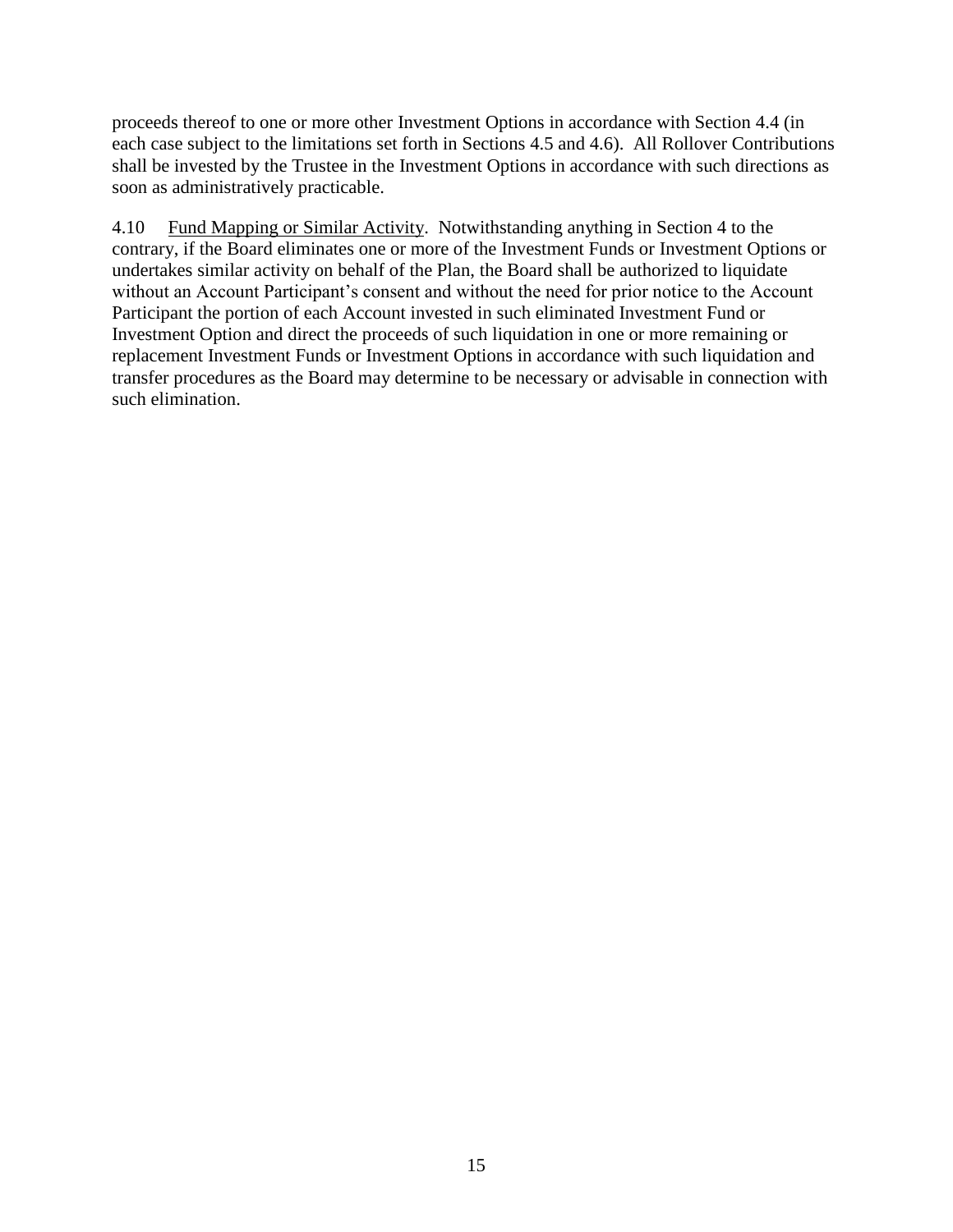proceeds thereof to one or more other Investment Options in accordance with Section [4.4](#page-13-1) (in each case subject to the limitations set forth in Sections [4.5](#page-14-2) and [4.6\)](#page-14-1). All Rollover Contributions shall be invested by the Trustee in the Investment Options in accordance with such directions as soon as administratively practicable.

<span id="page-16-0"></span>4.10 Fund Mapping or Similar Activity. Notwithstanding anything in Section 4 to the contrary, if the Board eliminates one or more of the Investment Funds or Investment Options or undertakes similar activity on behalf of the Plan, the Board shall be authorized to liquidate without an Account Participant's consent and without the need for prior notice to the Account Participant the portion of each Account invested in such eliminated Investment Fund or Investment Option and direct the proceeds of such liquidation in one or more remaining or replacement Investment Funds or Investment Options in accordance with such liquidation and transfer procedures as the Board may determine to be necessary or advisable in connection with such elimination.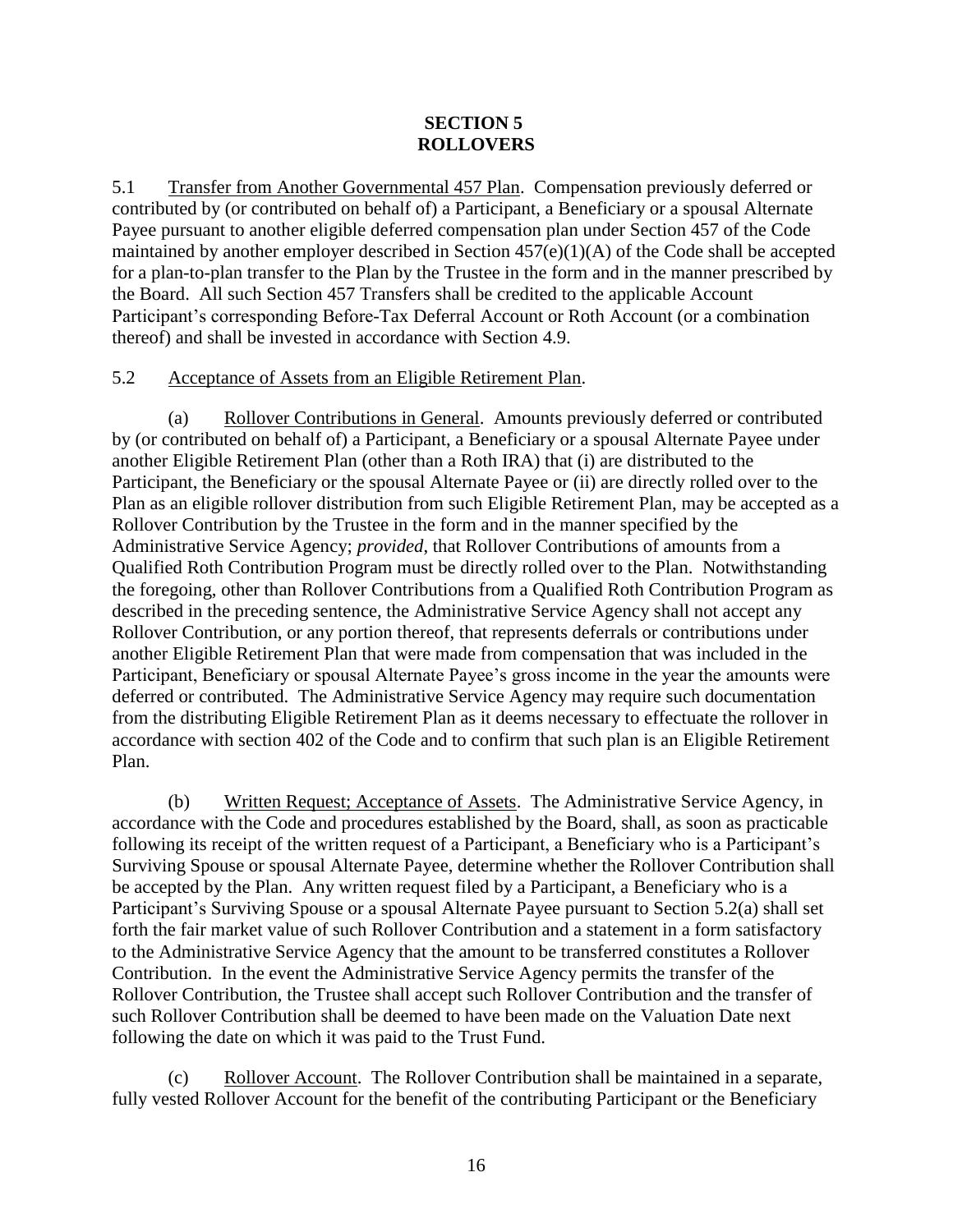## <span id="page-17-3"></span>**SECTION 5 ROLLOVERS**

<span id="page-17-2"></span>5.1 Transfer from Another Governmental 457 Plan. Compensation previously deferred or contributed by (or contributed on behalf of) a Participant, a Beneficiary or a spousal Alternate Payee pursuant to another eligible deferred compensation plan under Section 457 of the Code maintained by another employer described in Section 457(e)(1)(A) of the Code shall be accepted for a plan-to-plan transfer to the Plan by the Trustee in the form and in the manner prescribed by the Board. All such Section 457 Transfers shall be credited to the applicable Account Participant's corresponding Before-Tax Deferral Account or Roth Account (or a combination thereof) and shall be invested in accordance with Section [4.9.](#page-15-0)

## <span id="page-17-1"></span>5.2 Acceptance of Assets from an Eligible Retirement Plan.

(a) Rollover Contributions in General. Amounts previously deferred or contributed by (or contributed on behalf of) a Participant, a Beneficiary or a spousal Alternate Payee under another Eligible Retirement Plan (other than a Roth IRA) that (i) are distributed to the Participant, the Beneficiary or the spousal Alternate Payee or (ii) are directly rolled over to the Plan as an eligible rollover distribution from such Eligible Retirement Plan, may be accepted as a Rollover Contribution by the Trustee in the form and in the manner specified by the Administrative Service Agency; *provided*, that Rollover Contributions of amounts from a Qualified Roth Contribution Program must be directly rolled over to the Plan. Notwithstanding the foregoing, other than Rollover Contributions from a Qualified Roth Contribution Program as described in the preceding sentence, the Administrative Service Agency shall not accept any Rollover Contribution, or any portion thereof, that represents deferrals or contributions under another Eligible Retirement Plan that were made from compensation that was included in the Participant, Beneficiary or spousal Alternate Payee's gross income in the year the amounts were deferred or contributed. The Administrative Service Agency may require such documentation from the distributing Eligible Retirement Plan as it deems necessary to effectuate the rollover in accordance with section 402 of the Code and to confirm that such plan is an Eligible Retirement Plan.

(b) Written Request; Acceptance of Assets. The Administrative Service Agency, in accordance with the Code and procedures established by the Board, shall, as soon as practicable following its receipt of the written request of a Participant, a Beneficiary who is a Participant's Surviving Spouse or spousal Alternate Payee, determine whether the Rollover Contribution shall be accepted by the Plan. Any written request filed by a Participant, a Beneficiary who is a Participant's Surviving Spouse or a spousal Alternate Payee pursuant to Section [5.2\(a\)](#page-17-3) shall set forth the fair market value of such Rollover Contribution and a statement in a form satisfactory to the Administrative Service Agency that the amount to be transferred constitutes a Rollover Contribution. In the event the Administrative Service Agency permits the transfer of the Rollover Contribution, the Trustee shall accept such Rollover Contribution and the transfer of such Rollover Contribution shall be deemed to have been made on the Valuation Date next following the date on which it was paid to the Trust Fund.

<span id="page-17-0"></span>(c) Rollover Account. The Rollover Contribution shall be maintained in a separate, fully vested Rollover Account for the benefit of the contributing Participant or the Beneficiary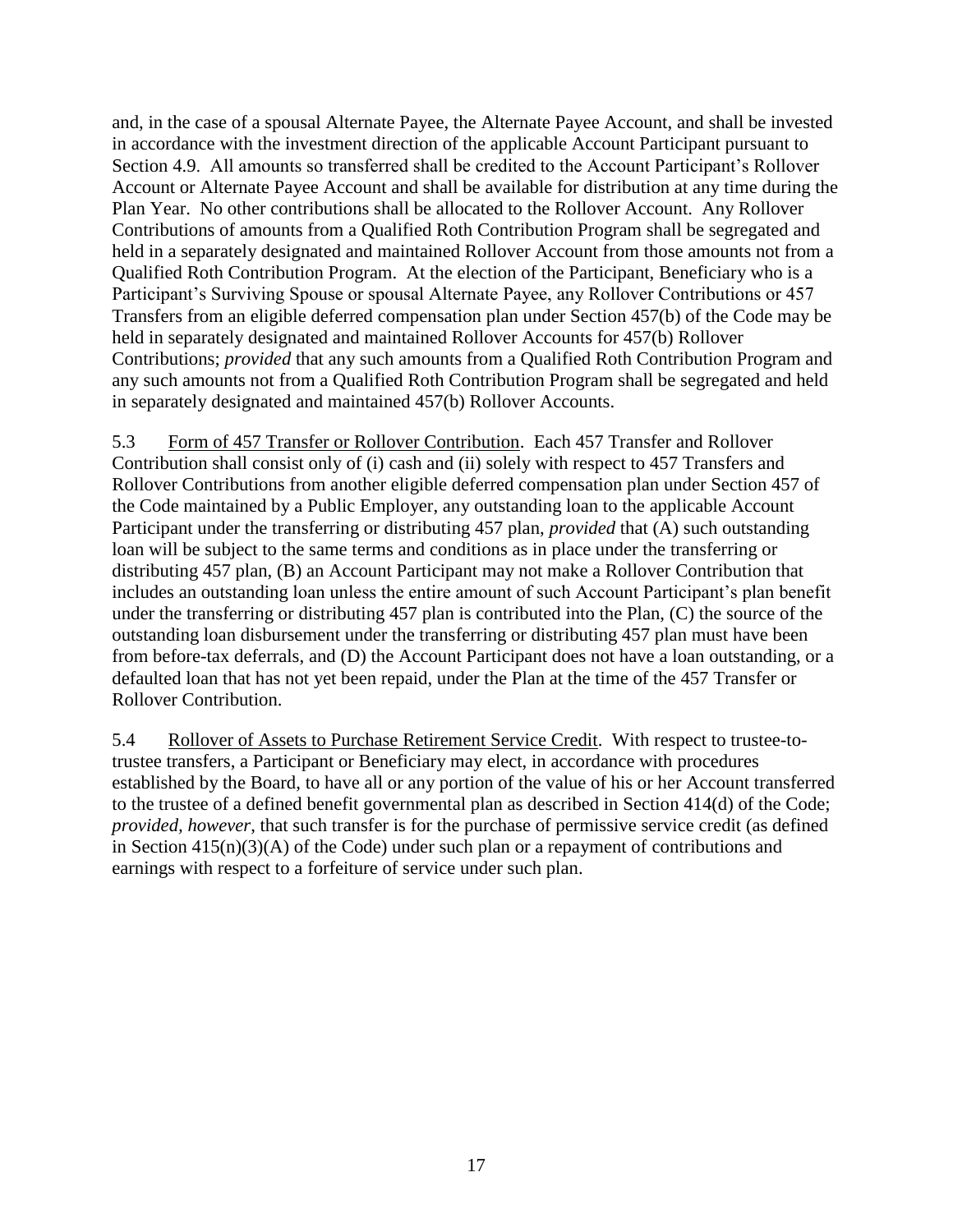and, in the case of a spousal Alternate Payee, the Alternate Payee Account, and shall be invested in accordance with the investment direction of the applicable Account Participant pursuant to Section [4.9.](#page-15-0) All amounts so transferred shall be credited to the Account Participant's Rollover Account or Alternate Payee Account and shall be available for distribution at any time during the Plan Year. No other contributions shall be allocated to the Rollover Account. Any Rollover Contributions of amounts from a Qualified Roth Contribution Program shall be segregated and held in a separately designated and maintained Rollover Account from those amounts not from a Qualified Roth Contribution Program. At the election of the Participant, Beneficiary who is a Participant's Surviving Spouse or spousal Alternate Payee, any Rollover Contributions or 457 Transfers from an eligible deferred compensation plan under Section 457(b) of the Code may be held in separately designated and maintained Rollover Accounts for 457(b) Rollover Contributions; *provided* that any such amounts from a Qualified Roth Contribution Program and any such amounts not from a Qualified Roth Contribution Program shall be segregated and held in separately designated and maintained 457(b) Rollover Accounts.

5.3 Form of 457 Transfer or Rollover Contribution. Each 457 Transfer and Rollover Contribution shall consist only of (i) cash and (ii) solely with respect to 457 Transfers and Rollover Contributions from another eligible deferred compensation plan under Section 457 of the Code maintained by a Public Employer, any outstanding loan to the applicable Account Participant under the transferring or distributing 457 plan, *provided* that (A) such outstanding loan will be subject to the same terms and conditions as in place under the transferring or distributing 457 plan, (B) an Account Participant may not make a Rollover Contribution that includes an outstanding loan unless the entire amount of such Account Participant's plan benefit under the transferring or distributing 457 plan is contributed into the Plan, (C) the source of the outstanding loan disbursement under the transferring or distributing 457 plan must have been from before-tax deferrals, and (D) the Account Participant does not have a loan outstanding, or a defaulted loan that has not yet been repaid, under the Plan at the time of the 457 Transfer or Rollover Contribution.

5.4 Rollover of Assets to Purchase Retirement Service Credit. With respect to trustee-totrustee transfers, a Participant or Beneficiary may elect, in accordance with procedures established by the Board, to have all or any portion of the value of his or her Account transferred to the trustee of a defined benefit governmental plan as described in Section 414(d) of the Code; *provided, however*, that such transfer is for the purchase of permissive service credit (as defined in Section  $415(n)(3)(A)$  of the Code) under such plan or a repayment of contributions and earnings with respect to a forfeiture of service under such plan.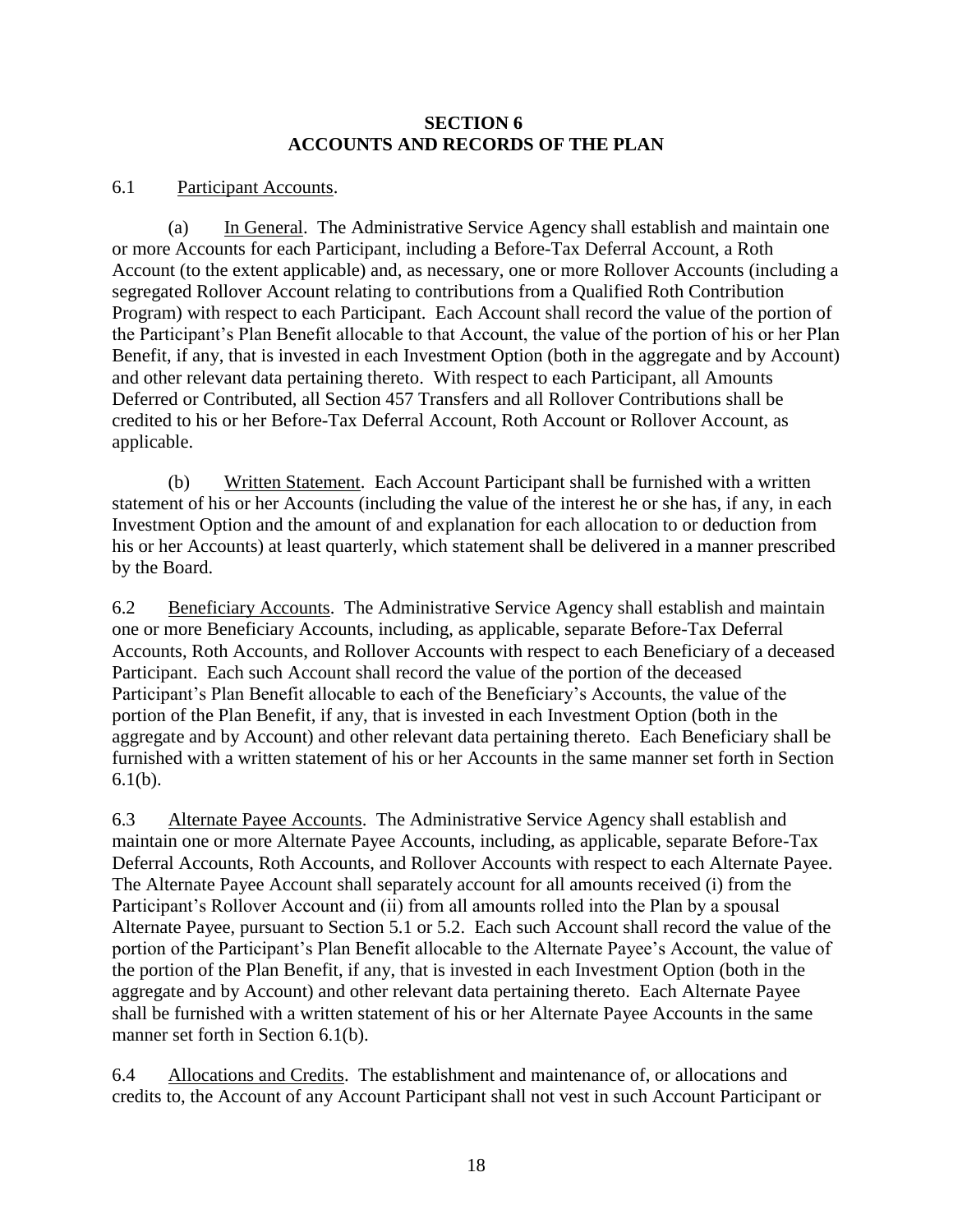#### **SECTION 6 ACCOUNTS AND RECORDS OF THE PLAN**

## 6.1 Participant Accounts.

(a) In General. The Administrative Service Agency shall establish and maintain one or more Accounts for each Participant, including a Before-Tax Deferral Account, a Roth Account (to the extent applicable) and, as necessary, one or more Rollover Accounts (including a segregated Rollover Account relating to contributions from a Qualified Roth Contribution Program) with respect to each Participant. Each Account shall record the value of the portion of the Participant's Plan Benefit allocable to that Account, the value of the portion of his or her Plan Benefit, if any, that is invested in each Investment Option (both in the aggregate and by Account) and other relevant data pertaining thereto. With respect to each Participant, all Amounts Deferred or Contributed, all Section 457 Transfers and all Rollover Contributions shall be credited to his or her Before-Tax Deferral Account, Roth Account or Rollover Account, as applicable.

<span id="page-19-0"></span>(b) Written Statement. Each Account Participant shall be furnished with a written statement of his or her Accounts (including the value of the interest he or she has, if any, in each Investment Option and the amount of and explanation for each allocation to or deduction from his or her Accounts) at least quarterly, which statement shall be delivered in a manner prescribed by the Board.

6.2 Beneficiary Accounts. The Administrative Service Agency shall establish and maintain one or more Beneficiary Accounts, including, as applicable, separate Before-Tax Deferral Accounts, Roth Accounts, and Rollover Accounts with respect to each Beneficiary of a deceased Participant. Each such Account shall record the value of the portion of the deceased Participant's Plan Benefit allocable to each of the Beneficiary's Accounts, the value of the portion of the Plan Benefit, if any, that is invested in each Investment Option (both in the aggregate and by Account) and other relevant data pertaining thereto. Each Beneficiary shall be furnished with a written statement of his or her Accounts in the same manner set forth in Section [6.1\(b\).](#page-19-0)

6.3 Alternate Payee Accounts. The Administrative Service Agency shall establish and maintain one or more Alternate Payee Accounts, including, as applicable, separate Before-Tax Deferral Accounts, Roth Accounts, and Rollover Accounts with respect to each Alternate Payee. The Alternate Payee Account shall separately account for all amounts received (i) from the Participant's Rollover Account and (ii) from all amounts rolled into the Plan by a spousal Alternate Payee, pursuant to Section [5.1](#page-17-2) or [5.2.](#page-17-1) Each such Account shall record the value of the portion of the Participant's Plan Benefit allocable to the Alternate Payee's Account, the value of the portion of the Plan Benefit, if any, that is invested in each Investment Option (both in the aggregate and by Account) and other relevant data pertaining thereto. Each Alternate Payee shall be furnished with a written statement of his or her Alternate Payee Accounts in the same manner set forth in Section [6.1\(b\).](#page-19-0)

6.4 Allocations and Credits. The establishment and maintenance of, or allocations and credits to, the Account of any Account Participant shall not vest in such Account Participant or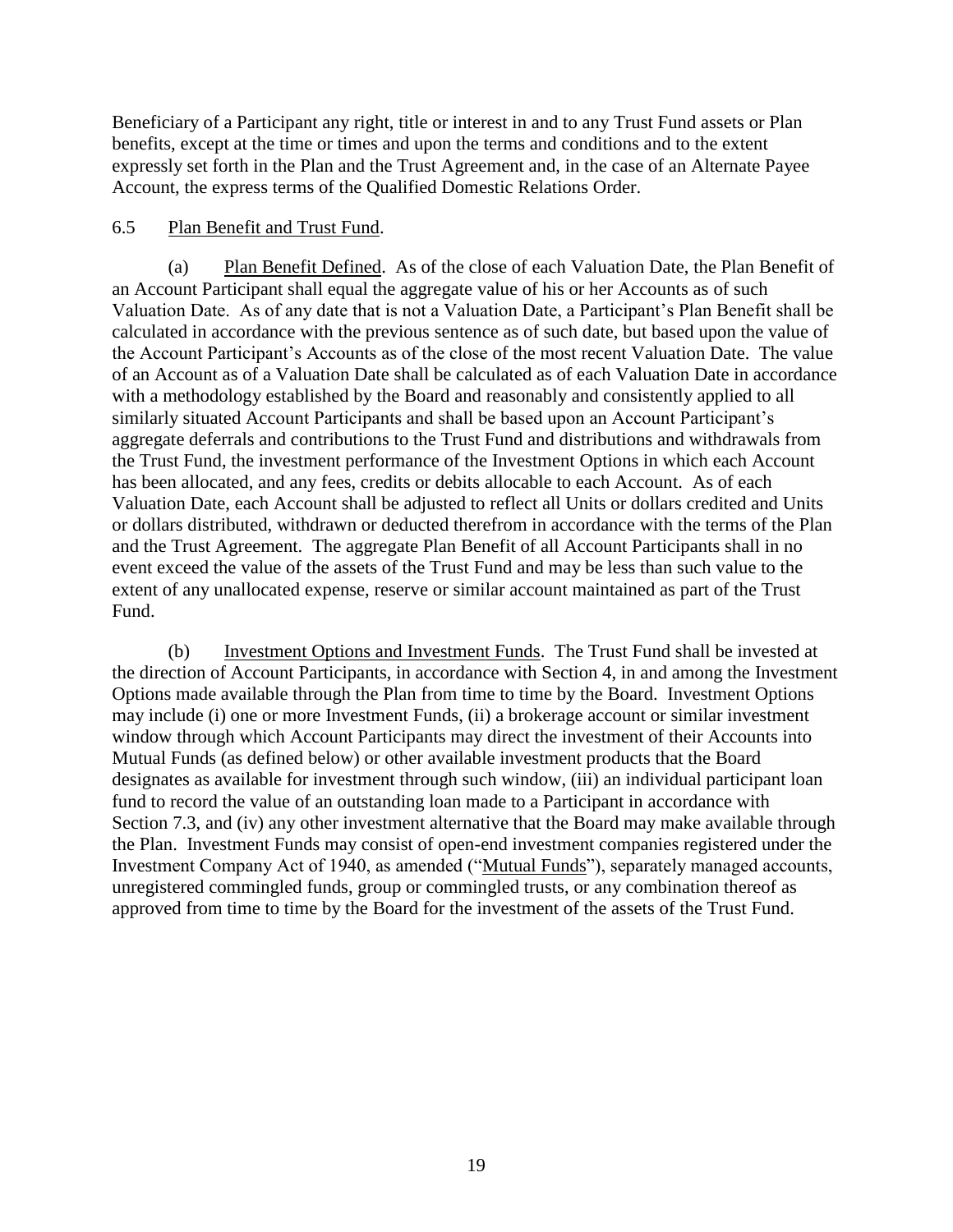Beneficiary of a Participant any right, title or interest in and to any Trust Fund assets or Plan benefits, except at the time or times and upon the terms and conditions and to the extent expressly set forth in the Plan and the Trust Agreement and, in the case of an Alternate Payee Account, the express terms of the Qualified Domestic Relations Order.

## 6.5 Plan Benefit and Trust Fund.

(a) Plan Benefit Defined. As of the close of each Valuation Date, the Plan Benefit of an Account Participant shall equal the aggregate value of his or her Accounts as of such Valuation Date. As of any date that is not a Valuation Date, a Participant's Plan Benefit shall be calculated in accordance with the previous sentence as of such date, but based upon the value of the Account Participant's Accounts as of the close of the most recent Valuation Date. The value of an Account as of a Valuation Date shall be calculated as of each Valuation Date in accordance with a methodology established by the Board and reasonably and consistently applied to all similarly situated Account Participants and shall be based upon an Account Participant's aggregate deferrals and contributions to the Trust Fund and distributions and withdrawals from the Trust Fund, the investment performance of the Investment Options in which each Account has been allocated, and any fees, credits or debits allocable to each Account. As of each Valuation Date, each Account shall be adjusted to reflect all Units or dollars credited and Units or dollars distributed, withdrawn or deducted therefrom in accordance with the terms of the Plan and the Trust Agreement. The aggregate Plan Benefit of all Account Participants shall in no event exceed the value of the assets of the Trust Fund and may be less than such value to the extent of any unallocated expense, reserve or similar account maintained as part of the Trust Fund.

<span id="page-20-0"></span>(b) Investment Options and Investment Funds. The Trust Fund shall be invested at the direction of Account Participants, in accordance with Section 4, in and among the Investment Options made available through the Plan from time to time by the Board. Investment Options may include (i) one or more Investment Funds, (ii) a brokerage account or similar investment window through which Account Participants may direct the investment of their Accounts into Mutual Funds (as defined below) or other available investment products that the Board designates as available for investment through such window, (iii) an individual participant loan fund to record the value of an outstanding loan made to a Participant in accordance with Section [7.3,](#page-22-0) and (iv) any other investment alternative that the Board may make available through the Plan. Investment Funds may consist of open-end investment companies registered under the Investment Company Act of 1940, as amended ("Mutual Funds"), separately managed accounts, unregistered commingled funds, group or commingled trusts, or any combination thereof as approved from time to time by the Board for the investment of the assets of the Trust Fund.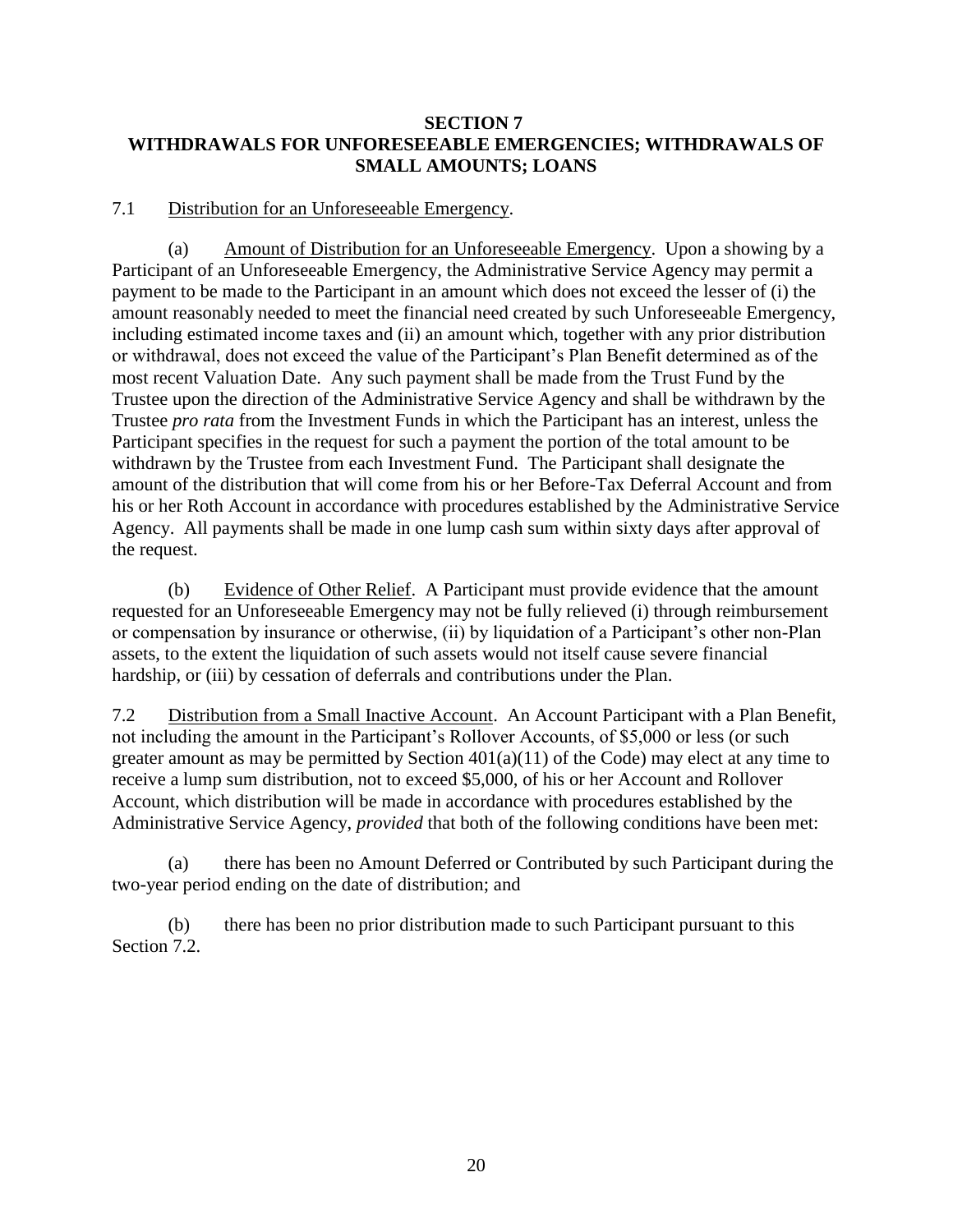## **SECTION 7 WITHDRAWALS FOR UNFORESEEABLE EMERGENCIES; WITHDRAWALS OF SMALL AMOUNTS; LOANS**

#### 7.1 Distribution for an Unforeseeable Emergency.

(a) Amount of Distribution for an Unforeseeable Emergency. Upon a showing by a Participant of an Unforeseeable Emergency, the Administrative Service Agency may permit a payment to be made to the Participant in an amount which does not exceed the lesser of (i) the amount reasonably needed to meet the financial need created by such Unforeseeable Emergency, including estimated income taxes and (ii) an amount which, together with any prior distribution or withdrawal, does not exceed the value of the Participant's Plan Benefit determined as of the most recent Valuation Date. Any such payment shall be made from the Trust Fund by the Trustee upon the direction of the Administrative Service Agency and shall be withdrawn by the Trustee *pro rata* from the Investment Funds in which the Participant has an interest, unless the Participant specifies in the request for such a payment the portion of the total amount to be withdrawn by the Trustee from each Investment Fund. The Participant shall designate the amount of the distribution that will come from his or her Before-Tax Deferral Account and from his or her Roth Account in accordance with procedures established by the Administrative Service Agency. All payments shall be made in one lump cash sum within sixty days after approval of the request.

(b) Evidence of Other Relief. A Participant must provide evidence that the amount requested for an Unforeseeable Emergency may not be fully relieved (i) through reimbursement or compensation by insurance or otherwise, (ii) by liquidation of a Participant's other non-Plan assets, to the extent the liquidation of such assets would not itself cause severe financial hardship, or (iii) by cessation of deferrals and contributions under the Plan.

<span id="page-21-0"></span>7.2 Distribution from a Small Inactive Account. An Account Participant with a Plan Benefit, not including the amount in the Participant's Rollover Accounts, of \$5,000 or less (or such greater amount as may be permitted by Section 401(a)(11) of the Code) may elect at any time to receive a lump sum distribution, not to exceed \$5,000, of his or her Account and Rollover Account, which distribution will be made in accordance with procedures established by the Administrative Service Agency, *provided* that both of the following conditions have been met:

(a) there has been no Amount Deferred or Contributed by such Participant during the two-year period ending on the date of distribution; and

(b) there has been no prior distribution made to such Participant pursuant to this Section [7.2.](#page-21-0)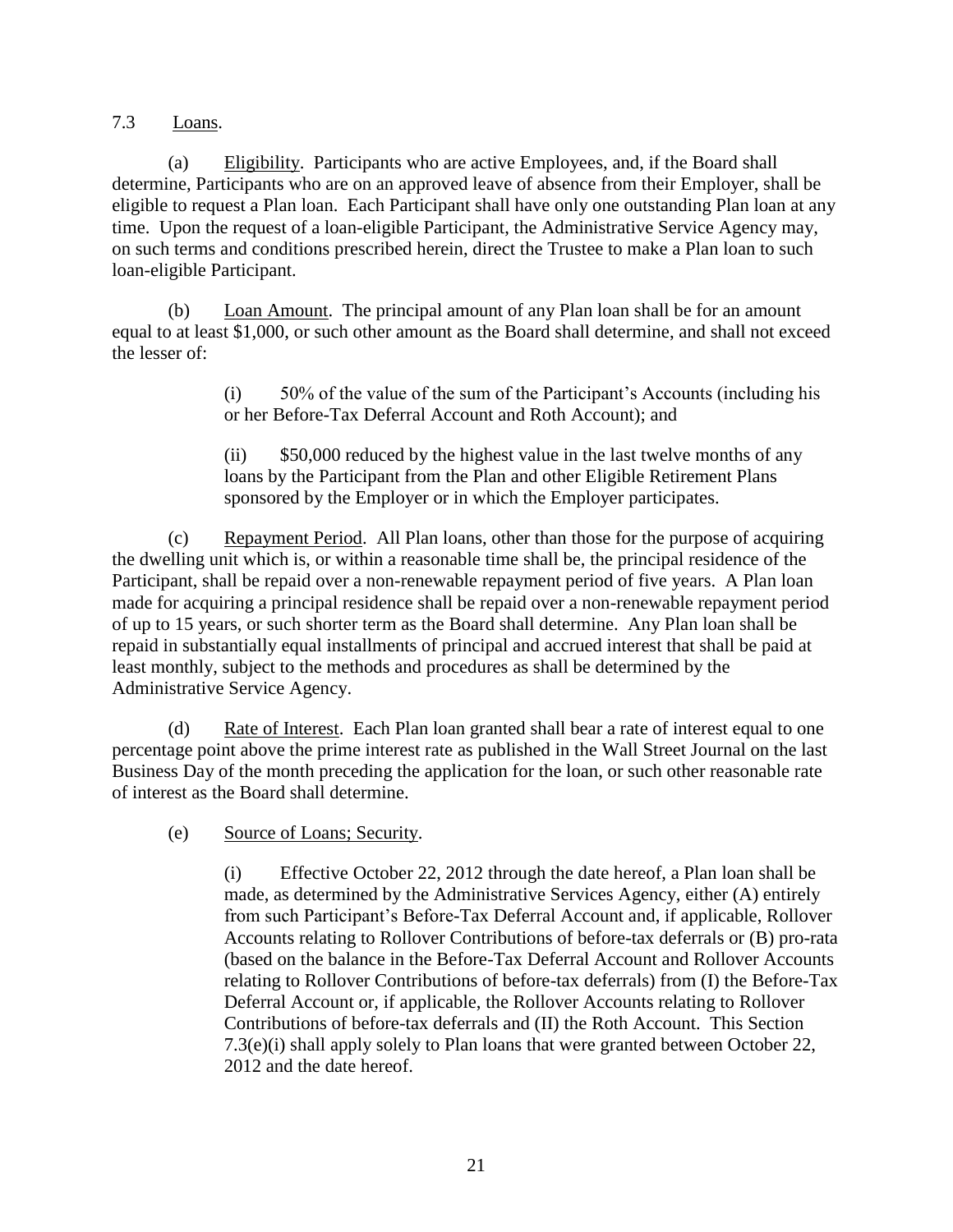<span id="page-22-0"></span>7.3 Loans.

(a) Eligibility. Participants who are active Employees, and, if the Board shall determine, Participants who are on an approved leave of absence from their Employer, shall be eligible to request a Plan loan. Each Participant shall have only one outstanding Plan loan at any time. Upon the request of a loan-eligible Participant, the Administrative Service Agency may, on such terms and conditions prescribed herein, direct the Trustee to make a Plan loan to such loan-eligible Participant.

(b) Loan Amount. The principal amount of any Plan loan shall be for an amount equal to at least \$1,000, or such other amount as the Board shall determine, and shall not exceed the lesser of:

> (i) 50% of the value of the sum of the Participant's Accounts (including his or her Before-Tax Deferral Account and Roth Account); and

(ii) \$50,000 reduced by the highest value in the last twelve months of any loans by the Participant from the Plan and other Eligible Retirement Plans sponsored by the Employer or in which the Employer participates.

(c) Repayment Period. All Plan loans, other than those for the purpose of acquiring the dwelling unit which is, or within a reasonable time shall be, the principal residence of the Participant, shall be repaid over a non-renewable repayment period of five years. A Plan loan made for acquiring a principal residence shall be repaid over a non-renewable repayment period of up to 15 years, or such shorter term as the Board shall determine. Any Plan loan shall be repaid in substantially equal installments of principal and accrued interest that shall be paid at least monthly, subject to the methods and procedures as shall be determined by the Administrative Service Agency.

(d) Rate of Interest. Each Plan loan granted shall bear a rate of interest equal to one percentage point above the prime interest rate as published in the Wall Street Journal on the last Business Day of the month preceding the application for the loan, or such other reasonable rate of interest as the Board shall determine.

(e) Source of Loans; Security.

(i) Effective October 22, 2012 through the date hereof, a Plan loan shall be made, as determined by the Administrative Services Agency, either (A) entirely from such Participant's Before-Tax Deferral Account and, if applicable, Rollover Accounts relating to Rollover Contributions of before-tax deferrals or (B) pro-rata (based on the balance in the Before-Tax Deferral Account and Rollover Accounts relating to Rollover Contributions of before-tax deferrals) from (I) the Before-Tax Deferral Account or, if applicable, the Rollover Accounts relating to Rollover Contributions of before-tax deferrals and (II) the Roth Account. This Section 7.3(e)(i) shall apply solely to Plan loans that were granted between October 22, 2012 and the date hereof.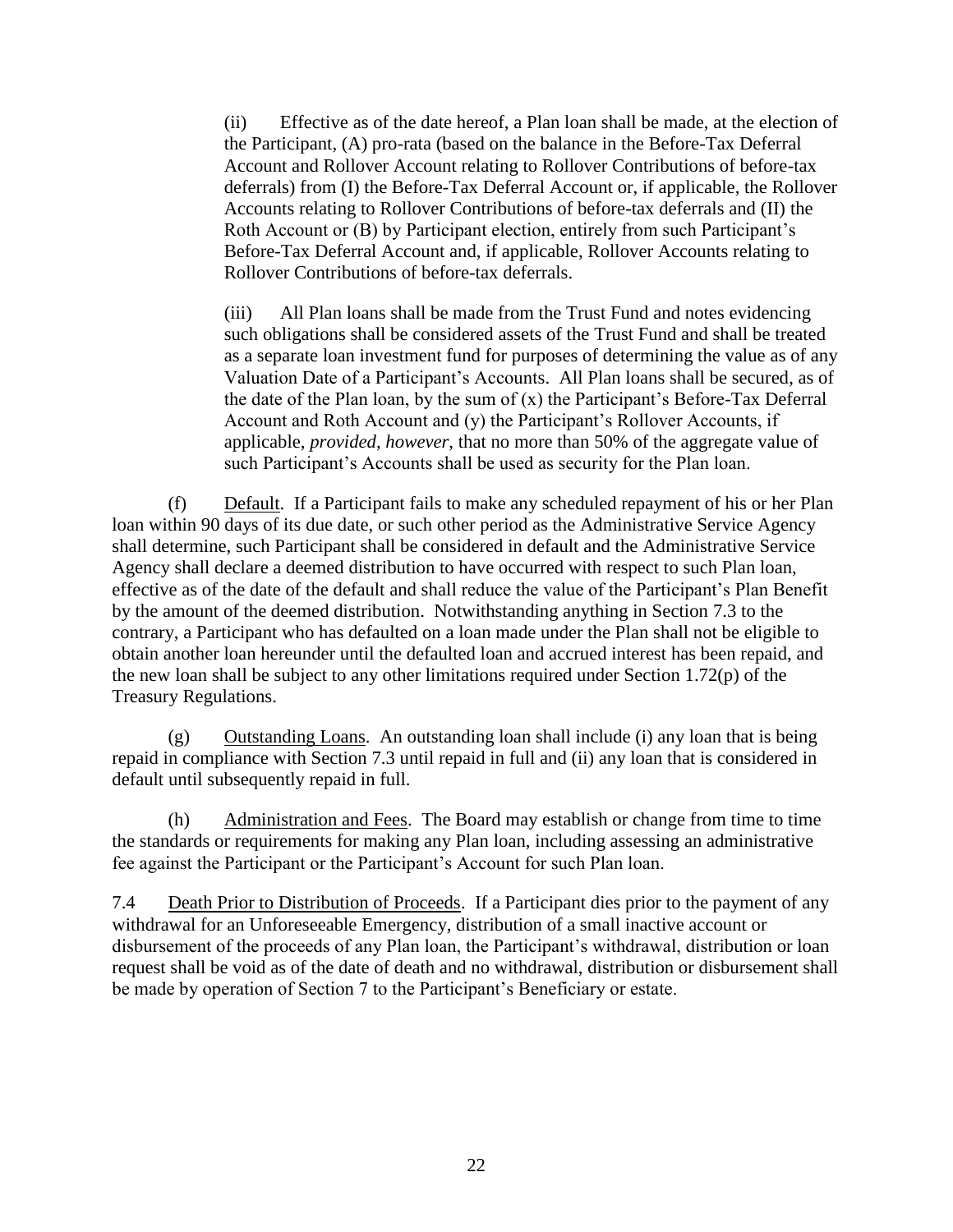(ii) Effective as of the date hereof, a Plan loan shall be made, at the election of the Participant, (A) pro-rata (based on the balance in the Before-Tax Deferral Account and Rollover Account relating to Rollover Contributions of before-tax deferrals) from (I) the Before-Tax Deferral Account or, if applicable, the Rollover Accounts relating to Rollover Contributions of before-tax deferrals and (II) the Roth Account or (B) by Participant election, entirely from such Participant's Before-Tax Deferral Account and, if applicable, Rollover Accounts relating to Rollover Contributions of before-tax deferrals.

(iii) All Plan loans shall be made from the Trust Fund and notes evidencing such obligations shall be considered assets of the Trust Fund and shall be treated as a separate loan investment fund for purposes of determining the value as of any Valuation Date of a Participant's Accounts. All Plan loans shall be secured, as of the date of the Plan loan, by the sum of (x) the Participant's Before-Tax Deferral Account and Roth Account and (y) the Participant's Rollover Accounts, if applicable, *provided*, *however*, that no more than 50% of the aggregate value of such Participant's Accounts shall be used as security for the Plan loan.

(f) Default. If a Participant fails to make any scheduled repayment of his or her Plan loan within 90 days of its due date, or such other period as the Administrative Service Agency shall determine, such Participant shall be considered in default and the Administrative Service Agency shall declare a deemed distribution to have occurred with respect to such Plan loan, effective as of the date of the default and shall reduce the value of the Participant's Plan Benefit by the amount of the deemed distribution. Notwithstanding anything in Section [7.3](#page-22-0) to the contrary, a Participant who has defaulted on a loan made under the Plan shall not be eligible to obtain another loan hereunder until the defaulted loan and accrued interest has been repaid, and the new loan shall be subject to any other limitations required under Section 1.72(p) of the Treasury Regulations.

(g) Outstanding Loans. An outstanding loan shall include (i) any loan that is being repaid in compliance with Section [7.3](#page-22-0) until repaid in full and (ii) any loan that is considered in default until subsequently repaid in full.

(h) Administration and Fees. The Board may establish or change from time to time the standards or requirements for making any Plan loan, including assessing an administrative fee against the Participant or the Participant's Account for such Plan loan.

<span id="page-23-0"></span>7.4 Death Prior to Distribution of Proceeds. If a Participant dies prior to the payment of any withdrawal for an Unforeseeable Emergency, distribution of a small inactive account or disbursement of the proceeds of any Plan loan, the Participant's withdrawal, distribution or loan request shall be void as of the date of death and no withdrawal, distribution or disbursement shall be made by operation of Section 7 to the Participant's Beneficiary or estate.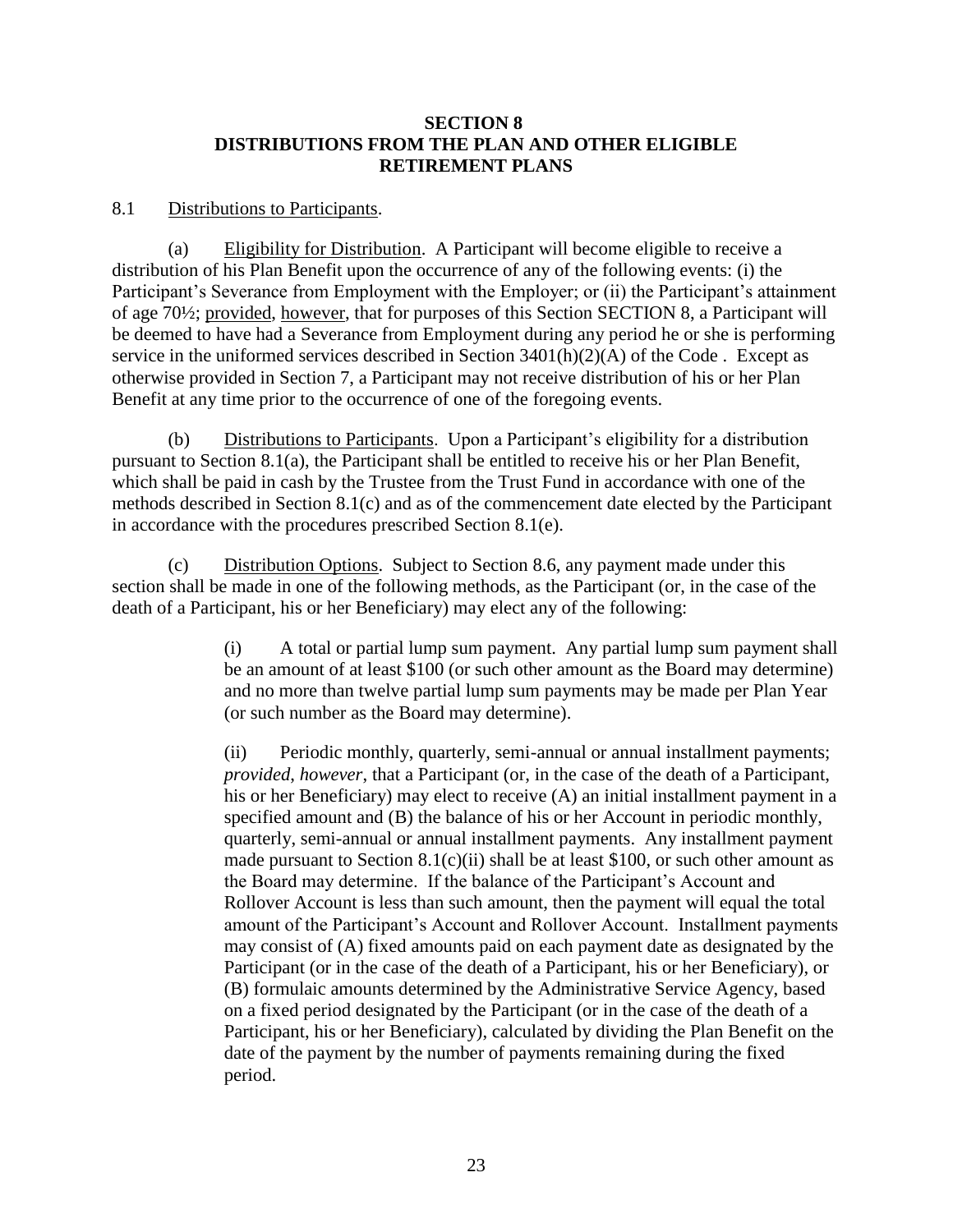## **SECTION 8 DISTRIBUTIONS FROM THE PLAN AND OTHER ELIGIBLE RETIREMENT PLANS**

#### <span id="page-24-5"></span>8.1 Distributions to Participants.

<span id="page-24-0"></span>(a) Eligibility for Distribution. A Participant will become eligible to receive a distribution of his Plan Benefit upon the occurrence of any of the following events: (i) the Participant's Severance from Employment with the Employer; or (ii) the Participant's attainment of age 70½; provided, however, that for purposes of this Section [SECTION 8,](#page-23-0) a Participant will be deemed to have had a Severance from Employment during any period he or she is performing service in the uniformed services described in Section 3401(h)(2)(A) of the Code . Except as otherwise provided in Section 7, a Participant may not receive distribution of his or her Plan Benefit at any time prior to the occurrence of one of the foregoing events.

(b) Distributions to Participants. Upon a Participant's eligibility for a distribution pursuant to Section [8.1\(a\),](#page-24-0) the Participant shall be entitled to receive his or her Plan Benefit, which shall be paid in cash by the Trustee from the Trust Fund in accordance with one of the methods described in Section [8.1\(c\)](#page-24-1) and as of the commencement date elected by the Participant in accordance with the procedures prescribed Section [8.1\(e\).](#page-26-0)

<span id="page-24-3"></span><span id="page-24-1"></span>(c) Distribution Options. Subject to Section [8.6,](#page-27-0) any payment made under this section shall be made in one of the following methods, as the Participant (or, in the case of the death of a Participant, his or her Beneficiary) may elect any of the following:

> (i) A total or partial lump sum payment. Any partial lump sum payment shall be an amount of at least \$100 (or such other amount as the Board may determine) and no more than twelve partial lump sum payments may be made per Plan Year (or such number as the Board may determine).

> <span id="page-24-4"></span><span id="page-24-2"></span>(ii) Periodic monthly, quarterly, semi-annual or annual installment payments; *provided*, *however*, that a Participant (or, in the case of the death of a Participant, his or her Beneficiary) may elect to receive (A) an initial installment payment in a specified amount and (B) the balance of his or her Account in periodic monthly, quarterly, semi-annual or annual installment payments. Any installment payment made pursuant to Section  $8.1(c)(ii)$  shall be at least \$100, or such other amount as the Board may determine. If the balance of the Participant's Account and Rollover Account is less than such amount, then the payment will equal the total amount of the Participant's Account and Rollover Account. Installment payments may consist of (A) fixed amounts paid on each payment date as designated by the Participant (or in the case of the death of a Participant, his or her Beneficiary), or (B) formulaic amounts determined by the Administrative Service Agency, based on a fixed period designated by the Participant (or in the case of the death of a Participant, his or her Beneficiary), calculated by dividing the Plan Benefit on the date of the payment by the number of payments remaining during the fixed period.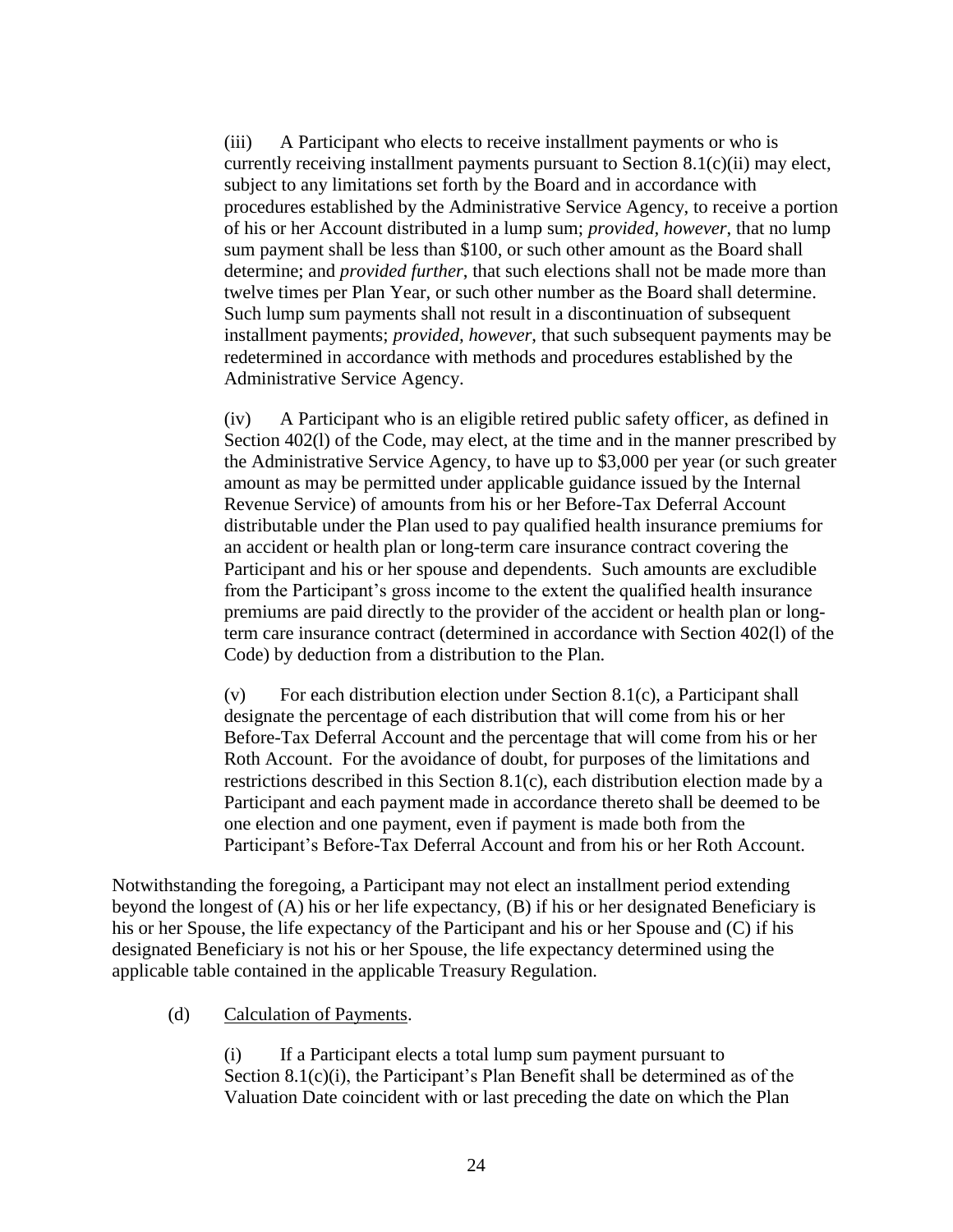<span id="page-25-0"></span>(iii) A Participant who elects to receive installment payments or who is currently receiving installment payments pursuant to Section [8.1\(c\)\(ii\)](#page-24-2) may elect, subject to any limitations set forth by the Board and in accordance with procedures established by the Administrative Service Agency, to receive a portion of his or her Account distributed in a lump sum; *provided, however*, that no lump sum payment shall be less than \$100, or such other amount as the Board shall determine; and *provided further*, that such elections shall not be made more than twelve times per Plan Year, or such other number as the Board shall determine. Such lump sum payments shall not result in a discontinuation of subsequent installment payments; *provided, however*, that such subsequent payments may be redetermined in accordance with methods and procedures established by the Administrative Service Agency.

<span id="page-25-1"></span>(iv) A Participant who is an eligible retired public safety officer, as defined in Section 402(l) of the Code, may elect, at the time and in the manner prescribed by the Administrative Service Agency, to have up to \$3,000 per year (or such greater amount as may be permitted under applicable guidance issued by the Internal Revenue Service) of amounts from his or her Before-Tax Deferral Account distributable under the Plan used to pay qualified health insurance premiums for an accident or health plan or long-term care insurance contract covering the Participant and his or her spouse and dependents. Such amounts are excludible from the Participant's gross income to the extent the qualified health insurance premiums are paid directly to the provider of the accident or health plan or longterm care insurance contract (determined in accordance with Section 402(l) of the Code) by deduction from a distribution to the Plan.

(v) For each distribution election under Section [8.1\(c\),](#page-24-1) a Participant shall designate the percentage of each distribution that will come from his or her Before-Tax Deferral Account and the percentage that will come from his or her Roth Account. For the avoidance of doubt, for purposes of the limitations and restrictions described in this Section [8.1\(c\),](#page-24-1) each distribution election made by a Participant and each payment made in accordance thereto shall be deemed to be one election and one payment, even if payment is made both from the Participant's Before-Tax Deferral Account and from his or her Roth Account.

Notwithstanding the foregoing, a Participant may not elect an installment period extending beyond the longest of (A) his or her life expectancy, (B) if his or her designated Beneficiary is his or her Spouse, the life expectancy of the Participant and his or her Spouse and (C) if his designated Beneficiary is not his or her Spouse, the life expectancy determined using the applicable table contained in the applicable Treasury Regulation.

<span id="page-25-2"></span>(d) Calculation of Payments.

(i) If a Participant elects a total lump sum payment pursuant to Section [8.1\(c\)\(i\),](#page-24-3) the Participant's Plan Benefit shall be determined as of the Valuation Date coincident with or last preceding the date on which the Plan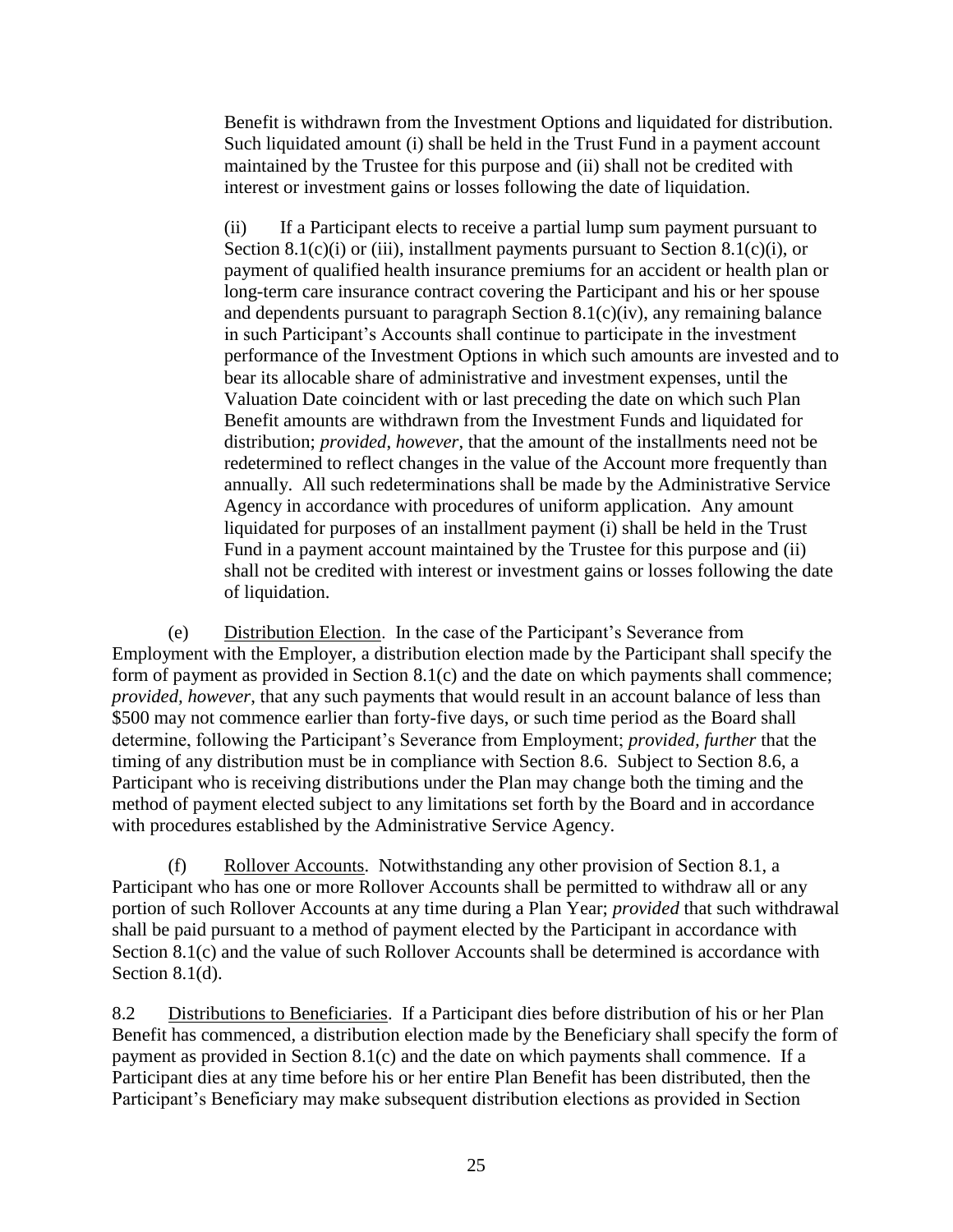Benefit is withdrawn from the Investment Options and liquidated for distribution. Such liquidated amount (i) shall be held in the Trust Fund in a payment account maintained by the Trustee for this purpose and (ii) shall not be credited with interest or investment gains or losses following the date of liquidation.

(ii) If a Participant elects to receive a partial lump sum payment pursuant to Section [8.1\(c\)\(i\)](#page-24-3) or [\(iii\),](#page-25-0) installment payments pursuant to Section [8.1\(c\)\(i\),](#page-24-4) or payment of qualified health insurance premiums for an accident or health plan or long-term care insurance contract covering the Participant and his or her spouse and dependents pursuant to paragraph Section [8.1\(c\)\(iv\),](#page-25-1) any remaining balance in such Participant's Accounts shall continue to participate in the investment performance of the Investment Options in which such amounts are invested and to bear its allocable share of administrative and investment expenses, until the Valuation Date coincident with or last preceding the date on which such Plan Benefit amounts are withdrawn from the Investment Funds and liquidated for distribution; *provided*, *however*, that the amount of the installments need not be redetermined to reflect changes in the value of the Account more frequently than annually. All such redeterminations shall be made by the Administrative Service Agency in accordance with procedures of uniform application. Any amount liquidated for purposes of an installment payment (i) shall be held in the Trust Fund in a payment account maintained by the Trustee for this purpose and (ii) shall not be credited with interest or investment gains or losses following the date of liquidation.

<span id="page-26-0"></span>(e) Distribution Election. In the case of the Participant's Severance from Employment with the Employer, a distribution election made by the Participant shall specify the form of payment as provided in Section [8.1\(c\)](#page-24-1) and the date on which payments shall commence; *provided, however*, that any such payments that would result in an account balance of less than \$500 may not commence earlier than forty-five days, or such time period as the Board shall determine, following the Participant's Severance from Employment; *provided, further* that the timing of any distribution must be in compliance with Section [8.6.](#page-27-0) Subject to Section [8.6,](#page-27-0) a Participant who is receiving distributions under the Plan may change both the timing and the method of payment elected subject to any limitations set forth by the Board and in accordance with procedures established by the Administrative Service Agency.

(f) Rollover Accounts. Notwithstanding any other provision of Section [8.1,](#page-24-5) a Participant who has one or more Rollover Accounts shall be permitted to withdraw all or any portion of such Rollover Accounts at any time during a Plan Year; *provided* that such withdrawal shall be paid pursuant to a method of payment elected by the Participant in accordance with Section [8.1\(c\)](#page-24-1) and the value of such Rollover Accounts shall be determined is accordance with Section [8.1\(d\).](#page-25-2)

8.2 Distributions to Beneficiaries. If a Participant dies before distribution of his or her Plan Benefit has commenced, a distribution election made by the Beneficiary shall specify the form of payment as provided in Section [8.1\(c\)](#page-24-1) and the date on which payments shall commence. If a Participant dies at any time before his or her entire Plan Benefit has been distributed, then the Participant's Beneficiary may make subsequent distribution elections as provided in Section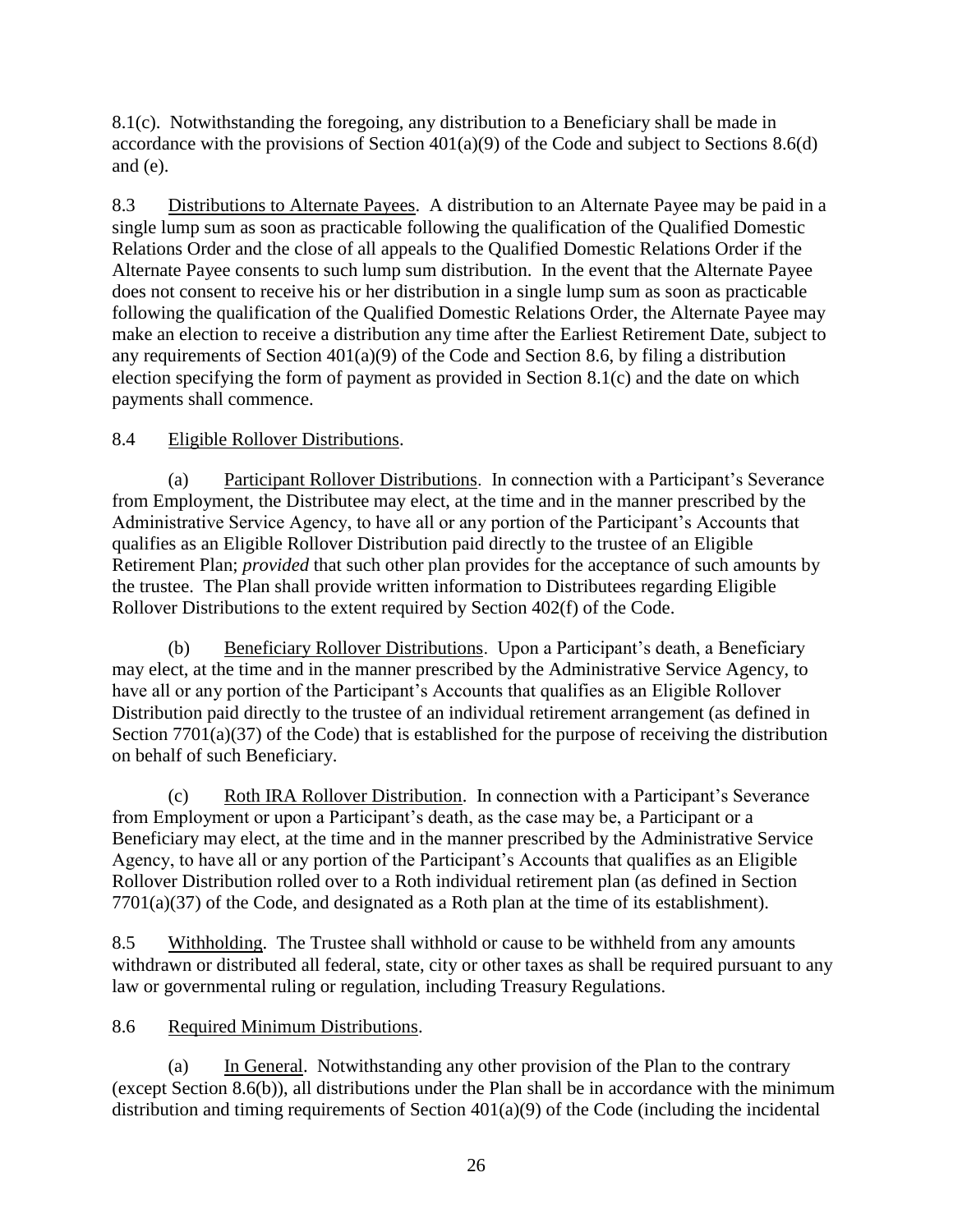[8.1\(c\).](#page-24-1) Notwithstanding the foregoing, any distribution to a Beneficiary shall be made in accordance with the provisions of Section  $401(a)(9)$  of the Code and subject to Sections [8.6\(d\)](#page-28-0) and [\(e\).](#page-29-0)

8.3 Distributions to Alternate Payees. A distribution to an Alternate Payee may be paid in a single lump sum as soon as practicable following the qualification of the Qualified Domestic Relations Order and the close of all appeals to the Qualified Domestic Relations Order if the Alternate Payee consents to such lump sum distribution. In the event that the Alternate Payee does not consent to receive his or her distribution in a single lump sum as soon as practicable following the qualification of the Qualified Domestic Relations Order, the Alternate Payee may make an election to receive a distribution any time after the Earliest Retirement Date, subject to any requirements of Section 401(a)(9) of the Code and Section [8.6,](#page-27-0) by filing a distribution election specifying the form of payment as provided in Section [8.1\(c\)](#page-24-1) and the date on which payments shall commence.

## 8.4 Eligible Rollover Distributions.

(a) Participant Rollover Distributions. In connection with a Participant's Severance from Employment, the Distributee may elect, at the time and in the manner prescribed by the Administrative Service Agency, to have all or any portion of the Participant's Accounts that qualifies as an Eligible Rollover Distribution paid directly to the trustee of an Eligible Retirement Plan; *provided* that such other plan provides for the acceptance of such amounts by the trustee. The Plan shall provide written information to Distributees regarding Eligible Rollover Distributions to the extent required by Section 402(f) of the Code.

(b) Beneficiary Rollover Distributions. Upon a Participant's death, a Beneficiary may elect, at the time and in the manner prescribed by the Administrative Service Agency, to have all or any portion of the Participant's Accounts that qualifies as an Eligible Rollover Distribution paid directly to the trustee of an individual retirement arrangement (as defined in Section 7701(a)(37) of the Code) that is established for the purpose of receiving the distribution on behalf of such Beneficiary.

(c) Roth IRA Rollover Distribution. In connection with a Participant's Severance from Employment or upon a Participant's death, as the case may be, a Participant or a Beneficiary may elect, at the time and in the manner prescribed by the Administrative Service Agency, to have all or any portion of the Participant's Accounts that qualifies as an Eligible Rollover Distribution rolled over to a Roth individual retirement plan (as defined in Section 7701(a)(37) of the Code, and designated as a Roth plan at the time of its establishment).

8.5 Withholding. The Trustee shall withhold or cause to be withheld from any amounts withdrawn or distributed all federal, state, city or other taxes as shall be required pursuant to any law or governmental ruling or regulation, including Treasury Regulations.

# <span id="page-27-0"></span>8.6 Required Minimum Distributions.

(a) In General. Notwithstanding any other provision of the Plan to the contrary (except Section [8.6\(b\)\)](#page-28-1), all distributions under the Plan shall be in accordance with the minimum distribution and timing requirements of Section 401(a)(9) of the Code (including the incidental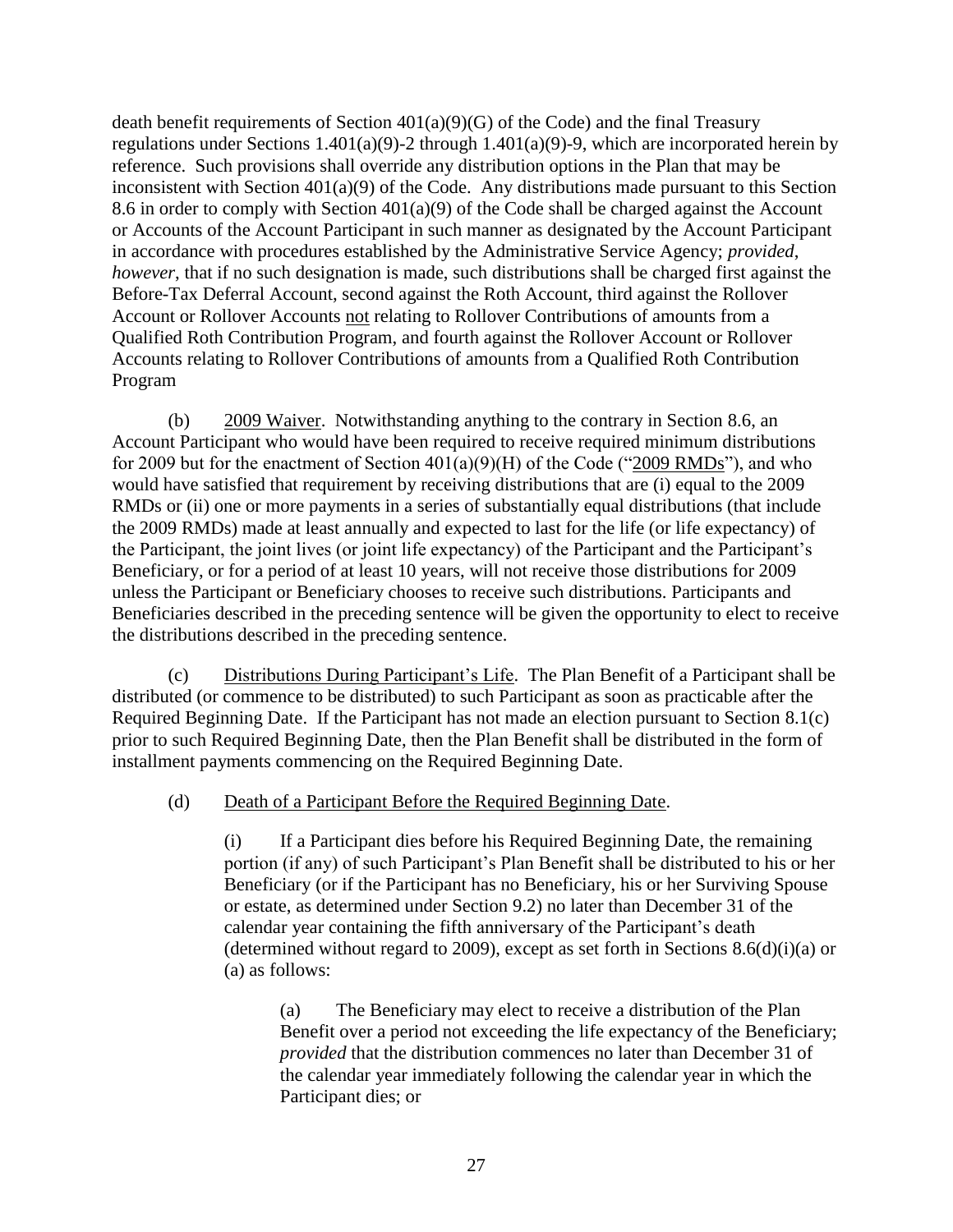death benefit requirements of Section 401(a)(9)(G) of the Code) and the final Treasury regulations under Sections 1.401(a)(9)-2 through 1.401(a)(9)-9, which are incorporated herein by reference. Such provisions shall override any distribution options in the Plan that may be inconsistent with Section 401(a)(9) of the Code. Any distributions made pursuant to this Section [8.6](#page-27-0) in order to comply with Section 401(a)(9) of the Code shall be charged against the Account or Accounts of the Account Participant in such manner as designated by the Account Participant in accordance with procedures established by the Administrative Service Agency; *provided*, *however*, that if no such designation is made, such distributions shall be charged first against the Before-Tax Deferral Account, second against the Roth Account, third against the Rollover Account or Rollover Accounts not relating to Rollover Contributions of amounts from a Qualified Roth Contribution Program, and fourth against the Rollover Account or Rollover Accounts relating to Rollover Contributions of amounts from a Qualified Roth Contribution Program

<span id="page-28-1"></span>(b) 2009 Waiver. Notwithstanding anything to the contrary in Section [8.6,](#page-27-0) an Account Participant who would have been required to receive required minimum distributions for 2009 but for the enactment of Section  $401(a)(9)(H)$  of the Code ("2009 RMDs"), and who would have satisfied that requirement by receiving distributions that are (i) equal to the 2009 RMDs or (ii) one or more payments in a series of substantially equal distributions (that include the 2009 RMDs) made at least annually and expected to last for the life (or life expectancy) of the Participant, the joint lives (or joint life expectancy) of the Participant and the Participant's Beneficiary, or for a period of at least 10 years, will not receive those distributions for 2009 unless the Participant or Beneficiary chooses to receive such distributions. Participants and Beneficiaries described in the preceding sentence will be given the opportunity to elect to receive the distributions described in the preceding sentence.

(c) Distributions During Participant's Life. The Plan Benefit of a Participant shall be distributed (or commence to be distributed) to such Participant as soon as practicable after the Required Beginning Date. If the Participant has not made an election pursuant to Section [8.1\(c\)](#page-24-1) prior to such Required Beginning Date, then the Plan Benefit shall be distributed in the form of installment payments commencing on the Required Beginning Date.

<span id="page-28-0"></span>(d) Death of a Participant Before the Required Beginning Date.

(i) If a Participant dies before his Required Beginning Date, the remaining portion (if any) of such Participant's Plan Benefit shall be distributed to his or her Beneficiary (or if the Participant has no Beneficiary, his or her Surviving Spouse or estate, as determined under Section [9.2\)](#page-31-0) no later than December 31 of the calendar year containing the fifth anniversary of the Participant's death (determined without regard to 2009), except as set forth in Sections  $8.6(d)(i)(a)$  or [\(a\)](#page-28-3) as follows:

<span id="page-28-3"></span><span id="page-28-2"></span>(a) The Beneficiary may elect to receive a distribution of the Plan Benefit over a period not exceeding the life expectancy of the Beneficiary; *provided* that the distribution commences no later than December 31 of the calendar year immediately following the calendar year in which the Participant dies; or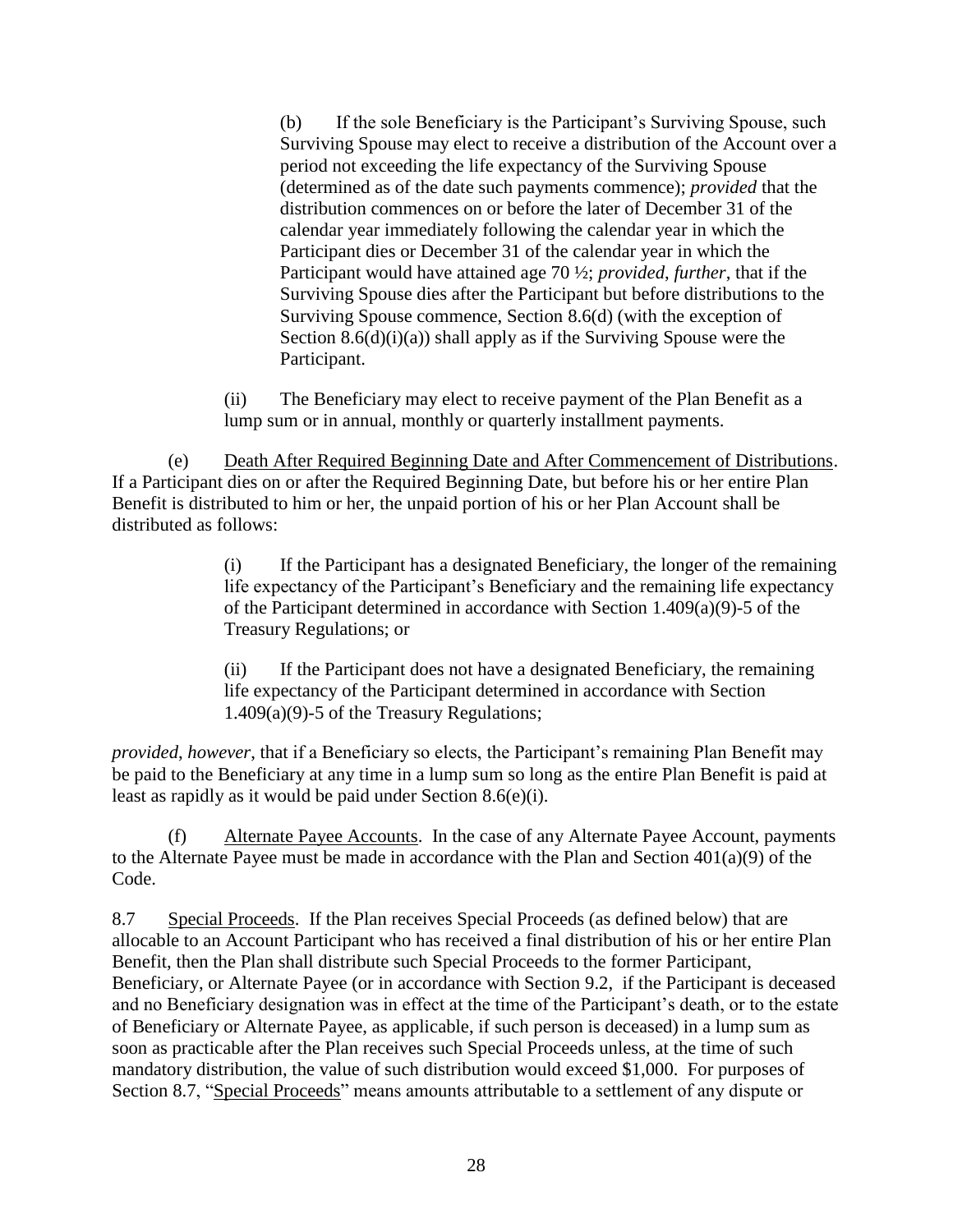(b) If the sole Beneficiary is the Participant's Surviving Spouse, such Surviving Spouse may elect to receive a distribution of the Account over a period not exceeding the life expectancy of the Surviving Spouse (determined as of the date such payments commence); *provided* that the distribution commences on or before the later of December 31 of the calendar year immediately following the calendar year in which the Participant dies or December 31 of the calendar year in which the Participant would have attained age 70 ½; *provided*, *further*, that if the Surviving Spouse dies after the Participant but before distributions to the Surviving Spouse commence, Section [8.6\(d\)](#page-28-0) (with the exception of Section  $8.6(d)(i)(a)$  shall apply as if the Surviving Spouse were the Participant.

(ii) The Beneficiary may elect to receive payment of the Plan Benefit as a lump sum or in annual, monthly or quarterly installment payments.

<span id="page-29-1"></span><span id="page-29-0"></span>(e) Death After Required Beginning Date and After Commencement of Distributions. If a Participant dies on or after the Required Beginning Date, but before his or her entire Plan Benefit is distributed to him or her, the unpaid portion of his or her Plan Account shall be distributed as follows:

> (i) If the Participant has a designated Beneficiary, the longer of the remaining life expectancy of the Participant's Beneficiary and the remaining life expectancy of the Participant determined in accordance with Section 1.409(a)(9)-5 of the Treasury Regulations; or

(ii) If the Participant does not have a designated Beneficiary, the remaining life expectancy of the Participant determined in accordance with Section 1.409(a)(9)-5 of the Treasury Regulations;

*provided*, *however*, that if a Beneficiary so elects, the Participant's remaining Plan Benefit may be paid to the Beneficiary at any time in a lump sum so long as the entire Plan Benefit is paid at least as rapidly as it would be paid under Section [8.6\(e\)\(i\).](#page-29-1)

(f) Alternate Payee Accounts. In the case of any Alternate Payee Account, payments to the Alternate Payee must be made in accordance with the Plan and Section 401(a)(9) of the Code.

<span id="page-29-2"></span>8.7 Special Proceeds. If the Plan receives Special Proceeds (as defined below) that are allocable to an Account Participant who has received a final distribution of his or her entire Plan Benefit, then the Plan shall distribute such Special Proceeds to the former Participant, Beneficiary, or Alternate Payee (or in accordance with Section [9.2,](#page-31-0) if the Participant is deceased and no Beneficiary designation was in effect at the time of the Participant's death, or to the estate of Beneficiary or Alternate Payee, as applicable, if such person is deceased) in a lump sum as soon as practicable after the Plan receives such Special Proceeds unless, at the time of such mandatory distribution, the value of such distribution would exceed \$1,000. For purposes of Section [8.7,](#page-29-2) "Special Proceeds" means amounts attributable to a settlement of any dispute or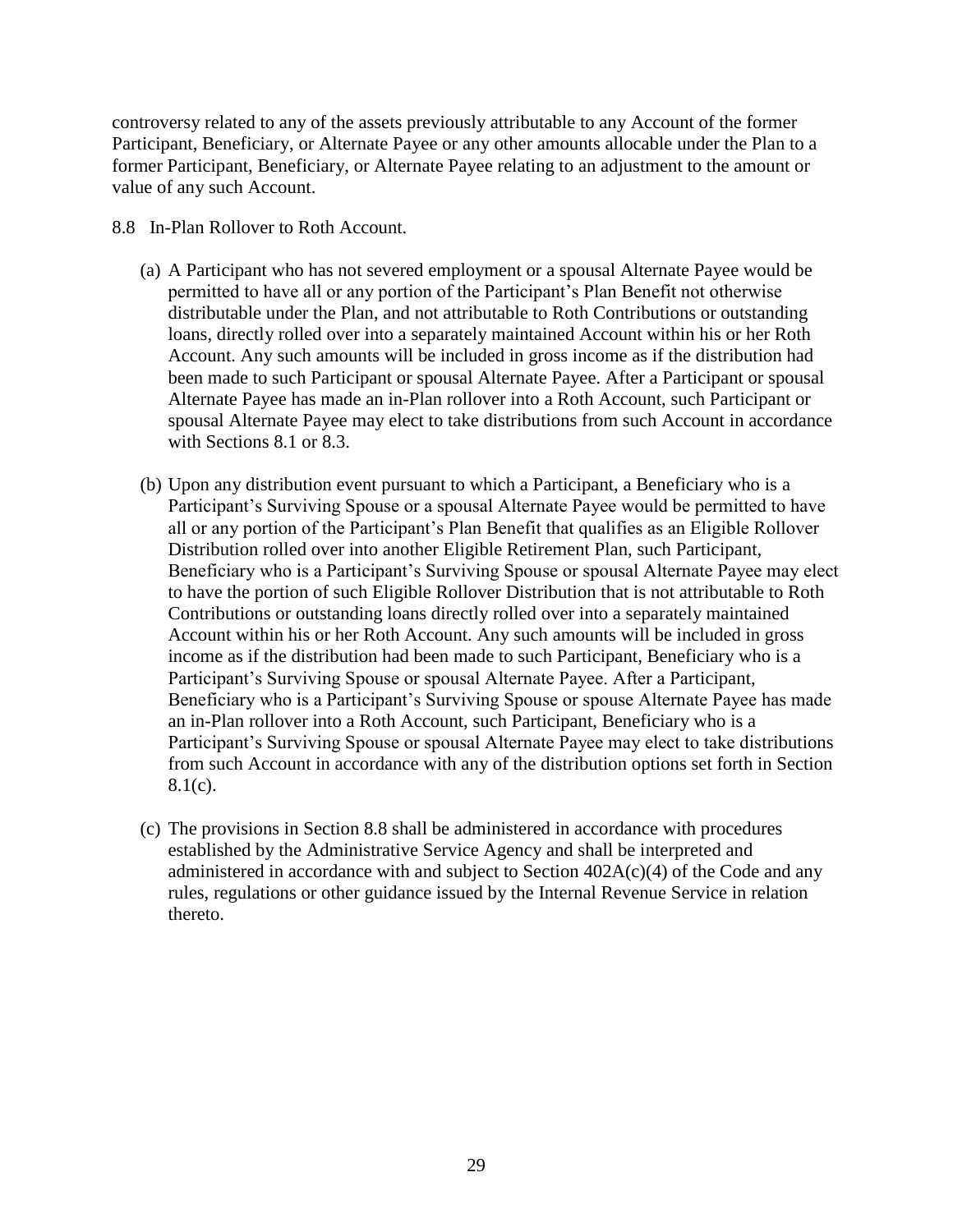controversy related to any of the assets previously attributable to any Account of the former Participant, Beneficiary, or Alternate Payee or any other amounts allocable under the Plan to a former Participant, Beneficiary, or Alternate Payee relating to an adjustment to the amount or value of any such Account.

- 8.8 In-Plan Rollover to Roth Account.
	- (a) A Participant who has not severed employment or a spousal Alternate Payee would be permitted to have all or any portion of the Participant's Plan Benefit not otherwise distributable under the Plan, and not attributable to Roth Contributions or outstanding loans, directly rolled over into a separately maintained Account within his or her Roth Account. Any such amounts will be included in gross income as if the distribution had been made to such Participant or spousal Alternate Payee. After a Participant or spousal Alternate Payee has made an in-Plan rollover into a Roth Account, such Participant or spousal Alternate Payee may elect to take distributions from such Account in accordance with Sections 8.1 or 8.3.
	- (b) Upon any distribution event pursuant to which a Participant, a Beneficiary who is a Participant's Surviving Spouse or a spousal Alternate Payee would be permitted to have all or any portion of the Participant's Plan Benefit that qualifies as an Eligible Rollover Distribution rolled over into another Eligible Retirement Plan, such Participant, Beneficiary who is a Participant's Surviving Spouse or spousal Alternate Payee may elect to have the portion of such Eligible Rollover Distribution that is not attributable to Roth Contributions or outstanding loans directly rolled over into a separately maintained Account within his or her Roth Account. Any such amounts will be included in gross income as if the distribution had been made to such Participant, Beneficiary who is a Participant's Surviving Spouse or spousal Alternate Payee. After a Participant, Beneficiary who is a Participant's Surviving Spouse or spouse Alternate Payee has made an in-Plan rollover into a Roth Account, such Participant, Beneficiary who is a Participant's Surviving Spouse or spousal Alternate Payee may elect to take distributions from such Account in accordance with any of the distribution options set forth in Section  $8.1(c)$ .
	- (c) The provisions in Section 8.8 shall be administered in accordance with procedures established by the Administrative Service Agency and shall be interpreted and administered in accordance with and subject to Section 402A(c)(4) of the Code and any rules, regulations or other guidance issued by the Internal Revenue Service in relation thereto.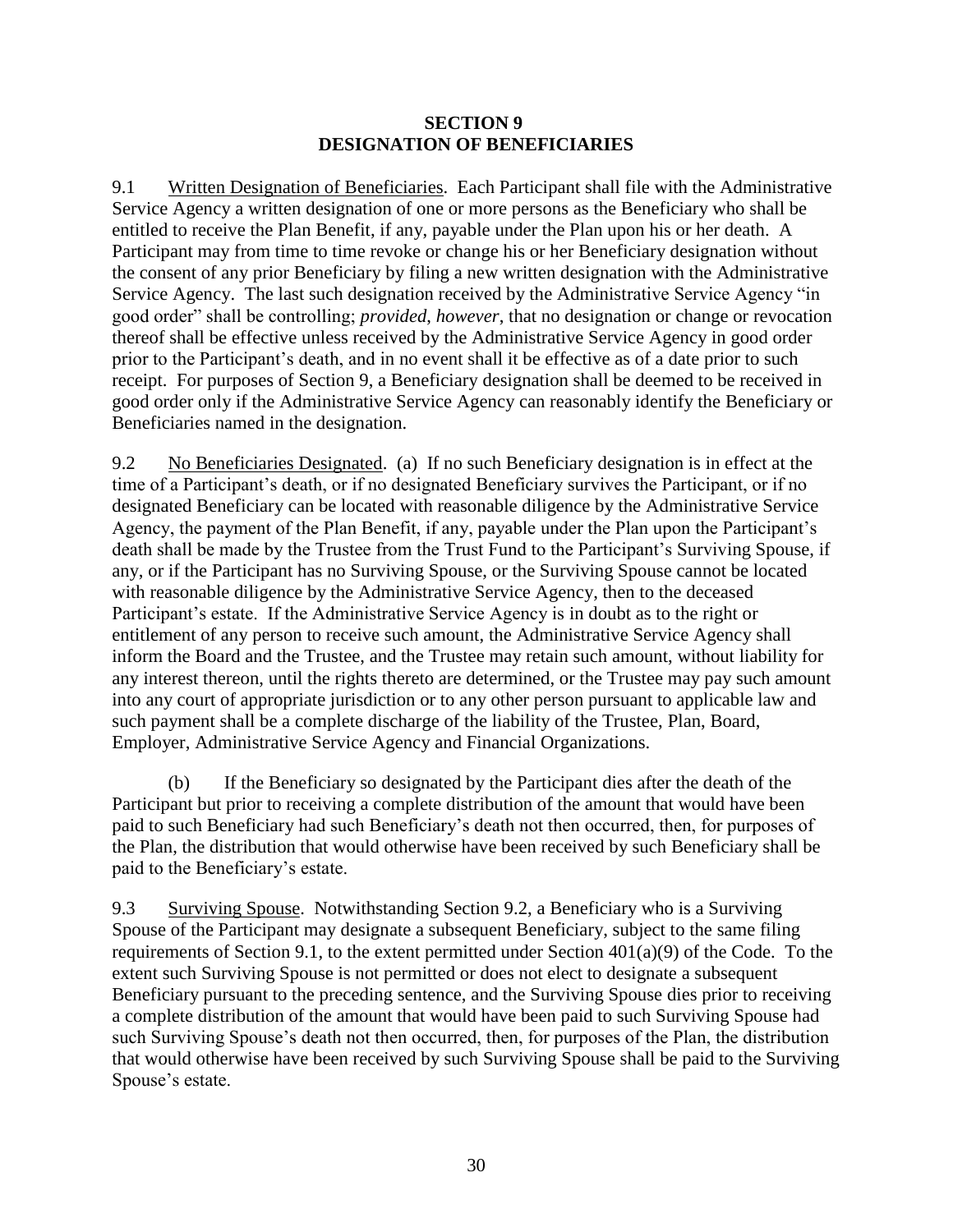#### **SECTION 9 DESIGNATION OF BENEFICIARIES**

<span id="page-31-1"></span>9.1 Written Designation of Beneficiaries. Each Participant shall file with the Administrative Service Agency a written designation of one or more persons as the Beneficiary who shall be entitled to receive the Plan Benefit, if any, payable under the Plan upon his or her death. A Participant may from time to time revoke or change his or her Beneficiary designation without the consent of any prior Beneficiary by filing a new written designation with the Administrative Service Agency. The last such designation received by the Administrative Service Agency "in good order" shall be controlling; *provided*, *however*, that no designation or change or revocation thereof shall be effective unless received by the Administrative Service Agency in good order prior to the Participant's death, and in no event shall it be effective as of a date prior to such receipt. For purposes of Section 9, a Beneficiary designation shall be deemed to be received in good order only if the Administrative Service Agency can reasonably identify the Beneficiary or Beneficiaries named in the designation.

<span id="page-31-0"></span>9.2 No Beneficiaries Designated. (a) If no such Beneficiary designation is in effect at the time of a Participant's death, or if no designated Beneficiary survives the Participant, or if no designated Beneficiary can be located with reasonable diligence by the Administrative Service Agency, the payment of the Plan Benefit, if any, payable under the Plan upon the Participant's death shall be made by the Trustee from the Trust Fund to the Participant's Surviving Spouse, if any, or if the Participant has no Surviving Spouse, or the Surviving Spouse cannot be located with reasonable diligence by the Administrative Service Agency, then to the deceased Participant's estate. If the Administrative Service Agency is in doubt as to the right or entitlement of any person to receive such amount, the Administrative Service Agency shall inform the Board and the Trustee, and the Trustee may retain such amount, without liability for any interest thereon, until the rights thereto are determined, or the Trustee may pay such amount into any court of appropriate jurisdiction or to any other person pursuant to applicable law and such payment shall be a complete discharge of the liability of the Trustee, Plan, Board, Employer, Administrative Service Agency and Financial Organizations.

(b) If the Beneficiary so designated by the Participant dies after the death of the Participant but prior to receiving a complete distribution of the amount that would have been paid to such Beneficiary had such Beneficiary's death not then occurred, then, for purposes of the Plan, the distribution that would otherwise have been received by such Beneficiary shall be paid to the Beneficiary's estate.

9.3 Surviving Spouse. Notwithstanding Section [9.2,](#page-31-0) a Beneficiary who is a Surviving Spouse of the Participant may designate a subsequent Beneficiary, subject to the same filing requirements of Section [9.1,](#page-31-1) to the extent permitted under Section 401(a)(9) of the Code. To the extent such Surviving Spouse is not permitted or does not elect to designate a subsequent Beneficiary pursuant to the preceding sentence, and the Surviving Spouse dies prior to receiving a complete distribution of the amount that would have been paid to such Surviving Spouse had such Surviving Spouse's death not then occurred, then, for purposes of the Plan, the distribution that would otherwise have been received by such Surviving Spouse shall be paid to the Surviving Spouse's estate.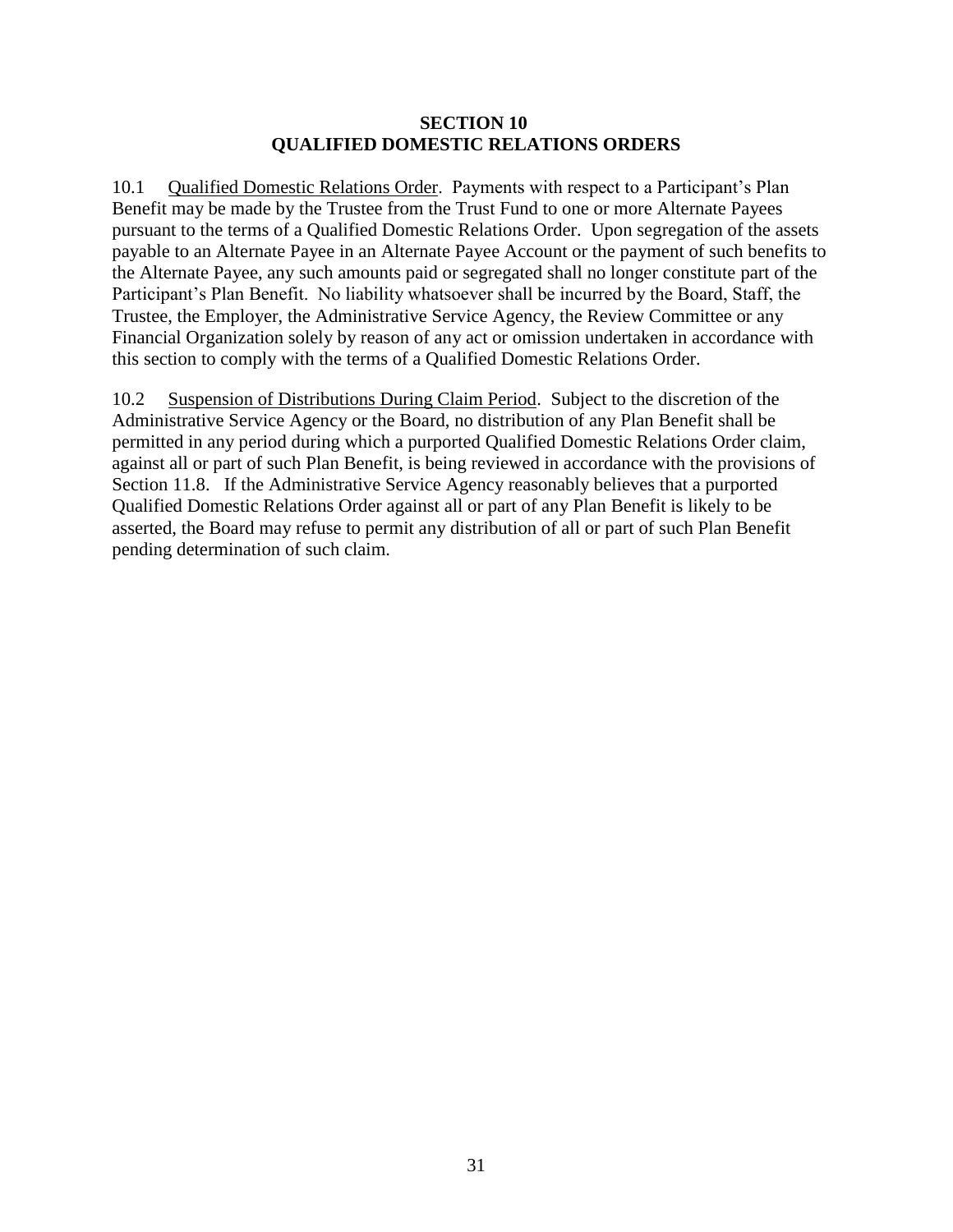#### **SECTION 10 QUALIFIED DOMESTIC RELATIONS ORDERS**

10.1 Qualified Domestic Relations Order. Payments with respect to a Participant's Plan Benefit may be made by the Trustee from the Trust Fund to one or more Alternate Payees pursuant to the terms of a Qualified Domestic Relations Order. Upon segregation of the assets payable to an Alternate Payee in an Alternate Payee Account or the payment of such benefits to the Alternate Payee, any such amounts paid or segregated shall no longer constitute part of the Participant's Plan Benefit. No liability whatsoever shall be incurred by the Board, Staff, the Trustee, the Employer, the Administrative Service Agency, the Review Committee or any Financial Organization solely by reason of any act or omission undertaken in accordance with this section to comply with the terms of a Qualified Domestic Relations Order.

10.2 Suspension of Distributions During Claim Period. Subject to the discretion of the Administrative Service Agency or the Board, no distribution of any Plan Benefit shall be permitted in any period during which a purported Qualified Domestic Relations Order claim, against all or part of such Plan Benefit, is being reviewed in accordance with the provisions of Section [11.8.](#page-35-0) If the Administrative Service Agency reasonably believes that a purported Qualified Domestic Relations Order against all or part of any Plan Benefit is likely to be asserted, the Board may refuse to permit any distribution of all or part of such Plan Benefit pending determination of such claim.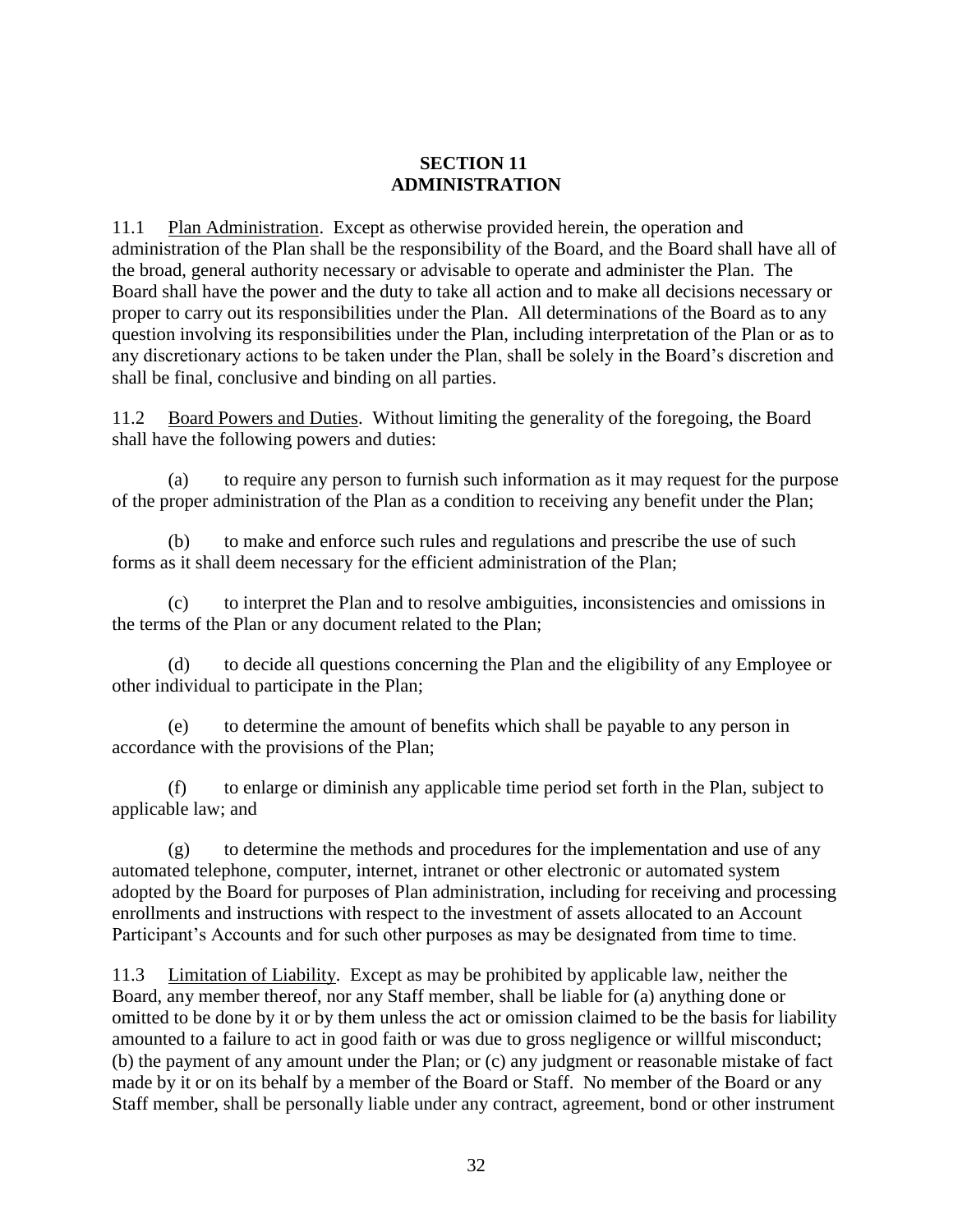## **SECTION 11 ADMINISTRATION**

11.1 Plan Administration. Except as otherwise provided herein, the operation and administration of the Plan shall be the responsibility of the Board, and the Board shall have all of the broad, general authority necessary or advisable to operate and administer the Plan. The Board shall have the power and the duty to take all action and to make all decisions necessary or proper to carry out its responsibilities under the Plan. All determinations of the Board as to any question involving its responsibilities under the Plan, including interpretation of the Plan or as to any discretionary actions to be taken under the Plan, shall be solely in the Board's discretion and shall be final, conclusive and binding on all parties.

11.2 Board Powers and Duties. Without limiting the generality of the foregoing, the Board shall have the following powers and duties:

(a) to require any person to furnish such information as it may request for the purpose of the proper administration of the Plan as a condition to receiving any benefit under the Plan;

(b) to make and enforce such rules and regulations and prescribe the use of such forms as it shall deem necessary for the efficient administration of the Plan;

(c) to interpret the Plan and to resolve ambiguities, inconsistencies and omissions in the terms of the Plan or any document related to the Plan;

(d) to decide all questions concerning the Plan and the eligibility of any Employee or other individual to participate in the Plan;

(e) to determine the amount of benefits which shall be payable to any person in accordance with the provisions of the Plan;

(f) to enlarge or diminish any applicable time period set forth in the Plan, subject to applicable law; and

(g) to determine the methods and procedures for the implementation and use of any automated telephone, computer, internet, intranet or other electronic or automated system adopted by the Board for purposes of Plan administration, including for receiving and processing enrollments and instructions with respect to the investment of assets allocated to an Account Participant's Accounts and for such other purposes as may be designated from time to time.

11.3 Limitation of Liability. Except as may be prohibited by applicable law, neither the Board, any member thereof, nor any Staff member, shall be liable for (a) anything done or omitted to be done by it or by them unless the act or omission claimed to be the basis for liability amounted to a failure to act in good faith or was due to gross negligence or willful misconduct; (b) the payment of any amount under the Plan; or (c) any judgment or reasonable mistake of fact made by it or on its behalf by a member of the Board or Staff. No member of the Board or any Staff member, shall be personally liable under any contract, agreement, bond or other instrument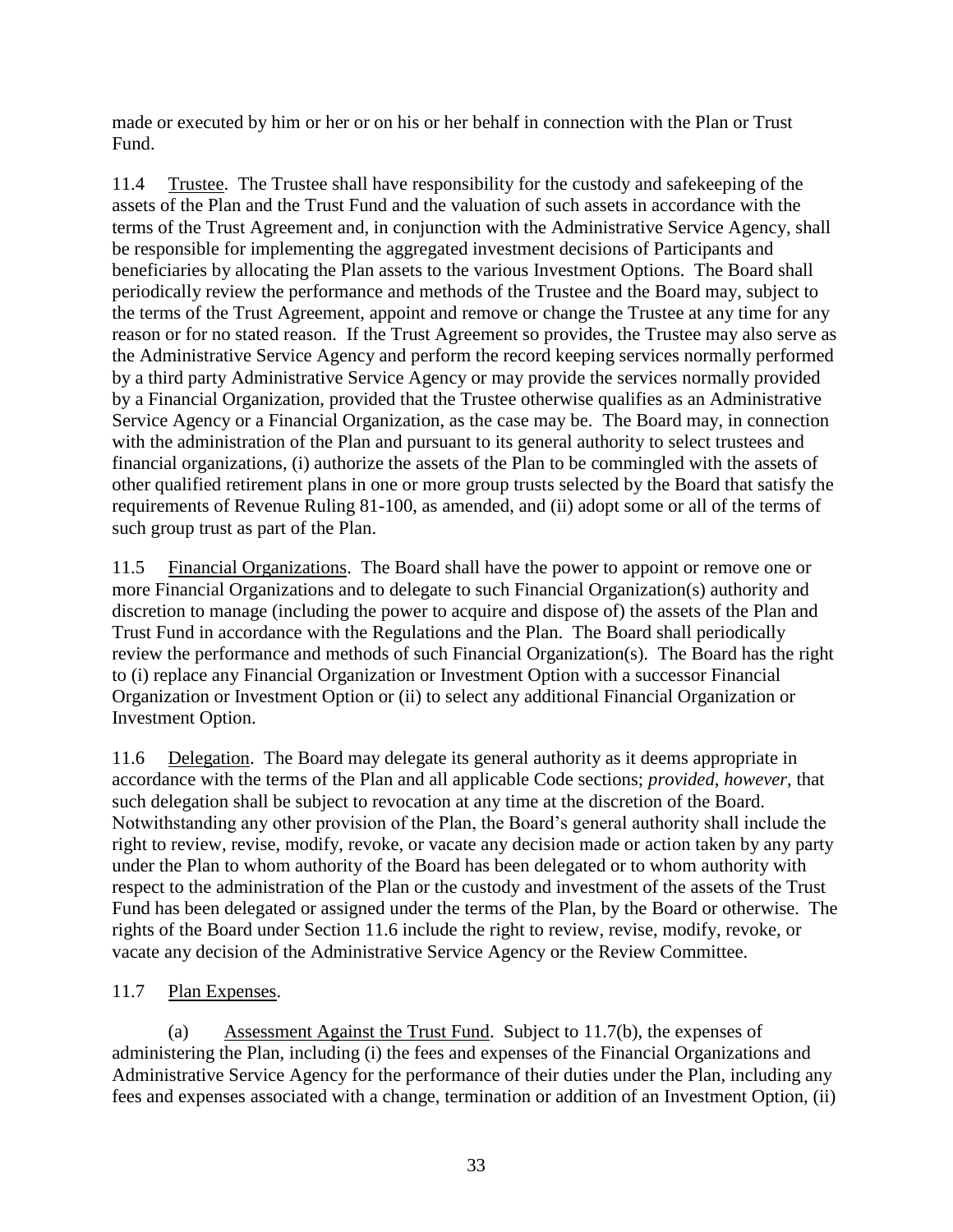made or executed by him or her or on his or her behalf in connection with the Plan or Trust Fund.

11.4 Trustee. The Trustee shall have responsibility for the custody and safekeeping of the assets of the Plan and the Trust Fund and the valuation of such assets in accordance with the terms of the Trust Agreement and, in conjunction with the Administrative Service Agency, shall be responsible for implementing the aggregated investment decisions of Participants and beneficiaries by allocating the Plan assets to the various Investment Options. The Board shall periodically review the performance and methods of the Trustee and the Board may, subject to the terms of the Trust Agreement, appoint and remove or change the Trustee at any time for any reason or for no stated reason. If the Trust Agreement so provides, the Trustee may also serve as the Administrative Service Agency and perform the record keeping services normally performed by a third party Administrative Service Agency or may provide the services normally provided by a Financial Organization, provided that the Trustee otherwise qualifies as an Administrative Service Agency or a Financial Organization, as the case may be. The Board may, in connection with the administration of the Plan and pursuant to its general authority to select trustees and financial organizations, (i) authorize the assets of the Plan to be commingled with the assets of other qualified retirement plans in one or more group trusts selected by the Board that satisfy the requirements of Revenue Ruling 81-100, as amended, and (ii) adopt some or all of the terms of such group trust as part of the Plan.

11.5 Financial Organizations. The Board shall have the power to appoint or remove one or more Financial Organizations and to delegate to such Financial Organization(s) authority and discretion to manage (including the power to acquire and dispose of) the assets of the Plan and Trust Fund in accordance with the Regulations and the Plan. The Board shall periodically review the performance and methods of such Financial Organization(s). The Board has the right to (i) replace any Financial Organization or Investment Option with a successor Financial Organization or Investment Option or (ii) to select any additional Financial Organization or Investment Option.

<span id="page-34-0"></span>11.6 Delegation. The Board may delegate its general authority as it deems appropriate in accordance with the terms of the Plan and all applicable Code sections; *provided*, *however*, that such delegation shall be subject to revocation at any time at the discretion of the Board. Notwithstanding any other provision of the Plan, the Board's general authority shall include the right to review, revise, modify, revoke, or vacate any decision made or action taken by any party under the Plan to whom authority of the Board has been delegated or to whom authority with respect to the administration of the Plan or the custody and investment of the assets of the Trust Fund has been delegated or assigned under the terms of the Plan, by the Board or otherwise. The rights of the Board under Section [11.6](#page-34-0) include the right to review, revise, modify, revoke, or vacate any decision of the Administrative Service Agency or the Review Committee.

## <span id="page-34-1"></span>11.7 Plan Expenses.

(a) Assessment Against the Trust Fund. Subject to [11.7\(b\),](#page-35-1) the expenses of administering the Plan, including (i) the fees and expenses of the Financial Organizations and Administrative Service Agency for the performance of their duties under the Plan, including any fees and expenses associated with a change, termination or addition of an Investment Option, (ii)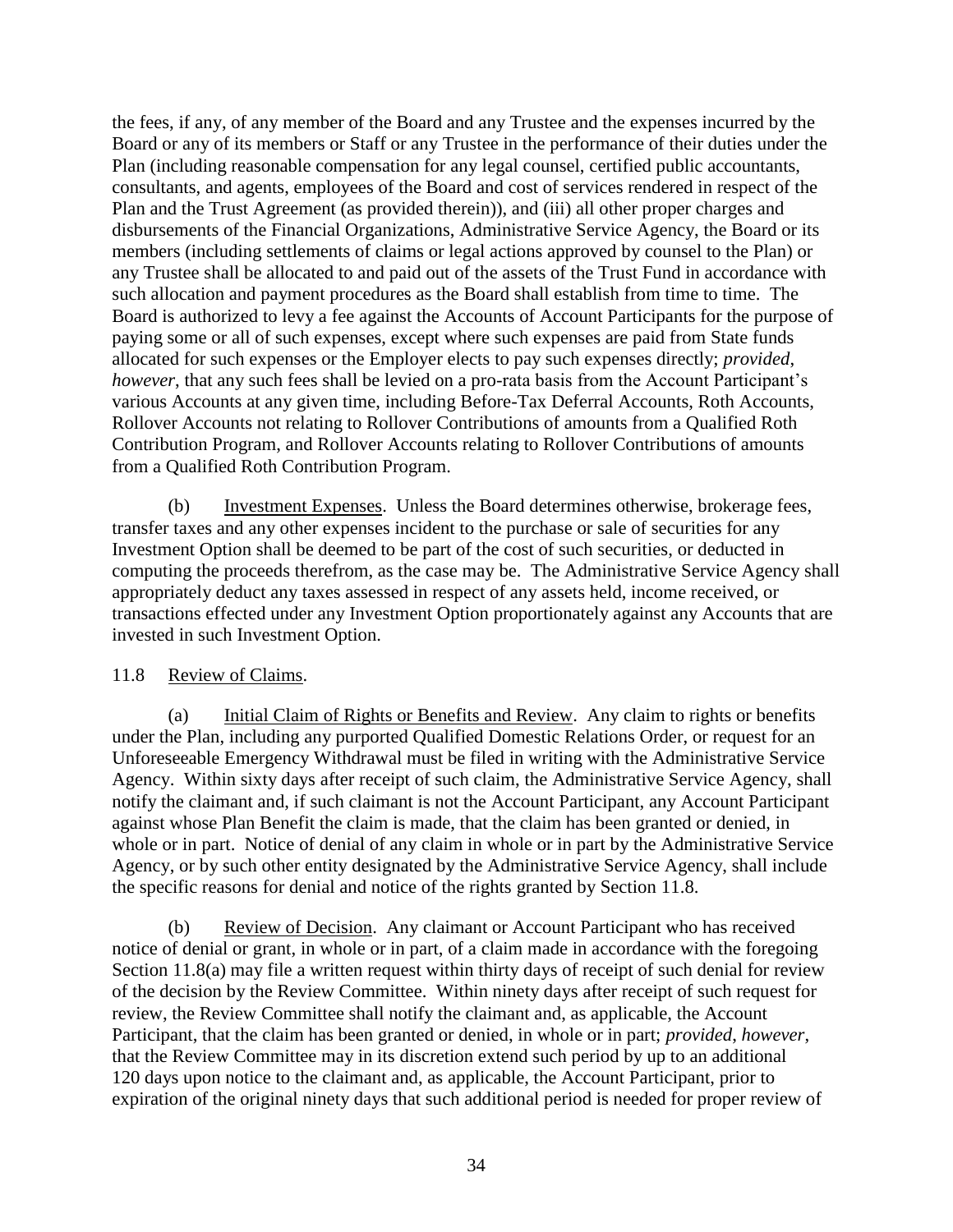the fees, if any, of any member of the Board and any Trustee and the expenses incurred by the Board or any of its members or Staff or any Trustee in the performance of their duties under the Plan (including reasonable compensation for any legal counsel, certified public accountants, consultants, and agents, employees of the Board and cost of services rendered in respect of the Plan and the Trust Agreement (as provided therein)), and (iii) all other proper charges and disbursements of the Financial Organizations, Administrative Service Agency, the Board or its members (including settlements of claims or legal actions approved by counsel to the Plan) or any Trustee shall be allocated to and paid out of the assets of the Trust Fund in accordance with such allocation and payment procedures as the Board shall establish from time to time. The Board is authorized to levy a fee against the Accounts of Account Participants for the purpose of paying some or all of such expenses, except where such expenses are paid from State funds allocated for such expenses or the Employer elects to pay such expenses directly; *provided*, *however*, that any such fees shall be levied on a pro-rata basis from the Account Participant's various Accounts at any given time, including Before-Tax Deferral Accounts, Roth Accounts, Rollover Accounts not relating to Rollover Contributions of amounts from a Qualified Roth Contribution Program, and Rollover Accounts relating to Rollover Contributions of amounts from a Qualified Roth Contribution Program.

<span id="page-35-1"></span>(b) Investment Expenses. Unless the Board determines otherwise, brokerage fees, transfer taxes and any other expenses incident to the purchase or sale of securities for any Investment Option shall be deemed to be part of the cost of such securities, or deducted in computing the proceeds therefrom, as the case may be. The Administrative Service Agency shall appropriately deduct any taxes assessed in respect of any assets held, income received, or transactions effected under any Investment Option proportionately against any Accounts that are invested in such Investment Option.

## <span id="page-35-0"></span>11.8 Review of Claims.

<span id="page-35-2"></span>(a) Initial Claim of Rights or Benefits and Review. Any claim to rights or benefits under the Plan, including any purported Qualified Domestic Relations Order, or request for an Unforeseeable Emergency Withdrawal must be filed in writing with the Administrative Service Agency. Within sixty days after receipt of such claim, the Administrative Service Agency, shall notify the claimant and, if such claimant is not the Account Participant, any Account Participant against whose Plan Benefit the claim is made, that the claim has been granted or denied, in whole or in part. Notice of denial of any claim in whole or in part by the Administrative Service Agency, or by such other entity designated by the Administrative Service Agency, shall include the specific reasons for denial and notice of the rights granted by Section [11.8.](#page-35-0)

(b) Review of Decision. Any claimant or Account Participant who has received notice of denial or grant, in whole or in part, of a claim made in accordance with the foregoing Section [11.8\(a\)](#page-35-2) may file a written request within thirty days of receipt of such denial for review of the decision by the Review Committee. Within ninety days after receipt of such request for review, the Review Committee shall notify the claimant and, as applicable, the Account Participant, that the claim has been granted or denied, in whole or in part; *provided*, *however*, that the Review Committee may in its discretion extend such period by up to an additional 120 days upon notice to the claimant and, as applicable, the Account Participant, prior to expiration of the original ninety days that such additional period is needed for proper review of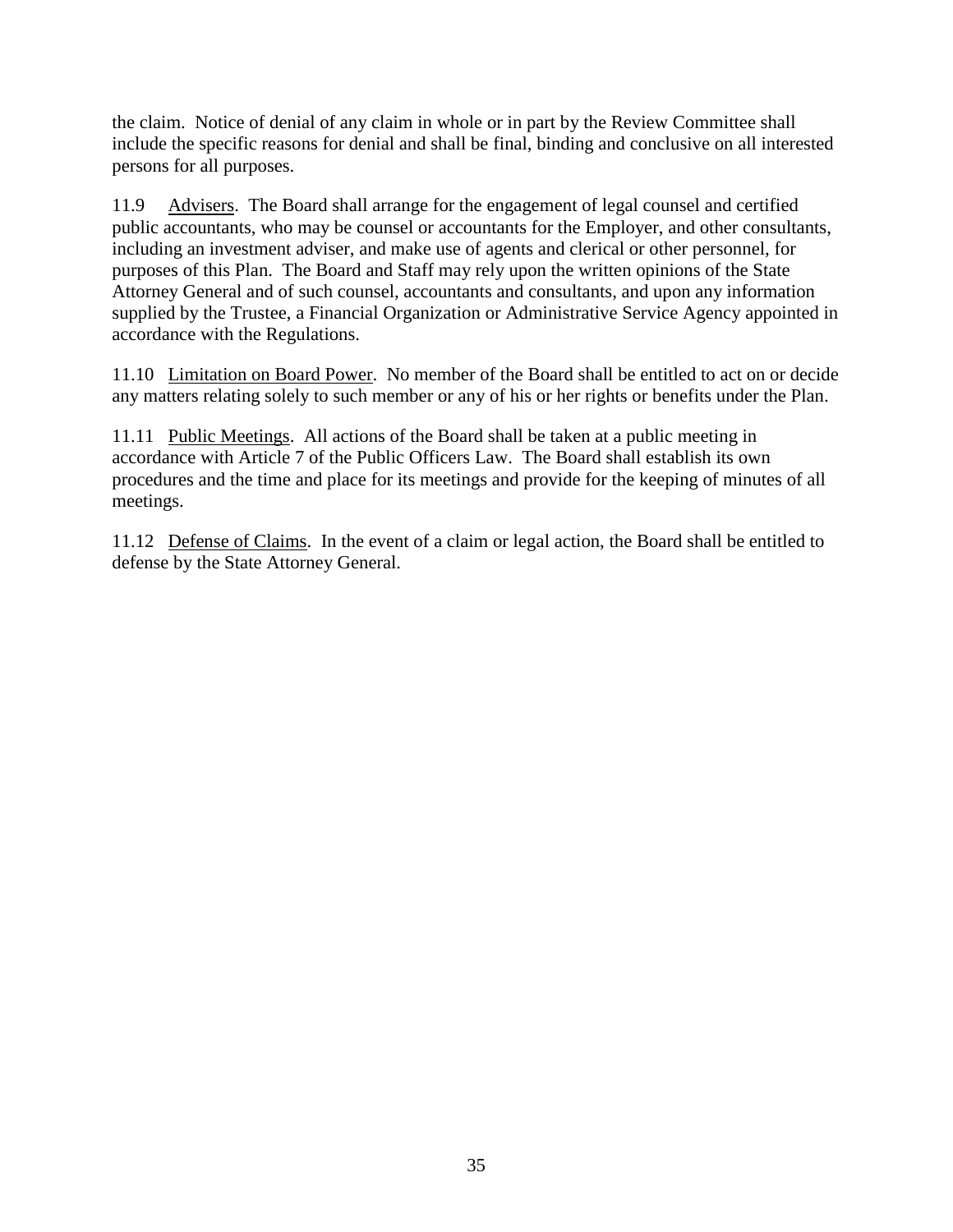the claim. Notice of denial of any claim in whole or in part by the Review Committee shall include the specific reasons for denial and shall be final, binding and conclusive on all interested persons for all purposes.

11.9 Advisers. The Board shall arrange for the engagement of legal counsel and certified public accountants, who may be counsel or accountants for the Employer, and other consultants, including an investment adviser, and make use of agents and clerical or other personnel, for purposes of this Plan. The Board and Staff may rely upon the written opinions of the State Attorney General and of such counsel, accountants and consultants, and upon any information supplied by the Trustee, a Financial Organization or Administrative Service Agency appointed in accordance with the Regulations.

11.10 Limitation on Board Power. No member of the Board shall be entitled to act on or decide any matters relating solely to such member or any of his or her rights or benefits under the Plan.

11.11 Public Meetings. All actions of the Board shall be taken at a public meeting in accordance with Article 7 of the Public Officers Law. The Board shall establish its own procedures and the time and place for its meetings and provide for the keeping of minutes of all meetings.

11.12 Defense of Claims. In the event of a claim or legal action, the Board shall be entitled to defense by the State Attorney General.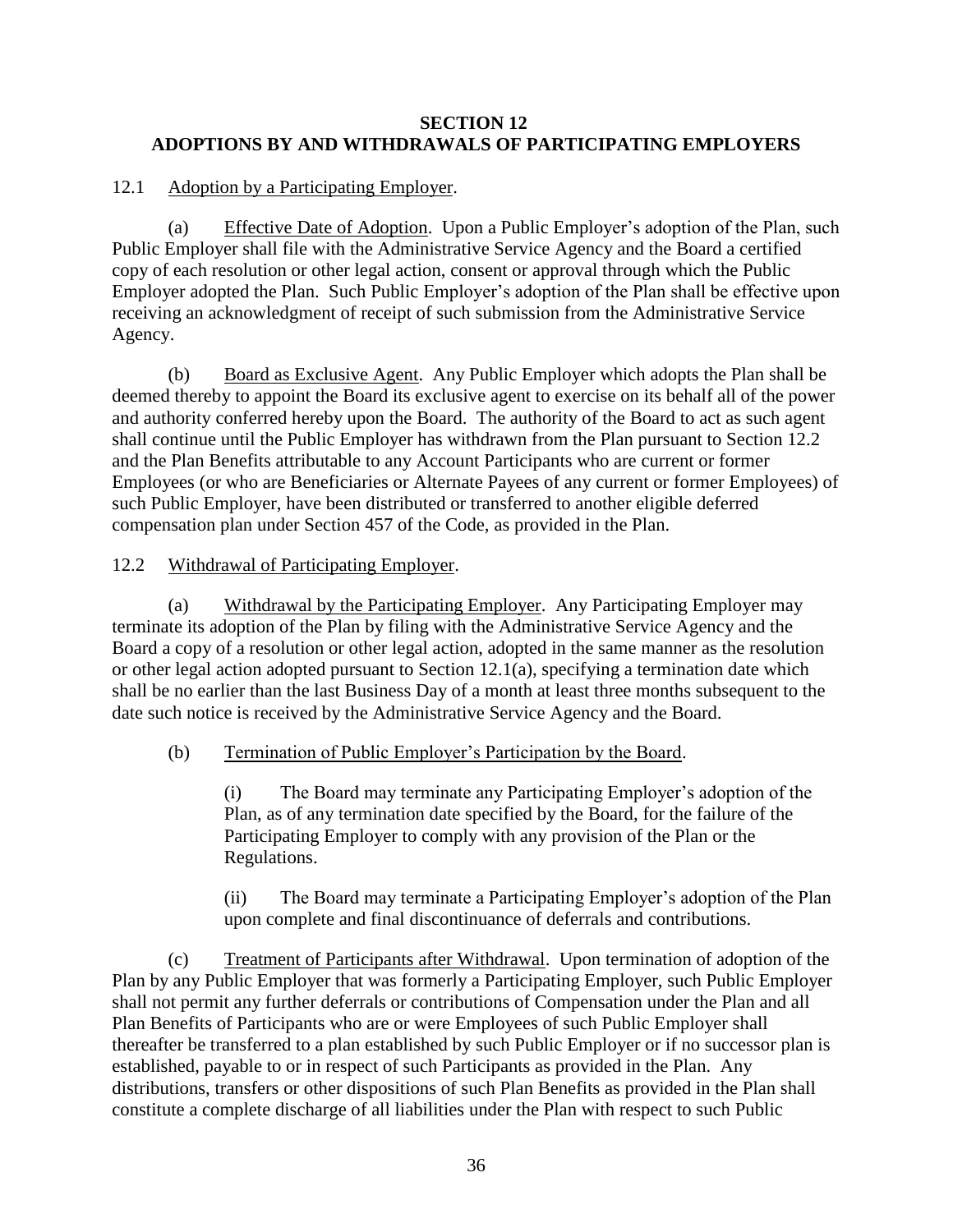## **SECTION 12 ADOPTIONS BY AND WITHDRAWALS OF PARTICIPATING EMPLOYERS**

## 12.1 Adoption by a Participating Employer.

<span id="page-37-1"></span>(a) Effective Date of Adoption. Upon a Public Employer's adoption of the Plan, such Public Employer shall file with the Administrative Service Agency and the Board a certified copy of each resolution or other legal action, consent or approval through which the Public Employer adopted the Plan. Such Public Employer's adoption of the Plan shall be effective upon receiving an acknowledgment of receipt of such submission from the Administrative Service Agency.

(b) Board as Exclusive Agent. Any Public Employer which adopts the Plan shall be deemed thereby to appoint the Board its exclusive agent to exercise on its behalf all of the power and authority conferred hereby upon the Board. The authority of the Board to act as such agent shall continue until the Public Employer has withdrawn from the Plan pursuant to Section [12.2](#page-37-0) and the Plan Benefits attributable to any Account Participants who are current or former Employees (or who are Beneficiaries or Alternate Payees of any current or former Employees) of such Public Employer, have been distributed or transferred to another eligible deferred compensation plan under Section 457 of the Code, as provided in the Plan.

## <span id="page-37-0"></span>12.2 Withdrawal of Participating Employer.

<span id="page-37-2"></span>(a) Withdrawal by the Participating Employer. Any Participating Employer may terminate its adoption of the Plan by filing with the Administrative Service Agency and the Board a copy of a resolution or other legal action, adopted in the same manner as the resolution or other legal action adopted pursuant to Section [12.1\(a\),](#page-37-1) specifying a termination date which shall be no earlier than the last Business Day of a month at least three months subsequent to the date such notice is received by the Administrative Service Agency and the Board.

## <span id="page-37-3"></span>(b) Termination of Public Employer's Participation by the Board.

(i) The Board may terminate any Participating Employer's adoption of the Plan, as of any termination date specified by the Board, for the failure of the Participating Employer to comply with any provision of the Plan or the Regulations.

(ii) The Board may terminate a Participating Employer's adoption of the Plan upon complete and final discontinuance of deferrals and contributions.

(c) Treatment of Participants after Withdrawal. Upon termination of adoption of the Plan by any Public Employer that was formerly a Participating Employer, such Public Employer shall not permit any further deferrals or contributions of Compensation under the Plan and all Plan Benefits of Participants who are or were Employees of such Public Employer shall thereafter be transferred to a plan established by such Public Employer or if no successor plan is established, payable to or in respect of such Participants as provided in the Plan. Any distributions, transfers or other dispositions of such Plan Benefits as provided in the Plan shall constitute a complete discharge of all liabilities under the Plan with respect to such Public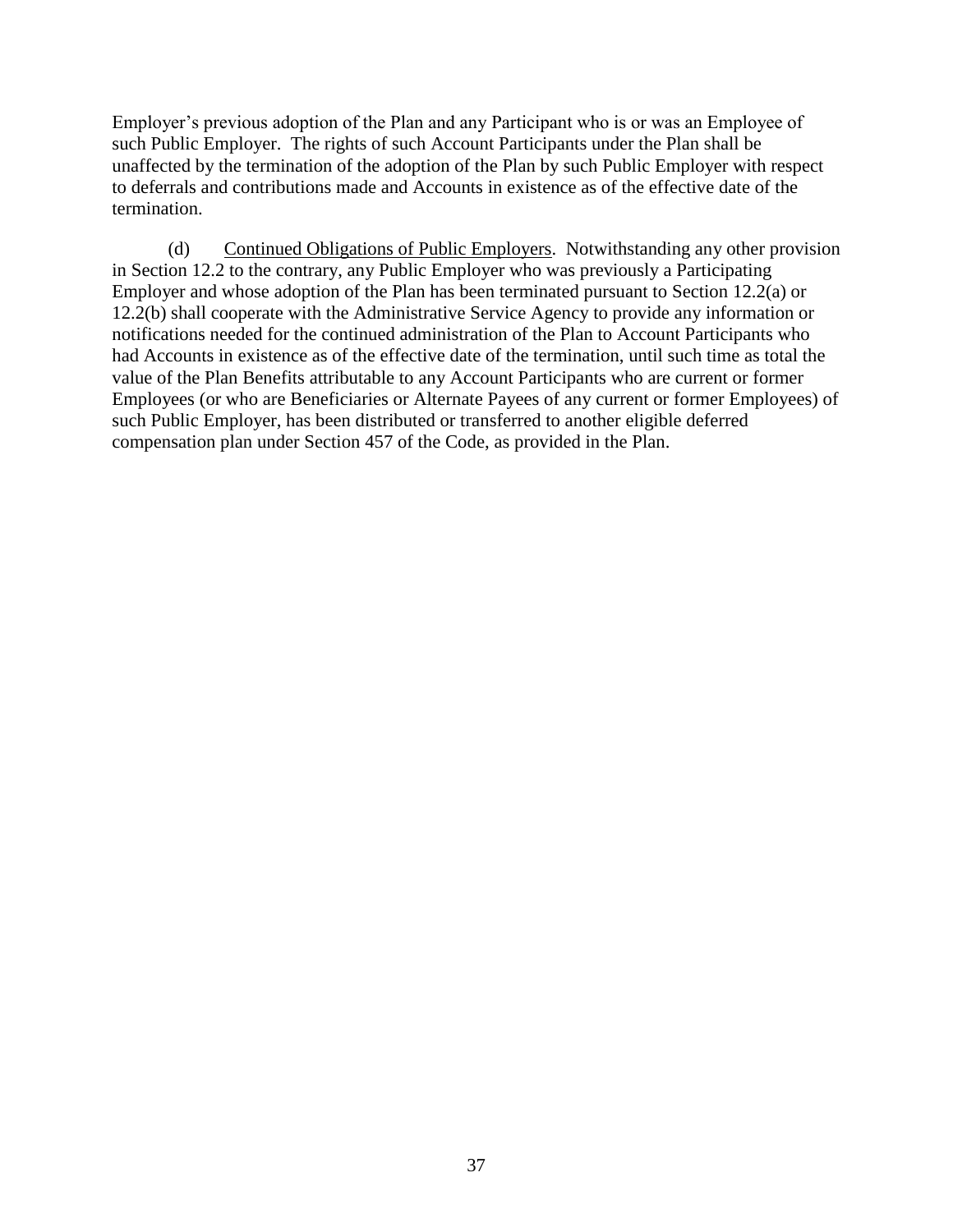Employer's previous adoption of the Plan and any Participant who is or was an Employee of such Public Employer. The rights of such Account Participants under the Plan shall be unaffected by the termination of the adoption of the Plan by such Public Employer with respect to deferrals and contributions made and Accounts in existence as of the effective date of the termination.

(d) Continued Obligations of Public Employers. Notwithstanding any other provision in Section [12.2](#page-37-0) to the contrary, any Public Employer who was previously a Participating Employer and whose adoption of the Plan has been terminated pursuant to Section [12.2\(a\)](#page-37-2) or [12.2\(b\)](#page-37-3) shall cooperate with the Administrative Service Agency to provide any information or notifications needed for the continued administration of the Plan to Account Participants who had Accounts in existence as of the effective date of the termination, until such time as total the value of the Plan Benefits attributable to any Account Participants who are current or former Employees (or who are Beneficiaries or Alternate Payees of any current or former Employees) of such Public Employer, has been distributed or transferred to another eligible deferred compensation plan under Section 457 of the Code, as provided in the Plan.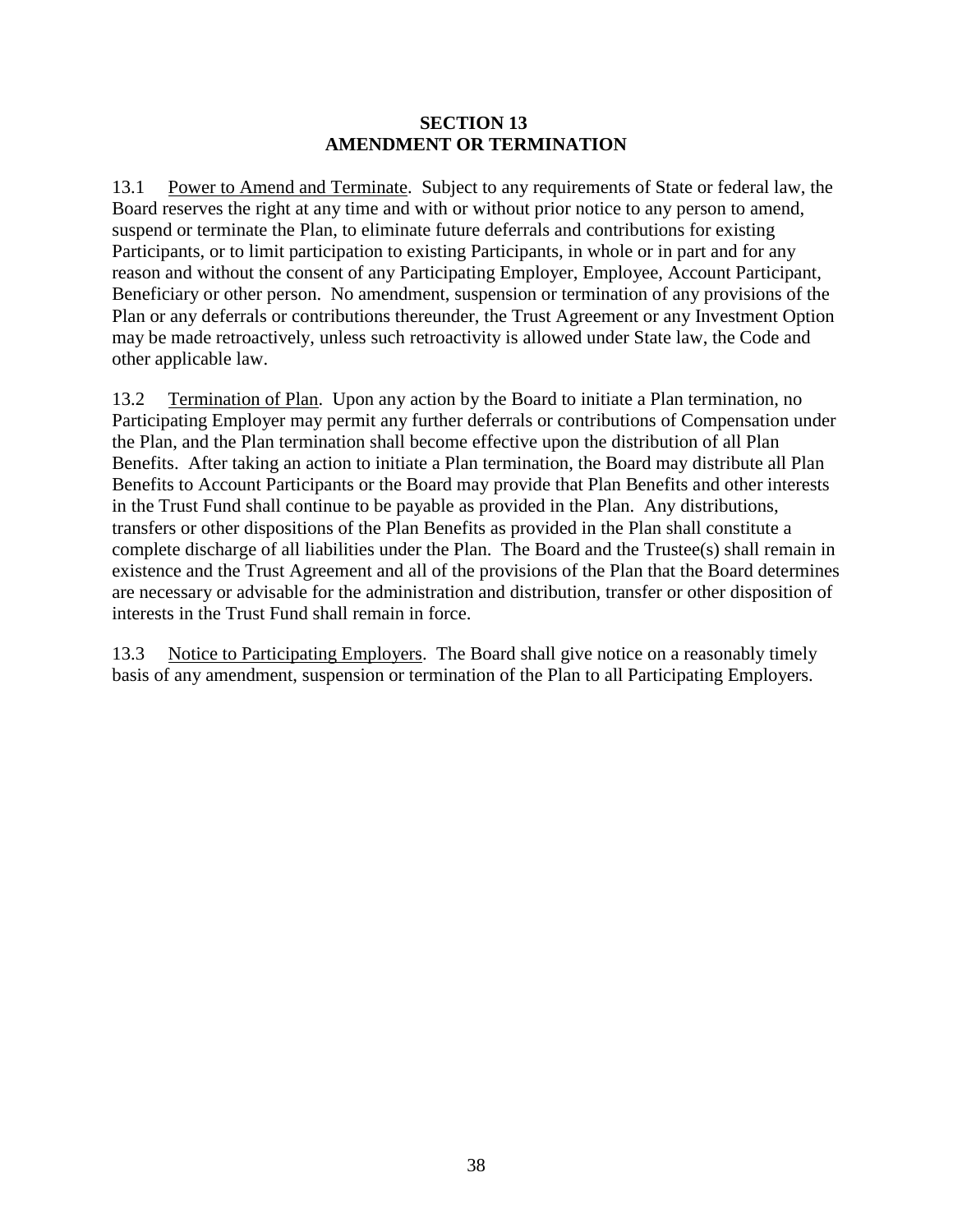#### **SECTION 13 AMENDMENT OR TERMINATION**

13.1 Power to Amend and Terminate. Subject to any requirements of State or federal law, the Board reserves the right at any time and with or without prior notice to any person to amend, suspend or terminate the Plan, to eliminate future deferrals and contributions for existing Participants, or to limit participation to existing Participants, in whole or in part and for any reason and without the consent of any Participating Employer, Employee, Account Participant, Beneficiary or other person. No amendment, suspension or termination of any provisions of the Plan or any deferrals or contributions thereunder, the Trust Agreement or any Investment Option may be made retroactively, unless such retroactivity is allowed under State law, the Code and other applicable law.

13.2 Termination of Plan. Upon any action by the Board to initiate a Plan termination, no Participating Employer may permit any further deferrals or contributions of Compensation under the Plan, and the Plan termination shall become effective upon the distribution of all Plan Benefits. After taking an action to initiate a Plan termination, the Board may distribute all Plan Benefits to Account Participants or the Board may provide that Plan Benefits and other interests in the Trust Fund shall continue to be payable as provided in the Plan. Any distributions, transfers or other dispositions of the Plan Benefits as provided in the Plan shall constitute a complete discharge of all liabilities under the Plan. The Board and the Trustee(s) shall remain in existence and the Trust Agreement and all of the provisions of the Plan that the Board determines are necessary or advisable for the administration and distribution, transfer or other disposition of interests in the Trust Fund shall remain in force.

13.3 Notice to Participating Employers. The Board shall give notice on a reasonably timely basis of any amendment, suspension or termination of the Plan to all Participating Employers.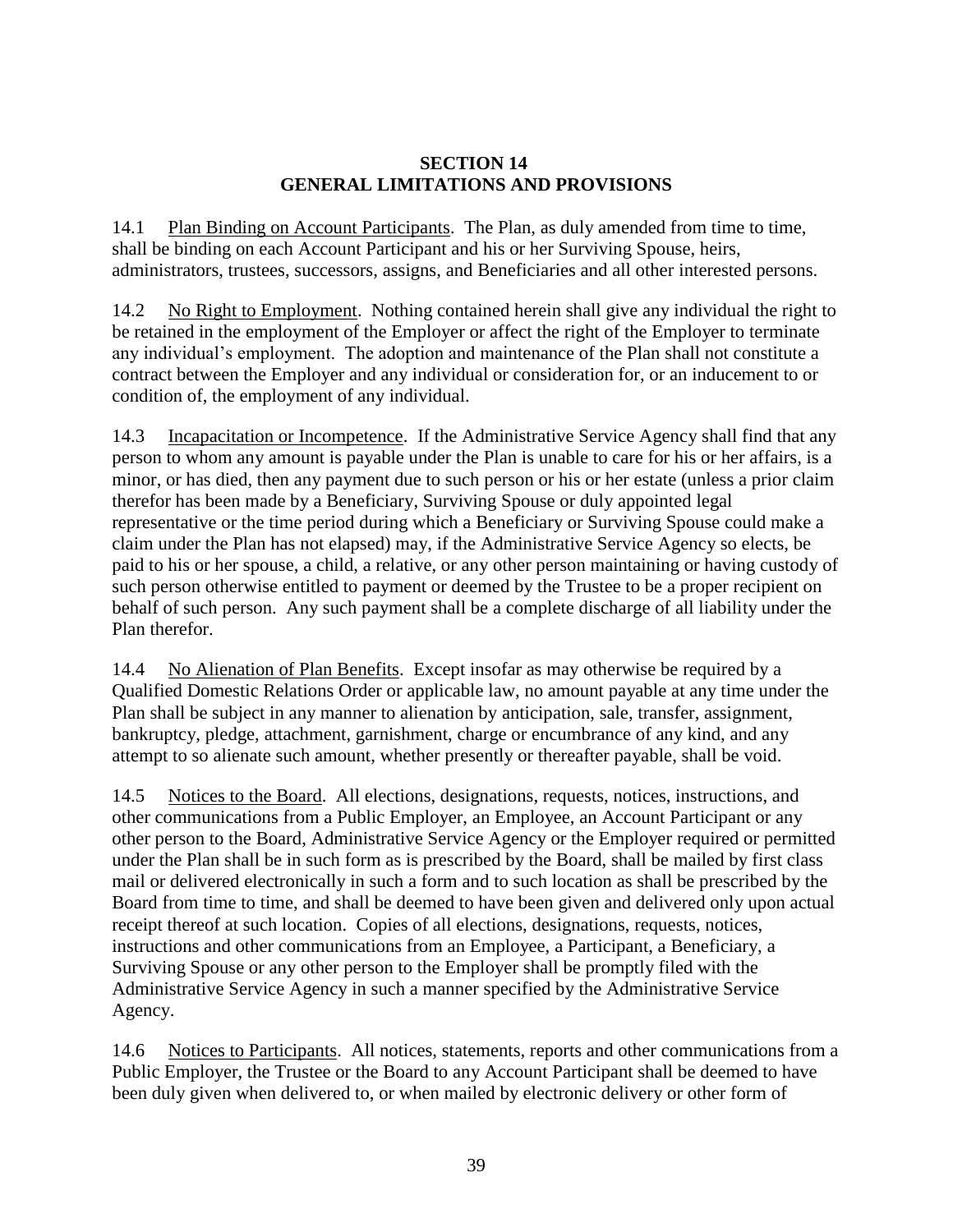## **SECTION 14 GENERAL LIMITATIONS AND PROVISIONS**

14.1 Plan Binding on Account Participants. The Plan, as duly amended from time to time, shall be binding on each Account Participant and his or her Surviving Spouse, heirs, administrators, trustees, successors, assigns, and Beneficiaries and all other interested persons.

14.2 No Right to Employment. Nothing contained herein shall give any individual the right to be retained in the employment of the Employer or affect the right of the Employer to terminate any individual's employment. The adoption and maintenance of the Plan shall not constitute a contract between the Employer and any individual or consideration for, or an inducement to or condition of, the employment of any individual.

14.3 Incapacitation or Incompetence. If the Administrative Service Agency shall find that any person to whom any amount is payable under the Plan is unable to care for his or her affairs, is a minor, or has died, then any payment due to such person or his or her estate (unless a prior claim therefor has been made by a Beneficiary, Surviving Spouse or duly appointed legal representative or the time period during which a Beneficiary or Surviving Spouse could make a claim under the Plan has not elapsed) may, if the Administrative Service Agency so elects, be paid to his or her spouse, a child, a relative, or any other person maintaining or having custody of such person otherwise entitled to payment or deemed by the Trustee to be a proper recipient on behalf of such person. Any such payment shall be a complete discharge of all liability under the Plan therefor.

14.4 No Alienation of Plan Benefits. Except insofar as may otherwise be required by a Qualified Domestic Relations Order or applicable law, no amount payable at any time under the Plan shall be subject in any manner to alienation by anticipation, sale, transfer, assignment, bankruptcy, pledge, attachment, garnishment, charge or encumbrance of any kind, and any attempt to so alienate such amount, whether presently or thereafter payable, shall be void.

14.5 Notices to the Board. All elections, designations, requests, notices, instructions, and other communications from a Public Employer, an Employee, an Account Participant or any other person to the Board, Administrative Service Agency or the Employer required or permitted under the Plan shall be in such form as is prescribed by the Board, shall be mailed by first class mail or delivered electronically in such a form and to such location as shall be prescribed by the Board from time to time, and shall be deemed to have been given and delivered only upon actual receipt thereof at such location. Copies of all elections, designations, requests, notices, instructions and other communications from an Employee, a Participant, a Beneficiary, a Surviving Spouse or any other person to the Employer shall be promptly filed with the Administrative Service Agency in such a manner specified by the Administrative Service Agency.

14.6 Notices to Participants. All notices, statements, reports and other communications from a Public Employer, the Trustee or the Board to any Account Participant shall be deemed to have been duly given when delivered to, or when mailed by electronic delivery or other form of